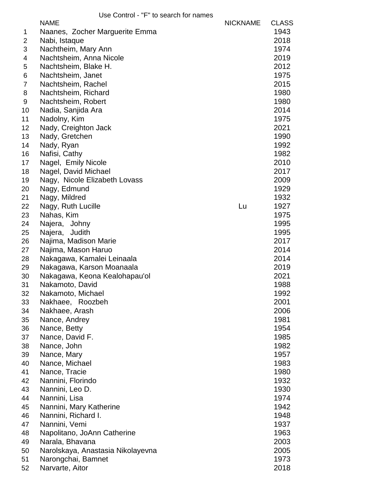|                | <b>NAME</b>                       | <b>NICKNAME</b> | <b>CLASS</b> |
|----------------|-----------------------------------|-----------------|--------------|
| 1              | Naanes, Zocher Marguerite Emma    |                 | 1943         |
| 2              | Nabi, Istaque                     |                 | 2018         |
| 3              | Nachtheim, Mary Ann               |                 | 1974         |
| 4              | Nachtsheim, Anna Nicole           |                 | 2019         |
| 5              | Nachtsheim, Blake H.              |                 | 2012         |
| 6              | Nachtsheim, Janet                 |                 | 1975         |
| $\overline{7}$ | Nachtsheim, Rachel                |                 | 2015         |
| 8              | Nachtsheim, Richard               |                 | 1980         |
| 9              | Nachtsheim, Robert                |                 | 1980         |
| 10             | Nadia, Sanjida Ara                |                 | 2014         |
| 11             | Nadolny, Kim                      |                 | 1975         |
| 12             | Nady, Creighton Jack              |                 | 2021         |
| 13             | Nady, Gretchen                    |                 | 1990         |
| 14             | Nady, Ryan                        |                 | 1992         |
| 16             | Nafisi, Cathy                     |                 | 1982         |
| 17             | Nagel, Emily Nicole               |                 | 2010         |
| 18             | Nagel, David Michael              |                 | 2017         |
| 19             | Nagy, Nicole Elizabeth Lovass     |                 | 2009         |
| 20             | Nagy, Edmund                      |                 | 1929         |
| 21             |                                   |                 | 1932         |
|                | Nagy, Mildred                     | Lu              |              |
| 22             | Nagy, Ruth Lucille                |                 | 1927         |
| 23             | Nahas, Kim                        |                 | 1975         |
| 24             | Najera, Johny                     |                 | 1995         |
| 25             | Najera,<br>Judith                 |                 | 1995         |
| 26             | Najima, Madison Marie             |                 | 2017         |
| 27             | Najima, Mason Haruo               |                 | 2014         |
| 28             | Nakagawa, Kamalei Leinaala        |                 | 2014         |
| 29             | Nakagawa, Karson Moanaala         |                 | 2019         |
| 30             | Nakagawa, Keona Kealohapau'ol     |                 | 2021         |
| 31             | Nakamoto, David                   |                 | 1988         |
| 32             | Nakamoto, Michael                 |                 | 1992         |
| 33             | Nakhaee, Roozbeh                  |                 | 2001         |
| 34             | Nakhaee, Arash                    |                 | 2006         |
| 35             | Nance, Andrey                     |                 | 1981         |
| 36             | Nance, Betty                      |                 | 1954         |
| 37             | Nance, David F.                   |                 | 1985         |
| 38             | Nance, John                       |                 | 1982         |
| 39             | Nance, Mary                       |                 | 1957         |
| 40             | Nance, Michael                    |                 | 1983         |
| 41             | Nance, Tracie                     |                 | 1980         |
| 42             | Nannini, Florindo                 |                 | 1932         |
| 43             | Nannini, Leo D.                   |                 | 1930         |
| 44             | Nannini, Lisa                     |                 | 1974         |
| 45             | Nannini, Mary Katherine           |                 | 1942         |
| 46             | Nannini, Richard I.               |                 | 1948         |
| 47             | Nannini, Vemi                     |                 | 1937         |
| 48             | Napolitano, JoAnn Catherine       |                 | 1963         |
| 49             | Narala, Bhavana                   |                 | 2003         |
| 50             | Narolskaya, Anastasia Nikolayevna |                 | 2005         |
| 51             | Narongchai, Bamnet                |                 | 1973         |
| 52             | Narvarte, Aitor                   |                 | 2018         |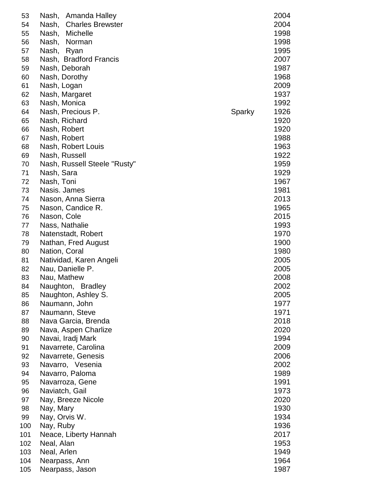| 53  | Nash,<br>Amanda Halley           |        | 2004 |
|-----|----------------------------------|--------|------|
| 54  | <b>Charles Brewster</b><br>Nash, |        | 2004 |
| 55  | Michelle<br>Nash,                |        | 1998 |
| 56  | Nash,<br>Norman                  |        | 1998 |
| 57  | Nash,<br>Ryan                    |        | 1995 |
| 58  | Nash, Bradford Francis           |        | 2007 |
| 59  | Nash, Deborah                    |        | 1987 |
| 60  | Nash, Dorothy                    |        | 1968 |
| 61  | Nash, Logan                      |        | 2009 |
| 62  | Nash, Margaret                   |        | 1937 |
| 63  | Nash, Monica                     |        | 1992 |
| 64  | Nash, Precious P.                | Sparky | 1926 |
| 65  | Nash, Richard                    |        | 1920 |
| 66  | Nash, Robert                     |        | 1920 |
| 67  | Nash, Robert                     |        | 1988 |
| 68  | Nash, Robert Louis               |        | 1963 |
| 69  | Nash, Russell                    |        | 1922 |
| 70  | Nash, Russell Steele "Rusty"     |        | 1959 |
| 71  | Nash, Sara                       |        | 1929 |
| 72  | Nash, Toni                       |        | 1967 |
| 73  | Nasis. James                     |        | 1981 |
| 74  | Nason, Anna Sierra               |        | 2013 |
| 75  | Nason, Candice R.                |        | 1965 |
| 76  | Nason, Cole                      |        | 2015 |
| 77  | Nass, Nathalie                   |        | 1993 |
| 78  | Natenstadt, Robert               |        | 1970 |
| 79  | Nathan, Fred August              |        | 1900 |
| 80  | Nation, Coral                    |        | 1980 |
| 81  | Natividad, Karen Angeli          |        | 2005 |
| 82  | Nau, Danielle P.                 |        | 2005 |
| 83  | Nau, Mathew                      |        | 2008 |
| 84  | Naughton,<br><b>Bradley</b>      |        | 2002 |
| 85  | Naughton, Ashley S.              |        | 2005 |
| 86  | Naumann, John                    |        | 1977 |
| 87  | Naumann, Steve                   |        | 1971 |
| 88  | Nava Garcia, Brenda              |        | 2018 |
| 89  | Nava, Aspen Charlize             |        | 2020 |
| 90  | Navai, Iradj Mark                |        | 1994 |
| 91  | Navarrete, Carolina              |        | 2009 |
| 92  | Navarrete, Genesis               |        | 2006 |
| 93  | Navarro, Vesenia                 |        | 2002 |
| 94  | Navarro, Paloma                  |        | 1989 |
| 95  | Navarroza, Gene                  |        | 1991 |
| 96  | Naviatch, Gail                   |        | 1973 |
| 97  | Nay, Breeze Nicole               |        | 2020 |
| 98  | Nay, Mary                        |        | 1930 |
| 99  | Nay, Orvis W.                    |        | 1934 |
| 100 | Nay, Ruby                        |        | 1936 |
| 101 | Neace, Liberty Hannah            |        | 2017 |
| 102 | Neal, Alan                       |        | 1953 |
| 103 | Neal, Arlen                      |        | 1949 |
| 104 | Nearpass, Ann                    |        | 1964 |
| 105 | Nearpass, Jason                  |        | 1987 |
|     |                                  |        |      |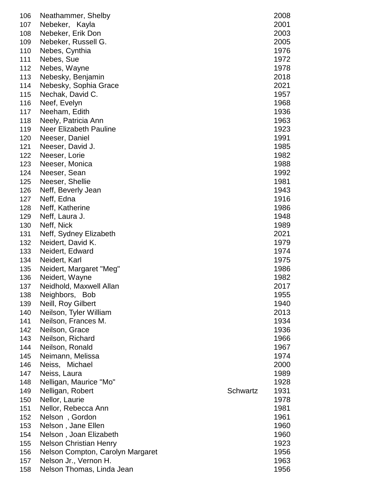| 106 | Neathammer, Shelby               |          | 2008 |
|-----|----------------------------------|----------|------|
| 107 | Nebeker, Kayla                   |          | 2001 |
| 108 | Nebeker, Erik Don                |          | 2003 |
| 109 | Nebeker, Russell G.              |          | 2005 |
| 110 | Nebes, Cynthia                   |          | 1976 |
| 111 | Nebes, Sue                       |          | 1972 |
| 112 | Nebes, Wayne                     |          | 1978 |
| 113 | Nebesky, Benjamin                |          | 2018 |
| 114 | Nebesky, Sophia Grace            |          | 2021 |
| 115 | Nechak, David C.                 |          | 1957 |
| 116 | Neef, Evelyn                     |          | 1968 |
| 117 | Neeham, Edith                    |          | 1936 |
| 118 | Neely, Patricia Ann              |          | 1963 |
| 119 | Neer Elizabeth Pauline           |          | 1923 |
| 120 | Neeser, Daniel                   |          | 1991 |
| 121 | Neeser, David J.                 |          | 1985 |
| 122 | Neeser, Lorie                    |          | 1982 |
| 123 | Neeser, Monica                   |          | 1988 |
| 124 | Neeser, Sean                     |          | 1992 |
| 125 | Neeser, Shellie                  |          | 1981 |
| 126 | Neff, Beverly Jean               |          | 1943 |
| 127 | Neff, Edna                       |          | 1916 |
| 128 | Neff, Katherine                  |          | 1986 |
| 129 | Neff, Laura J.                   |          | 1948 |
| 130 | Neff, Nick                       |          | 1989 |
|     |                                  |          | 2021 |
| 131 | Neff, Sydney Elizabeth           |          | 1979 |
| 132 | Neidert, David K.                |          |      |
| 133 | Neidert, Edward                  |          | 1974 |
| 134 | Neidert, Karl                    |          | 1975 |
| 135 | Neidert, Margaret "Meg"          |          | 1986 |
| 136 | Neidert, Wayne                   |          | 1982 |
| 137 | Neidhold, Maxwell Allan          |          | 2017 |
| 138 | Neighbors, Bob                   |          | 1955 |
| 139 | Neill, Roy Gilbert               |          | 1940 |
| 140 | Neilson, Tyler William           |          | 2013 |
| 141 | Neilson, Frances M.              |          | 1934 |
| 142 | Neilson, Grace                   |          | 1936 |
| 143 | Neilson, Richard                 |          | 1966 |
| 144 | Neilson, Ronald                  |          | 1967 |
| 145 | Neimann, Melissa                 |          | 1974 |
| 146 | Neiss, Michael                   |          | 2000 |
| 147 | Neiss, Laura                     |          | 1989 |
| 148 | Nelligan, Maurice "Mo"           |          | 1928 |
| 149 | Nelligan, Robert                 | Schwartz | 1931 |
| 150 | Nellor, Laurie                   |          | 1978 |
| 151 | Nellor, Rebecca Ann              |          | 1981 |
| 152 | Nelson, Gordon                   |          | 1961 |
| 153 | Nelson, Jane Ellen               |          | 1960 |
| 154 | Nelson, Joan Elizabeth           |          | 1960 |
| 155 | <b>Nelson Christian Henry</b>    |          | 1923 |
| 156 | Nelson Compton, Carolyn Margaret |          | 1956 |
| 157 | Nelson Jr., Vernon H.            |          | 1963 |
| 158 | Nelson Thomas, Linda Jean        |          | 1956 |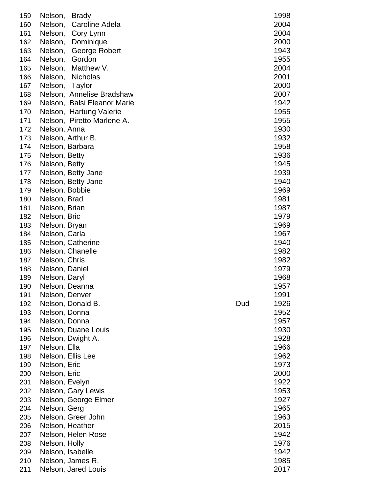| 159 | Nelson,        | <b>Brady</b>                |     | 1998 |
|-----|----------------|-----------------------------|-----|------|
| 160 | Nelson,        | Caroline Adela              |     | 2004 |
| 161 | Nelson,        | Cory Lynn                   |     | 2004 |
| 162 | Nelson,        | Dominique                   |     | 2000 |
| 163 | Nelson,        | George Robert               |     | 1943 |
| 164 | Nelson,        | Gordon                      |     | 1955 |
| 165 | Nelson,        | Matthew V.                  |     | 2004 |
| 166 | Nelson,        | <b>Nicholas</b>             |     | 2001 |
| 167 | Nelson,        | Taylor                      |     | 2000 |
| 168 |                | Nelson, Annelise Bradshaw   |     | 2007 |
| 169 |                | Nelson, Balsi Eleanor Marie |     | 1942 |
| 170 |                | Nelson, Hartung Valerie     |     | 1955 |
| 171 |                | Nelson, Piretto Marlene A.  |     | 1955 |
| 172 | Nelson, Anna   |                             |     | 1930 |
| 173 |                | Nelson, Arthur B.           |     | 1932 |
| 174 |                | Nelson, Barbara             |     | 1958 |
|     |                |                             |     | 1936 |
| 175 | Nelson, Betty  |                             |     | 1945 |
| 176 | Nelson, Betty  |                             |     |      |
| 177 |                | Nelson, Betty Jane          |     | 1939 |
| 178 |                | Nelson, Betty Jane          |     | 1940 |
| 179 | Nelson, Bobbie |                             |     | 1969 |
| 180 | Nelson, Brad   |                             |     | 1981 |
| 181 | Nelson, Brian  |                             |     | 1987 |
| 182 | Nelson, Bric   |                             |     | 1979 |
| 183 | Nelson, Bryan  |                             |     | 1969 |
| 184 | Nelson, Carla  |                             |     | 1967 |
| 185 |                | Nelson, Catherine           |     | 1940 |
| 186 |                | Nelson, Chanelle            |     | 1982 |
| 187 | Nelson, Chris  |                             |     | 1982 |
| 188 | Nelson, Daniel |                             |     | 1979 |
| 189 | Nelson, Daryl  |                             |     | 1968 |
| 190 |                | Nelson, Deanna              |     | 1957 |
| 191 | Nelson, Denver |                             |     | 1991 |
| 192 |                | Nelson, Donald B.           | Dud | 1926 |
| 193 | Nelson, Donna  |                             |     | 1952 |
| 194 | Nelson, Donna  |                             |     | 1957 |
| 195 |                | Nelson, Duane Louis         |     | 1930 |
| 196 |                | Nelson, Dwight A.           |     | 1928 |
| 197 | Nelson, Ella   |                             |     | 1966 |
| 198 |                | Nelson, Ellis Lee           |     | 1962 |
| 199 | Nelson, Eric   |                             |     | 1973 |
| 200 | Nelson, Eric   |                             |     | 2000 |
| 201 | Nelson, Evelyn |                             |     | 1922 |
| 202 |                | Nelson, Gary Lewis          |     | 1953 |
| 203 |                | Nelson, George Elmer        |     | 1927 |
| 204 | Nelson, Gerg   |                             |     | 1965 |
| 205 |                | Nelson, Greer John          |     | 1963 |
| 206 |                | Nelson, Heather             |     | 2015 |
| 207 |                | Nelson, Helen Rose          |     | 1942 |
| 208 | Nelson, Holly  |                             |     | 1976 |
| 209 |                | Nelson, Isabelle            |     | 1942 |
| 210 |                | Nelson, James R.            |     | 1985 |
| 211 |                | Nelson, Jared Louis         |     | 2017 |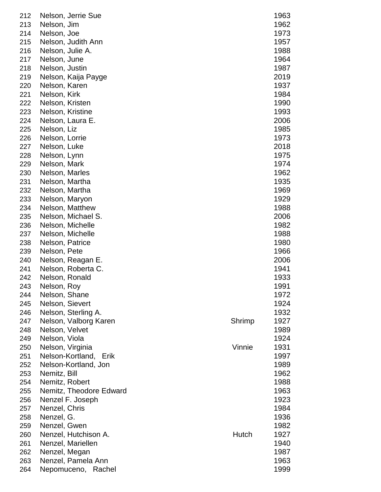| 212 | Nelson, Jerrie Sue      |        | 1963 |
|-----|-------------------------|--------|------|
| 213 | Nelson, Jim             |        | 1962 |
| 214 | Nelson, Joe             |        | 1973 |
| 215 | Nelson, Judith Ann      |        | 1957 |
| 216 | Nelson, Julie A.        |        | 1988 |
| 217 | Nelson, June            |        | 1964 |
| 218 | Nelson, Justin          |        | 1987 |
| 219 | Nelson, Kaija Payge     |        | 2019 |
| 220 | Nelson, Karen           |        | 1937 |
| 221 | Nelson, Kirk            |        | 1984 |
| 222 | Nelson, Kristen         |        | 1990 |
| 223 | Nelson, Kristine        |        | 1993 |
| 224 | Nelson, Laura E.        |        | 2006 |
| 225 | Nelson, Liz             |        | 1985 |
| 226 | Nelson, Lorrie          |        | 1973 |
| 227 | Nelson, Luke            |        | 2018 |
| 228 | Nelson, Lynn            |        | 1975 |
| 229 | Nelson, Mark            |        | 1974 |
| 230 | Nelson, Marles          |        | 1962 |
| 231 | Nelson, Martha          |        | 1935 |
| 232 | Nelson, Martha          |        | 1969 |
| 233 | Nelson, Maryon          |        | 1929 |
| 234 | Nelson, Matthew         |        | 1988 |
| 235 | Nelson, Michael S.      |        | 2006 |
| 236 | Nelson, Michelle        |        | 1982 |
| 237 | Nelson, Michelle        |        | 1988 |
| 238 | Nelson, Patrice         |        | 1980 |
| 239 | Nelson, Pete            |        | 1966 |
| 240 | Nelson, Reagan E.       |        | 2006 |
| 241 | Nelson, Roberta C.      |        | 1941 |
| 242 | Nelson, Ronald          |        | 1933 |
| 243 | Nelson, Roy             |        | 1991 |
| 244 | Nelson, Shane           |        | 1972 |
| 245 | Nelson, Sievert         |        | 1924 |
| 246 | Nelson, Sterling A.     |        | 1932 |
| 247 | Nelson, Valborg Karen   | Shrimp | 1927 |
| 248 | Nelson, Velvet          |        | 1989 |
| 249 | Nelson, Viola           |        | 1924 |
| 250 | Nelson, Virginia        | Vinnie | 1931 |
| 251 | Nelson-Kortland, Erik   |        | 1997 |
| 252 | Nelson-Kortland, Jon    |        | 1989 |
| 253 | Nemitz, Bill            |        | 1962 |
| 254 | Nemitz, Robert          |        | 1988 |
| 255 | Nemitz, Theodore Edward |        | 1963 |
| 256 | Nenzel F. Joseph        |        | 1923 |
| 257 | Nenzel, Chris           |        | 1984 |
| 258 | Nenzel, G.              |        | 1936 |
| 259 | Nenzel, Gwen            |        | 1982 |
| 260 | Nenzel, Hutchison A.    | Hutch  | 1927 |
| 261 | Nenzel, Mariellen       |        | 1940 |
| 262 | Nenzel, Megan           |        | 1987 |
| 263 | Nenzel, Pamela Ann      |        | 1963 |
| 264 | Nepomuceno,<br>Rachel   |        | 1999 |
|     |                         |        |      |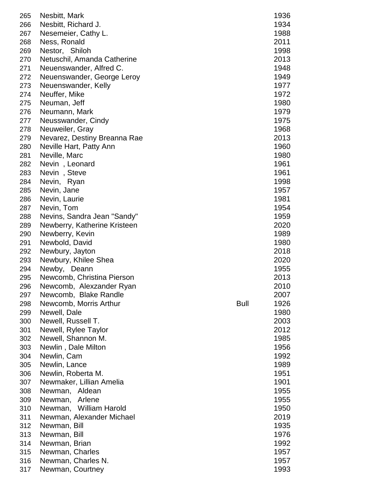| 265 | Nesbitt, Mark                |             | 1936 |
|-----|------------------------------|-------------|------|
| 266 | Nesbitt, Richard J.          |             | 1934 |
| 267 | Nesemeier, Cathy L.          |             | 1988 |
| 268 | Ness, Ronald                 |             | 2011 |
| 269 | Nestor, Shiloh               |             | 1998 |
| 270 | Netuschil, Amanda Catherine  |             | 2013 |
| 271 | Neuenswander, Alfred C.      |             | 1948 |
| 272 | Neuenswander, George Leroy   |             | 1949 |
|     | Neuenswander, Kelly          |             | 1977 |
| 273 |                              |             |      |
| 274 | Neuffer, Mike                |             | 1972 |
| 275 | Neuman, Jeff                 |             | 1980 |
| 276 | Neumann, Mark                |             | 1979 |
| 277 | Neusswander, Cindy           |             | 1975 |
| 278 | Neuweiler, Gray              |             | 1968 |
| 279 | Nevarez, Destiny Breanna Rae |             | 2013 |
| 280 | Neville Hart, Patty Ann      |             | 1960 |
| 281 | Neville, Marc                |             | 1980 |
| 282 | Nevin, Leonard               |             | 1961 |
| 283 | Nevin, Steve                 |             | 1961 |
| 284 | Nevin, Ryan                  |             | 1998 |
| 285 | Nevin, Jane                  |             | 1957 |
| 286 | Nevin, Laurie                |             | 1981 |
| 287 | Nevin, Tom                   |             | 1954 |
| 288 | Nevins, Sandra Jean "Sandy"  |             | 1959 |
| 289 | Newberry, Katherine Kristeen |             | 2020 |
| 290 | Newberry, Kevin              |             | 1989 |
| 291 | Newbold, David               |             | 1980 |
| 292 | Newbury, Jayton              |             | 2018 |
| 293 | Newbury, Khilee Shea         |             | 2020 |
| 294 | Newby, Deann                 |             | 1955 |
| 295 | Newcomb, Christina Pierson   |             | 2013 |
| 296 | Newcomb, Alexzander Ryan     |             | 2010 |
| 297 | Newcomb, Blake Randle        |             | 2007 |
| 298 | Newcomb, Morris Arthur       | <b>Bull</b> | 1926 |
| 299 | Newell, Dale                 |             | 1980 |
| 300 | Newell, Russell T.           |             | 2003 |
| 301 | Newell, Rylee Taylor         |             | 2012 |
| 302 | Newell, Shannon M.           |             | 1985 |
| 303 | Newlin, Dale Milton          |             | 1956 |
| 304 | Newlin, Cam                  |             | 1992 |
|     |                              |             |      |
| 305 | Newlin, Lance                |             | 1989 |
| 306 | Newlin, Roberta M.           |             | 1951 |
| 307 | Newmaker, Lillian Amelia     |             | 1901 |
| 308 | Newman, Aldean               |             | 1955 |
| 309 | Arlene<br>Newman,            |             | 1955 |
| 310 | Newman, William Harold       |             | 1950 |
| 311 | Newman, Alexander Michael    |             | 2019 |
| 312 | Newman, Bill                 |             | 1935 |
| 313 | Newman, Bill                 |             | 1976 |
| 314 | Newman, Brian                |             | 1992 |
| 315 | Newman, Charles              |             | 1957 |
| 316 | Newman, Charles N.           |             | 1957 |
| 317 | Newman, Courtney             |             | 1993 |
|     |                              |             |      |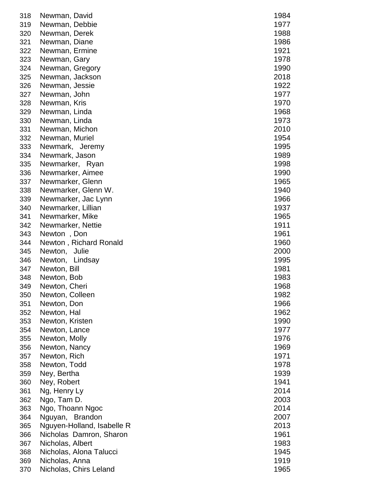| 318 | Newman, David              | 1984 |
|-----|----------------------------|------|
| 319 | Newman, Debbie             | 1977 |
| 320 | Newman, Derek              | 1988 |
| 321 | Newman, Diane              | 1986 |
| 322 | Newman, Ermine             | 1921 |
| 323 | Newman, Gary               | 1978 |
| 324 | Newman, Gregory            | 1990 |
| 325 | Newman, Jackson            | 2018 |
| 326 | Newman, Jessie             | 1922 |
| 327 | Newman, John               | 1977 |
| 328 | Newman, Kris               | 1970 |
| 329 | Newman, Linda              | 1968 |
| 330 | Newman, Linda              | 1973 |
| 331 | Newman, Michon             | 2010 |
| 332 | Newman, Muriel             | 1954 |
| 333 | Newmark, Jeremy            | 1995 |
| 334 | Newmark, Jason             | 1989 |
| 335 | Newmarker, Ryan            | 1998 |
| 336 | Newmarker, Aimee           | 1990 |
| 337 | Newmarker, Glenn           | 1965 |
| 338 | Newmarker, Glenn W.        | 1940 |
| 339 | Newmarker, Jac Lynn        | 1966 |
| 340 | Newmarker, Lillian         | 1937 |
| 341 | Newmarker, Mike            | 1965 |
| 342 | Newmarker, Nettie          | 1911 |
| 343 | Newton, Don                | 1961 |
| 344 | Newton, Richard Ronald     | 1960 |
| 345 | Newton, Julie              | 2000 |
| 346 | Newton, Lindsay            | 1995 |
| 347 | Newton, Bill               | 1981 |
| 348 | Newton, Bob                | 1983 |
| 349 | Newton, Cheri              | 1968 |
| 350 | Newton, Colleen            | 1982 |
| 351 | Newton, Don                | 1966 |
| 352 | Newton, Hal                | 1962 |
| 353 | Newton, Kristen            | 1990 |
| 354 | Newton, Lance              | 1977 |
| 355 | Newton, Molly              | 1976 |
| 356 | Newton, Nancy              | 1969 |
| 357 | Newton, Rich               | 1971 |
| 358 | Newton, Todd               | 1978 |
| 359 | Ney, Bertha                | 1939 |
| 360 | Ney, Robert                | 1941 |
| 361 | Ng, Henry Ly               | 2014 |
| 362 | Ngo, Tam D.                | 2003 |
| 363 | Ngo, Thoann Ngoc           | 2014 |
| 364 | Nguyan, Brandon            | 2007 |
| 365 | Nguyen-Holland, Isabelle R | 2013 |
| 366 | Nicholas Damron, Sharon    | 1961 |
| 367 | Nicholas, Albert           | 1983 |
| 368 | Nicholas, Alona Talucci    | 1945 |
| 369 | Nicholas, Anna             | 1919 |
| 370 | Nicholas, Chirs Leland     | 1965 |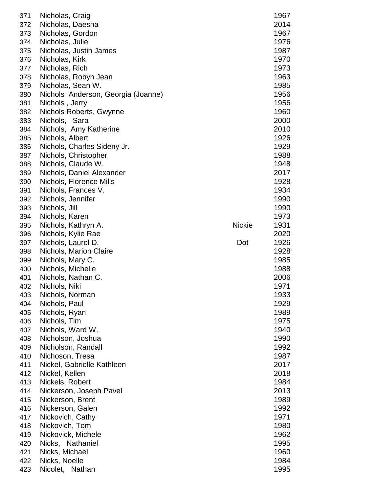| 371 | Nicholas, Craig                    |               | 1967 |
|-----|------------------------------------|---------------|------|
| 372 | Nicholas, Daesha                   |               | 2014 |
| 373 | Nicholas, Gordon                   |               | 1967 |
| 374 | Nicholas, Julie                    |               | 1976 |
| 375 | Nicholas, Justin James             |               | 1987 |
| 376 | Nicholas, Kirk                     |               | 1970 |
| 377 | Nicholas, Rich                     |               | 1973 |
| 378 | Nicholas, Robyn Jean               |               | 1963 |
| 379 | Nicholas, Sean W.                  |               | 1985 |
| 380 | Nichols Anderson, Georgia (Joanne) |               | 1956 |
| 381 | Nichols, Jerry                     |               | 1956 |
| 382 | Nichols Roberts, Gwynne            |               | 1960 |
| 383 | Nichols, Sara                      |               | 2000 |
| 384 | Nichols, Amy Katherine             |               | 2010 |
| 385 | Nichols, Albert                    |               | 1926 |
| 386 | Nichols, Charles Sideny Jr.        |               | 1929 |
| 387 | Nichols, Christopher               |               | 1988 |
| 388 | Nichols, Claude W.                 |               | 1948 |
| 389 | Nichols, Daniel Alexander          |               | 2017 |
| 390 | Nichols, Florence Mills            |               | 1928 |
| 391 | Nichols, Frances V.                |               | 1934 |
| 392 | Nichols, Jennifer                  |               | 1990 |
| 393 | Nichols, Jill                      |               | 1990 |
| 394 | Nichols, Karen                     |               | 1973 |
| 395 | Nichols, Kathryn A.                | <b>Nickie</b> | 1931 |
| 396 | Nichols, Kylie Rae                 |               | 2020 |
| 397 | Nichols, Laurel D.                 | Dot           | 1926 |
| 398 | Nichols, Marion Claire             |               | 1928 |
| 399 | Nichols, Mary C.                   |               | 1985 |
| 400 | Nichols, Michelle                  |               | 1988 |
| 401 | Nichols, Nathan C.                 |               | 2006 |
| 402 | Nichols, Niki                      |               | 1971 |
| 403 | Nichols, Norman                    |               | 1933 |
| 404 | Nichols, Paul                      |               | 1929 |
| 405 | Nichols, Ryan                      |               | 1989 |
| 406 | Nichols, Tim                       |               | 1975 |
| 407 | Nichols, Ward W.                   |               | 1940 |
| 408 | Nicholson, Joshua                  |               | 1990 |
| 409 | Nicholson, Randall                 |               | 1992 |
| 410 | Nichoson, Tresa                    |               | 1987 |
| 411 | Nickel, Gabrielle Kathleen         |               | 2017 |
| 412 | Nickel, Kellen                     |               | 2018 |
| 413 | Nickels, Robert                    |               | 1984 |
| 414 | Nickerson, Joseph Pavel            |               | 2013 |
| 415 | Nickerson, Brent                   |               | 1989 |
| 416 | Nickerson, Galen                   |               | 1992 |
| 417 | Nickovich, Cathy                   |               | 1971 |
| 418 | Nickovich, Tom                     |               | 1980 |
| 419 | Nickovick, Michele                 |               | 1962 |
| 420 | Nicks, Nathaniel                   |               | 1995 |
| 421 | Nicks, Michael                     |               | 1960 |
| 422 | Nicks, Noelle                      |               | 1984 |
| 423 | Nicolet, Nathan                    |               | 1995 |
|     |                                    |               |      |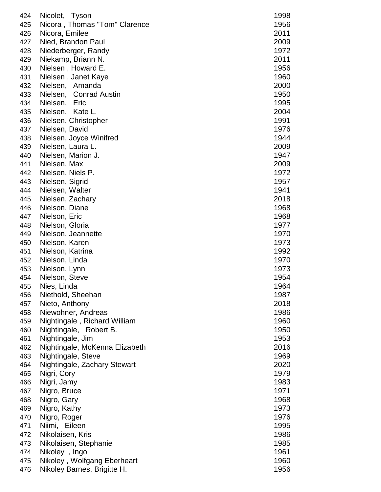| 424 | Nicolet, Tyson                 | 1998 |
|-----|--------------------------------|------|
| 425 | Nicora, Thomas "Tom" Clarence  | 1956 |
| 426 | Nicora, Emilee                 | 2011 |
| 427 | Nied, Brandon Paul             | 2009 |
| 428 | Niederberger, Randy            | 1972 |
| 429 | Niekamp, Briann N.             | 2011 |
| 430 | Nielsen, Howard E.             | 1956 |
|     |                                |      |
| 431 | Nielsen, Janet Kaye            | 1960 |
| 432 | Nielsen, Amanda                | 2000 |
| 433 | Nielsen, Conrad Austin         | 1950 |
| 434 | Nielsen,<br>Eric               | 1995 |
| 435 | Nielsen,<br>Kate L.            | 2004 |
| 436 | Nielsen, Christopher           | 1991 |
| 437 | Nielsen, David                 | 1976 |
| 438 | Nielsen, Joyce Winifred        | 1944 |
| 439 | Nielsen, Laura L.              | 2009 |
| 440 | Nielsen, Marion J.             | 1947 |
| 441 | Nielsen, Max                   | 2009 |
| 442 | Nielsen, Niels P.              | 1972 |
| 443 | Nielsen, Sigrid                | 1957 |
| 444 | Nielsen, Walter                | 1941 |
| 445 | Nielsen, Zachary               | 2018 |
| 446 | Nielson, Diane                 | 1968 |
| 447 | Nielson, Eric                  | 1968 |
| 448 | Nielson, Gloria                | 1977 |
| 449 | Nielson, Jeannette             | 1970 |
| 450 | Nielson, Karen                 | 1973 |
| 451 | Nielson, Katrina               | 1992 |
| 452 | Nielson, Linda                 | 1970 |
| 453 | Nielson, Lynn                  | 1973 |
| 454 | Nielson, Steve                 | 1954 |
| 455 | Nies, Linda                    | 1964 |
| 456 | Niethold, Sheehan              | 1987 |
| 457 | Nieto, Anthony                 | 2018 |
| 458 | Niewohner, Andreas             | 1986 |
| 459 | Nightingale, Richard William   | 1960 |
| 460 | Nightingale, Robert B.         | 1950 |
| 461 | Nightingale, Jim               | 1953 |
| 462 | Nightingale, McKenna Elizabeth | 2016 |
| 463 | Nightingale, Steve             | 1969 |
| 464 | Nightingale, Zachary Stewart   | 2020 |
| 465 | Nigri, Cory                    | 1979 |
| 466 | Nigri, Jamy                    | 1983 |
| 467 | Nigro, Bruce                   | 1971 |
| 468 | Nigro, Gary                    | 1968 |
| 469 | Nigro, Kathy                   | 1973 |
| 470 | Nigro, Roger                   | 1976 |
| 471 | Niimi, Eileen                  | 1995 |
| 472 | Nikolaisen, Kris               | 1986 |
| 473 | Nikolaisen, Stephanie          | 1985 |
| 474 | Nikoley, Ingo                  | 1961 |
| 475 | Nikoley, Wolfgang Eberheart    | 1960 |
| 476 | Nikoley Barnes, Brigitte H.    | 1956 |
|     |                                |      |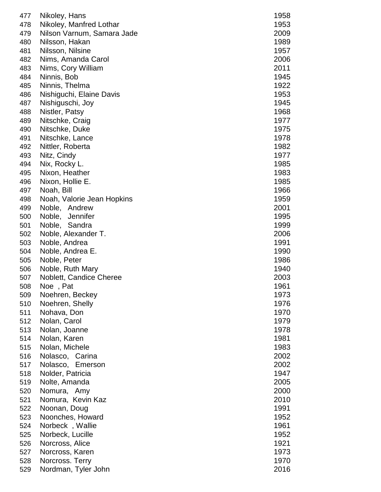| 477 | Nikoley, Hans              | 1958 |
|-----|----------------------------|------|
| 478 | Nikoley, Manfred Lothar    | 1953 |
| 479 | Nilson Varnum, Samara Jade | 2009 |
| 480 | Nilsson, Hakan             | 1989 |
| 481 | Nilsson, Nilsine           | 1957 |
| 482 | Nims, Amanda Carol         | 2006 |
| 483 | Nims, Cory William         | 2011 |
| 484 | Ninnis, Bob                | 1945 |
| 485 | Ninnis, Thelma             | 1922 |
| 486 | Nishiguchi, Elaine Davis   | 1953 |
| 487 | Nishiguschi, Joy           | 1945 |
| 488 | Nistler, Patsy             | 1968 |
| 489 | Nitschke, Craig            | 1977 |
| 490 | Nitschke, Duke             | 1975 |
| 491 | Nitschke, Lance            | 1978 |
| 492 | Nittler, Roberta           | 1982 |
| 493 | Nitz, Cindy                | 1977 |
| 494 | Nix, Rocky L.              | 1985 |
| 495 | Nixon, Heather             | 1983 |
| 496 | Nixon, Hollie E.           | 1985 |
| 497 | Noah, Bill                 | 1966 |
| 498 | Noah, Valorie Jean Hopkins | 1959 |
| 499 | Noble, Andrew              | 2001 |
| 500 | Noble,<br>Jennifer         | 1995 |
| 501 | Noble, Sandra              | 1999 |
| 502 | Noble, Alexander T.        | 2006 |
| 503 | Noble, Andrea              | 1991 |
| 504 | Noble, Andrea E.           | 1990 |
| 505 | Noble, Peter               | 1986 |
| 506 | Noble, Ruth Mary           | 1940 |
| 507 | Noblett, Candice Cheree    | 2003 |
| 508 | Noe, Pat                   | 1961 |
| 509 | Noehren, Beckey            | 1973 |
| 510 | Noehren, Shelly            | 1976 |
| 511 | Nohava, Don                | 1970 |
| 512 | Nolan, Carol               | 1979 |
| 513 | Nolan, Joanne              | 1978 |
| 514 | Nolan, Karen               | 1981 |
| 515 | Nolan, Michele             | 1983 |
| 516 | Nolasco, Carina            | 2002 |
| 517 | Nolasco, Emerson           | 2002 |
| 518 | Nolder, Patricia           | 1947 |
| 519 | Nolte, Amanda              | 2005 |
| 520 | Nomura, Amy                | 2000 |
| 521 | Nomura, Kevin Kaz          | 2010 |
| 522 | Noonan, Doug               | 1991 |
| 523 | Noonches, Howard           | 1952 |
| 524 | Norbeck, Wallie            | 1961 |
| 525 | Norbeck, Lucille           | 1952 |
| 526 | Norcross, Alice            | 1921 |
| 527 | Norcross, Karen            | 1973 |
| 528 | Norcross. Terry            | 1970 |
| 529 | Nordman, Tyler John        | 2016 |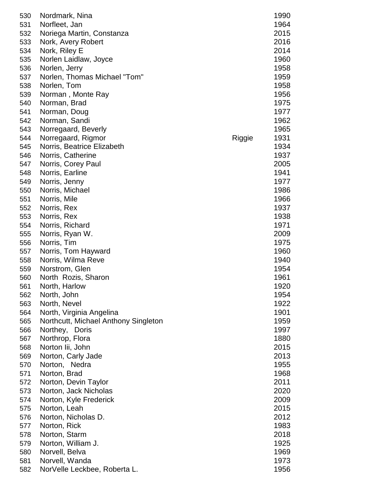| 530 | Nordmark, Nina                       |        | 1990 |
|-----|--------------------------------------|--------|------|
| 531 | Norfleet, Jan                        |        | 1964 |
| 532 | Noriega Martin, Constanza            |        | 2015 |
| 533 | Nork, Avery Robert                   |        | 2016 |
| 534 | Nork, Riley E                        |        | 2014 |
| 535 | Norlen Laidlaw, Joyce                |        | 1960 |
| 536 | Norlen, Jerry                        |        | 1958 |
| 537 | Norlen, Thomas Michael "Tom"         |        | 1959 |
| 538 | Norlen, Tom                          |        | 1958 |
|     |                                      |        |      |
| 539 | Norman, Monte Ray                    |        | 1956 |
| 540 | Norman, Brad                         |        | 1975 |
| 541 | Norman, Doug                         |        | 1977 |
| 542 | Norman, Sandi                        |        | 1962 |
| 543 | Norregaard, Beverly                  |        | 1965 |
| 544 | Norregaard, Rigmor                   | Riggie | 1931 |
| 545 | Norris, Beatrice Elizabeth           |        | 1934 |
| 546 | Norris, Catherine                    |        | 1937 |
| 547 | Norris, Corey Paul                   |        | 2005 |
| 548 | Norris, Earline                      |        | 1941 |
| 549 | Norris, Jenny                        |        | 1977 |
| 550 | Norris, Michael                      |        | 1986 |
| 551 |                                      |        | 1966 |
|     | Norris, Mile                         |        |      |
| 552 | Norris, Rex                          |        | 1937 |
| 553 | Norris, Rex                          |        | 1938 |
| 554 | Norris, Richard                      |        | 1971 |
| 555 | Norris, Ryan W.                      |        | 2009 |
| 556 | Norris, Tim                          |        | 1975 |
| 557 | Norris, Tom Hayward                  |        | 1960 |
| 558 | Norris, Wilma Reve                   |        | 1940 |
| 559 | Norstrom, Glen                       |        | 1954 |
| 560 | North Rozis, Sharon                  |        | 1961 |
| 561 | North, Harlow                        |        | 1920 |
| 562 | North, John                          |        | 1954 |
| 563 | North, Nevel                         |        | 1922 |
| 564 | North, Virginia Angelina             |        | 1901 |
| 565 | Northcutt, Michael Anthony Singleton |        | 1959 |
| 566 | Northey, Doris                       |        | 1997 |
| 567 | Northrop, Flora                      |        | 1880 |
| 568 | Norton lii, John                     |        | 2015 |
| 569 | Norton, Carly Jade                   |        | 2013 |
| 570 | Norton, Nedra                        |        | 1955 |
| 571 | Norton, Brad                         |        | 1968 |
|     |                                      |        |      |
| 572 | Norton, Devin Taylor                 |        | 2011 |
| 573 | Norton, Jack Nicholas                |        | 2020 |
| 574 | Norton, Kyle Frederick               |        | 2009 |
| 575 | Norton, Leah                         |        | 2015 |
| 576 | Norton, Nicholas D.                  |        | 2012 |
| 577 | Norton, Rick                         |        | 1983 |
| 578 | Norton, Starm                        |        | 2018 |
| 579 | Norton, William J.                   |        | 1925 |
| 580 | Norvell, Belva                       |        | 1969 |
| 581 | Norvell, Wanda                       |        | 1973 |
| 582 | NorVelle Leckbee, Roberta L.         |        | 1956 |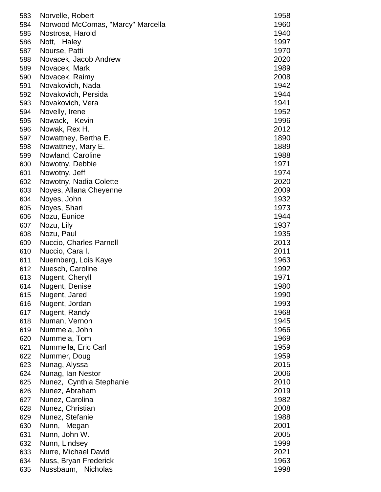| 583 | Norvelle, Robert                  | 1958 |
|-----|-----------------------------------|------|
| 584 | Norwood McComas, "Marcy" Marcella | 1960 |
| 585 | Nostrosa, Harold                  | 1940 |
| 586 | Nott, Haley                       | 1997 |
| 587 | Nourse, Patti                     | 1970 |
| 588 | Novacek, Jacob Andrew             | 2020 |
| 589 | Novacek, Mark                     | 1989 |
| 590 | Novacek, Raimy                    | 2008 |
| 591 | Novakovich, Nada                  | 1942 |
| 592 | Novakovich, Persida               | 1944 |
| 593 | Novakovich, Vera                  | 1941 |
| 594 | Novelly, Irene                    | 1952 |
| 595 | Nowack, Kevin                     | 1996 |
| 596 | Nowak, Rex H.                     | 2012 |
| 597 | Nowattney, Bertha E.              | 1890 |
| 598 | Nowattney, Mary E.                | 1889 |
| 599 | Nowland, Caroline                 | 1988 |
| 600 | Nowotny, Debbie                   | 1971 |
| 601 | Nowotny, Jeff                     | 1974 |
| 602 | Nowotny, Nadia Colette            | 2020 |
| 603 | Noyes, Allana Cheyenne            | 2009 |
| 604 | Noyes, John                       | 1932 |
| 605 | Noyes, Shari                      | 1973 |
| 606 | Nozu, Eunice                      | 1944 |
| 607 | Nozu, Lily                        | 1937 |
| 608 | Nozu, Paul                        | 1935 |
| 609 | Nuccio, Charles Parnell           | 2013 |
| 610 | Nuccio, Cara I.                   | 2011 |
| 611 | Nuernberg, Lois Kaye              | 1963 |
|     |                                   |      |
| 612 | Nuesch, Caroline                  | 1992 |
| 613 | Nugent, Cheryll                   | 1971 |
| 614 | Nugent, Denise                    | 1980 |
| 615 | Nugent, Jared                     | 1990 |
| 616 | Nugent, Jordan                    | 1993 |
| 617 | Nugent, Randy                     | 1968 |
| 618 | Numan, Vernon                     | 1945 |
| 619 | Nummela, John                     | 1966 |
| 620 | Nummela, Tom                      | 1969 |
| 621 | Nummella, Eric Carl               | 1959 |
| 622 | Nummer, Doug                      | 1959 |
| 623 | Nunag, Alyssa                     | 2015 |
| 624 | Nunag, Ian Nestor                 | 2006 |
| 625 | Nunez, Cynthia Stephanie          | 2010 |
| 626 | Nunez, Abraham                    | 2019 |
| 627 | Nunez, Carolina                   | 1982 |
| 628 | Nunez, Christian                  | 2008 |
| 629 | Nunez, Stefanie                   | 1988 |
| 630 | Nunn, Megan                       | 2001 |
| 631 | Nunn, John W.                     | 2005 |
| 632 | Nunn, Lindsey                     | 1999 |
| 633 | Nurre, Michael David              | 2021 |
| 634 | Nuss, Bryan Frederick             | 1963 |
| 635 | Nussbaum,<br><b>Nicholas</b>      | 1998 |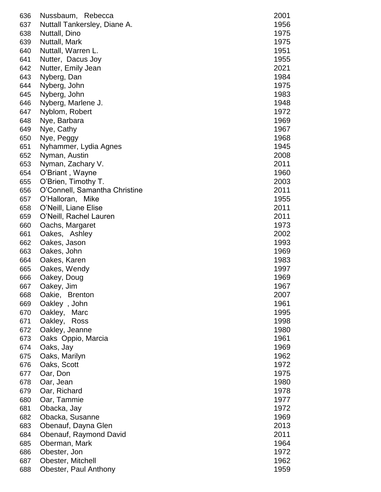| 636 | Nussbaum, Rebecca             | 2001 |
|-----|-------------------------------|------|
| 637 | Nuttall Tankersley, Diane A.  | 1956 |
| 638 | Nuttall, Dino                 | 1975 |
| 639 | Nuttall, Mark                 | 1975 |
| 640 | Nuttall, Warren L.            | 1951 |
| 641 | Nutter, Dacus Joy             | 1955 |
| 642 | Nutter, Emily Jean            | 2021 |
| 643 | Nyberg, Dan                   | 1984 |
| 644 | Nyberg, John                  | 1975 |
| 645 | Nyberg, John                  | 1983 |
| 646 | Nyberg, Marlene J.            | 1948 |
| 647 | Nyblom, Robert                | 1972 |
| 648 | Nye, Barbara                  | 1969 |
| 649 | Nye, Cathy                    | 1967 |
| 650 | Nye, Peggy                    | 1968 |
| 651 | Nyhammer, Lydia Agnes         | 1945 |
| 652 | Nyman, Austin                 | 2008 |
| 653 | Nyman, Zachary V.             | 2011 |
| 654 | O'Briant, Wayne               | 1960 |
| 655 | O'Brien, Timothy T.           | 2003 |
| 656 | O'Connell, Samantha Christine | 2011 |
| 657 | O'Halloran, Mike              | 1955 |
| 658 | O'Neill, Liane Elise          | 2011 |
| 659 | O'Neill, Rachel Lauren        | 2011 |
| 660 | Oachs, Margaret               | 1973 |
| 661 | Oakes, Ashley                 | 2002 |
| 662 | Oakes, Jason                  | 1993 |
| 663 | Oakes, John                   | 1969 |
| 664 | Oakes, Karen                  | 1983 |
| 665 | Oakes, Wendy                  | 1997 |
| 666 | Oakey, Doug                   | 1969 |
| 667 | Oakey, Jim                    | 1967 |
| 668 | Oakie, Brenton                | 2007 |
| 669 | Oakley, John                  | 1961 |
| 670 | Oakley,<br>Marc               | 1995 |
| 671 | Oakley,<br>Ross               | 1998 |
| 672 | Oakley, Jeanne                | 1980 |
| 673 | Oaks Oppio, Marcia            | 1961 |
| 674 | Oaks, Jay                     | 1969 |
| 675 | Oaks, Marilyn                 | 1962 |
| 676 | Oaks, Scott                   | 1972 |
| 677 | Oar, Don                      | 1975 |
| 678 | Oar, Jean                     | 1980 |
| 679 | Oar, Richard                  | 1978 |
| 680 | Oar, Tammie                   | 1977 |
| 681 | Obacka, Jay                   | 1972 |
| 682 | Obacka, Susanne               | 1969 |
| 683 | Obenauf, Dayna Glen           | 2013 |
| 684 | Obenauf, Raymond David        | 2011 |
| 685 | Oberman, Mark                 | 1964 |
| 686 | Obester, Jon                  | 1972 |
| 687 | Obester, Mitchell             | 1962 |
| 688 | Obester, Paul Anthony         | 1959 |
|     |                               |      |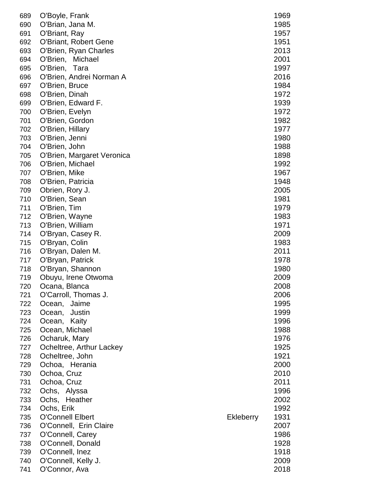| 689 | O'Boyle, Frank             |                  | 1969 |
|-----|----------------------------|------------------|------|
| 690 | O'Brian, Jana M.           |                  | 1985 |
| 691 | O'Briant, Ray              |                  | 1957 |
| 692 | O'Briant, Robert Gene      |                  | 1951 |
| 693 | O'Brien, Ryan Charles      |                  | 2013 |
| 694 | O'Brien,<br>Michael        |                  | 2001 |
| 695 | O'Brien, Tara              |                  | 1997 |
| 696 | O'Brien, Andrei Norman A   |                  | 2016 |
| 697 | O'Brien, Bruce             |                  | 1984 |
| 698 | O'Brien, Dinah             |                  | 1972 |
| 699 | O'Brien, Edward F.         |                  | 1939 |
| 700 | O'Brien, Evelyn            |                  | 1972 |
| 701 | O'Brien, Gordon            |                  | 1982 |
| 702 | O'Brien, Hillary           |                  | 1977 |
| 703 | O'Brien, Jenni             |                  | 1980 |
| 704 | O'Brien, John              |                  | 1988 |
| 705 | O'Brien, Margaret Veronica |                  | 1898 |
| 706 | O'Brien, Michael           |                  | 1992 |
| 707 | O'Brien, Mike              |                  | 1967 |
| 708 | O'Brien, Patricia          |                  | 1948 |
| 709 | Obrien, Rory J.            |                  | 2005 |
| 710 | O'Brien, Sean              |                  | 1981 |
| 711 | O'Brien, Tim               |                  | 1979 |
| 712 | O'Brien, Wayne             |                  | 1983 |
| 713 | O'Brien, William           |                  | 1971 |
| 714 | O'Bryan, Casey R.          |                  | 2009 |
| 715 | O'Bryan, Colin             |                  | 1983 |
| 716 | O'Bryan, Dalen M.          |                  | 2011 |
| 717 | O'Bryan, Patrick           |                  | 1978 |
| 718 | O'Bryan, Shannon           |                  | 1980 |
| 719 | Obuyu, Irene Otwoma        |                  | 2009 |
| 720 | Ocana, Blanca              |                  | 2008 |
| 721 | O'Carroll, Thomas J.       |                  | 2006 |
| 722 | Ocean,<br>Jaime            |                  | 1995 |
| 723 | Justin<br>Ocean,           |                  | 1999 |
| 724 | Kaity<br>Ocean,            |                  | 1996 |
| 725 | Ocean, Michael             |                  | 1988 |
| 726 | Ocharuk, Mary              |                  | 1976 |
| 727 | Ocheltree, Arthur Lackey   |                  | 1925 |
| 728 | Ocheltree, John            |                  | 1921 |
| 729 | Ochoa, Herania             |                  | 2000 |
| 730 | Ochoa, Cruz                |                  | 2010 |
| 731 | Ochoa, Cruz                |                  | 2011 |
| 732 | Ochs, Alyssa               |                  | 1996 |
| 733 | Ochs, Heather              |                  | 2002 |
| 734 | Ochs, Erik                 |                  | 1992 |
| 735 | <b>O'Connell Elbert</b>    | <b>Ekleberry</b> | 1931 |
| 736 | O'Connell, Erin Claire     |                  | 2007 |
| 737 | O'Connell, Carey           |                  | 1986 |
| 738 | O'Connell, Donald          |                  | 1928 |
| 739 | O'Connell, Inez            |                  | 1918 |
| 740 | O'Connell, Kelly J.        |                  | 2009 |
| 741 | O'Connor, Ava              |                  | 2018 |
|     |                            |                  |      |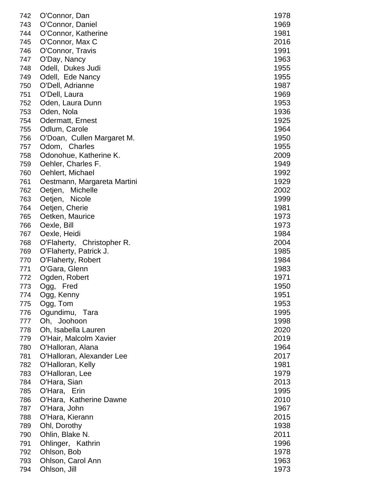|                                               | 1978                                                                                                                                                                                                                                                                                                                                                                                                                                                                                                                                                                                                                                                                                                                                                                                                                                       |
|-----------------------------------------------|--------------------------------------------------------------------------------------------------------------------------------------------------------------------------------------------------------------------------------------------------------------------------------------------------------------------------------------------------------------------------------------------------------------------------------------------------------------------------------------------------------------------------------------------------------------------------------------------------------------------------------------------------------------------------------------------------------------------------------------------------------------------------------------------------------------------------------------------|
|                                               |                                                                                                                                                                                                                                                                                                                                                                                                                                                                                                                                                                                                                                                                                                                                                                                                                                            |
|                                               | 1969                                                                                                                                                                                                                                                                                                                                                                                                                                                                                                                                                                                                                                                                                                                                                                                                                                       |
| 744                                           | 1981                                                                                                                                                                                                                                                                                                                                                                                                                                                                                                                                                                                                                                                                                                                                                                                                                                       |
| 745                                           | 2016                                                                                                                                                                                                                                                                                                                                                                                                                                                                                                                                                                                                                                                                                                                                                                                                                                       |
| 746                                           | 1991                                                                                                                                                                                                                                                                                                                                                                                                                                                                                                                                                                                                                                                                                                                                                                                                                                       |
| O'Day, Nancy<br>747                           | 1963                                                                                                                                                                                                                                                                                                                                                                                                                                                                                                                                                                                                                                                                                                                                                                                                                                       |
| Odell, Dukes Judi<br>748                      | 1955                                                                                                                                                                                                                                                                                                                                                                                                                                                                                                                                                                                                                                                                                                                                                                                                                                       |
| 749<br>Odell, Ede Nancy                       | 1955                                                                                                                                                                                                                                                                                                                                                                                                                                                                                                                                                                                                                                                                                                                                                                                                                                       |
| 750                                           | 1987                                                                                                                                                                                                                                                                                                                                                                                                                                                                                                                                                                                                                                                                                                                                                                                                                                       |
|                                               | 1969                                                                                                                                                                                                                                                                                                                                                                                                                                                                                                                                                                                                                                                                                                                                                                                                                                       |
| 752                                           | 1953                                                                                                                                                                                                                                                                                                                                                                                                                                                                                                                                                                                                                                                                                                                                                                                                                                       |
| 753                                           | 1936                                                                                                                                                                                                                                                                                                                                                                                                                                                                                                                                                                                                                                                                                                                                                                                                                                       |
| 754                                           | 1925                                                                                                                                                                                                                                                                                                                                                                                                                                                                                                                                                                                                                                                                                                                                                                                                                                       |
|                                               | 1964                                                                                                                                                                                                                                                                                                                                                                                                                                                                                                                                                                                                                                                                                                                                                                                                                                       |
|                                               | 1950                                                                                                                                                                                                                                                                                                                                                                                                                                                                                                                                                                                                                                                                                                                                                                                                                                       |
|                                               | 1955                                                                                                                                                                                                                                                                                                                                                                                                                                                                                                                                                                                                                                                                                                                                                                                                                                       |
|                                               |                                                                                                                                                                                                                                                                                                                                                                                                                                                                                                                                                                                                                                                                                                                                                                                                                                            |
|                                               | 2009                                                                                                                                                                                                                                                                                                                                                                                                                                                                                                                                                                                                                                                                                                                                                                                                                                       |
|                                               | 1949                                                                                                                                                                                                                                                                                                                                                                                                                                                                                                                                                                                                                                                                                                                                                                                                                                       |
| 760                                           | 1992                                                                                                                                                                                                                                                                                                                                                                                                                                                                                                                                                                                                                                                                                                                                                                                                                                       |
|                                               | 1929                                                                                                                                                                                                                                                                                                                                                                                                                                                                                                                                                                                                                                                                                                                                                                                                                                       |
| 762                                           | 2002                                                                                                                                                                                                                                                                                                                                                                                                                                                                                                                                                                                                                                                                                                                                                                                                                                       |
| 763                                           | 1999                                                                                                                                                                                                                                                                                                                                                                                                                                                                                                                                                                                                                                                                                                                                                                                                                                       |
| 764                                           | 1981                                                                                                                                                                                                                                                                                                                                                                                                                                                                                                                                                                                                                                                                                                                                                                                                                                       |
| Oetken, Maurice<br>765                        | 1973                                                                                                                                                                                                                                                                                                                                                                                                                                                                                                                                                                                                                                                                                                                                                                                                                                       |
| 766<br>Oexle, Bill                            | 1973                                                                                                                                                                                                                                                                                                                                                                                                                                                                                                                                                                                                                                                                                                                                                                                                                                       |
| 767<br>Oexle, Heidi                           | 1984                                                                                                                                                                                                                                                                                                                                                                                                                                                                                                                                                                                                                                                                                                                                                                                                                                       |
| O'Flaherty, Christopher R.<br>768             | 2004                                                                                                                                                                                                                                                                                                                                                                                                                                                                                                                                                                                                                                                                                                                                                                                                                                       |
| 769                                           | 1985                                                                                                                                                                                                                                                                                                                                                                                                                                                                                                                                                                                                                                                                                                                                                                                                                                       |
| 770                                           | 1984                                                                                                                                                                                                                                                                                                                                                                                                                                                                                                                                                                                                                                                                                                                                                                                                                                       |
| 771                                           | 1983                                                                                                                                                                                                                                                                                                                                                                                                                                                                                                                                                                                                                                                                                                                                                                                                                                       |
| 772                                           | 1971                                                                                                                                                                                                                                                                                                                                                                                                                                                                                                                                                                                                                                                                                                                                                                                                                                       |
| 773                                           | 1950                                                                                                                                                                                                                                                                                                                                                                                                                                                                                                                                                                                                                                                                                                                                                                                                                                       |
| 774                                           | 1951                                                                                                                                                                                                                                                                                                                                                                                                                                                                                                                                                                                                                                                                                                                                                                                                                                       |
| 775                                           | 1953                                                                                                                                                                                                                                                                                                                                                                                                                                                                                                                                                                                                                                                                                                                                                                                                                                       |
|                                               | 1995                                                                                                                                                                                                                                                                                                                                                                                                                                                                                                                                                                                                                                                                                                                                                                                                                                       |
|                                               | 1998                                                                                                                                                                                                                                                                                                                                                                                                                                                                                                                                                                                                                                                                                                                                                                                                                                       |
|                                               |                                                                                                                                                                                                                                                                                                                                                                                                                                                                                                                                                                                                                                                                                                                                                                                                                                            |
|                                               | 2020                                                                                                                                                                                                                                                                                                                                                                                                                                                                                                                                                                                                                                                                                                                                                                                                                                       |
| 779                                           | 2019                                                                                                                                                                                                                                                                                                                                                                                                                                                                                                                                                                                                                                                                                                                                                                                                                                       |
| 780                                           | 1964                                                                                                                                                                                                                                                                                                                                                                                                                                                                                                                                                                                                                                                                                                                                                                                                                                       |
| 781                                           | 2017                                                                                                                                                                                                                                                                                                                                                                                                                                                                                                                                                                                                                                                                                                                                                                                                                                       |
| 782                                           | 1981                                                                                                                                                                                                                                                                                                                                                                                                                                                                                                                                                                                                                                                                                                                                                                                                                                       |
| 783                                           | 1979                                                                                                                                                                                                                                                                                                                                                                                                                                                                                                                                                                                                                                                                                                                                                                                                                                       |
| 784                                           | 2013                                                                                                                                                                                                                                                                                                                                                                                                                                                                                                                                                                                                                                                                                                                                                                                                                                       |
| 785                                           | 1995                                                                                                                                                                                                                                                                                                                                                                                                                                                                                                                                                                                                                                                                                                                                                                                                                                       |
| 786<br>O'Hara, Katherine Dawne                | 2010                                                                                                                                                                                                                                                                                                                                                                                                                                                                                                                                                                                                                                                                                                                                                                                                                                       |
| 787<br>O'Hara, John                           | 1967                                                                                                                                                                                                                                                                                                                                                                                                                                                                                                                                                                                                                                                                                                                                                                                                                                       |
| O'Hara, Kierann<br>788                        | 2015                                                                                                                                                                                                                                                                                                                                                                                                                                                                                                                                                                                                                                                                                                                                                                                                                                       |
| Ohl, Dorothy<br>789                           | 1938                                                                                                                                                                                                                                                                                                                                                                                                                                                                                                                                                                                                                                                                                                                                                                                                                                       |
| Ohlin, Blake N.<br>790                        | 2011                                                                                                                                                                                                                                                                                                                                                                                                                                                                                                                                                                                                                                                                                                                                                                                                                                       |
| 791                                           | 1996                                                                                                                                                                                                                                                                                                                                                                                                                                                                                                                                                                                                                                                                                                                                                                                                                                       |
| 792                                           | 1978                                                                                                                                                                                                                                                                                                                                                                                                                                                                                                                                                                                                                                                                                                                                                                                                                                       |
| 793<br>Ohlson, Carol Ann                      | 1963                                                                                                                                                                                                                                                                                                                                                                                                                                                                                                                                                                                                                                                                                                                                                                                                                                       |
|                                               |                                                                                                                                                                                                                                                                                                                                                                                                                                                                                                                                                                                                                                                                                                                                                                                                                                            |
| 751<br>755<br>756<br>758<br>759<br>761<br>777 | 742<br>O'Connor, Dan<br>743<br>O'Connor, Daniel<br>O'Connor, Katherine<br>O'Connor, Max C<br>O'Connor, Travis<br>O'Dell, Adrianne<br>O'Dell, Laura<br>Oden, Laura Dunn<br>Oden, Nola<br>Odermatt, Ernest<br>Odlum, Carole<br>O'Doan, Cullen Margaret M.<br>757<br>Odom, Charles<br>Odonohue, Katherine K.<br>Oehler, Charles F.<br>Oehlert, Michael<br>Oestmann, Margareta Martini<br>Oetjen,<br>Michelle<br>Oetjen,<br>Nicole<br>Oetjen, Cherie<br>O'Flaherty, Patrick J.<br>O'Flaherty, Robert<br>O'Gara, Glenn<br>Ogden, Robert<br>Ogg,<br>Fred<br>Ogg, Kenny<br>Ogg, Tom<br>Ogundimu, Tara<br>776<br>Oh, Joohoon<br>Oh, Isabella Lauren<br>778<br>O'Hair, Malcolm Xavier<br>O'Halloran, Alana<br>O'Halloran, Alexander Lee<br>O'Halloran, Kelly<br>O'Halloran, Lee<br>O'Hara, Sian<br>O'Hara, Erin<br>Ohlinger, Kathrin<br>Ohlson, Bob |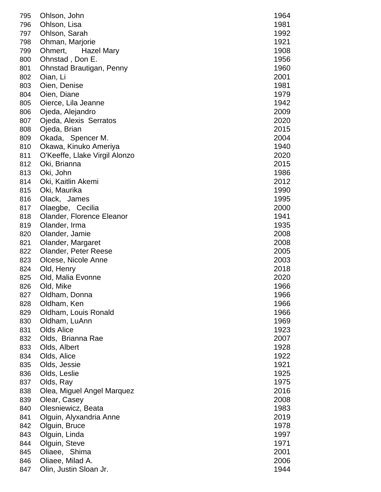| 795 | Ohlson, John                  | 1964         |
|-----|-------------------------------|--------------|
| 796 | Ohlson, Lisa                  | 1981         |
| 797 | Ohlson, Sarah                 | 1992         |
| 798 | Ohman, Marjorie               | 1921         |
| 799 | <b>Hazel Mary</b><br>Ohmert,  | 1908         |
| 800 | Ohnstad, Don E.               | 1956         |
| 801 | Ohnstad Brautigan, Penny      | 1960         |
|     |                               |              |
| 802 | Oian, Li                      | 2001<br>1981 |
| 803 | Oien, Denise                  |              |
| 804 | Oien, Diane                   | 1979         |
| 805 | Oierce, Lila Jeanne           | 1942         |
| 806 | Ojeda, Alejandro              | 2009         |
| 807 | Ojeda, Alexis Serratos        | 2020         |
| 808 | Ojeda, Brian                  | 2015         |
| 809 | Okada, Spencer M.             | 2004         |
| 810 | Okawa, Kinuko Ameriya         | 1940         |
| 811 | O'Keeffe, Llake Virgil Alonzo | 2020         |
| 812 | Oki, Brianna                  | 2015         |
| 813 | Oki, John                     | 1986         |
| 814 | Oki, Kaitlin Akemi            | 2012         |
| 815 | Oki, Maurika                  | 1990         |
| 816 | Olack, James                  | 1995         |
| 817 | Olaegbe, Cecilia              | 2000         |
| 818 | Olander, Florence Eleanor     | 1941         |
| 819 | Olander, Irma                 | 1935         |
| 820 | Olander, Jamie                | 2008         |
| 821 | Olander, Margaret             | 2008         |
| 822 | <b>Olander, Peter Reese</b>   | 2005         |
| 823 | Olcese, Nicole Anne           | 2003         |
| 824 | Old, Henry                    | 2018         |
| 825 | Old, Malia Evonne             | 2020         |
| 826 | Old, Mike                     | 1966         |
| 827 | Oldham, Donna                 | 1966         |
| 828 | Oldham, Ken                   | 1966         |
| 829 | Oldham, Louis Ronald          | 1966         |
| 830 | Oldham, LuAnn                 | 1969         |
| 831 | <b>Olds Alice</b>             | 1923         |
| 832 | Olds, Brianna Rae             | 2007         |
| 833 | Olds, Albert                  | 1928         |
| 834 | Olds, Alice                   | 1922         |
| 835 | Olds, Jessie                  | 1921         |
| 836 | Olds, Leslie                  | 1925         |
| 837 | Olds, Ray                     | 1975         |
|     |                               | 2016         |
| 838 | Olea, Miguel Angel Marquez    |              |
| 839 | Olear, Casey                  | 2008         |
| 840 | Olesniewicz, Beata            | 1983         |
| 841 | Olguin, Alyxandria Anne       | 2019         |
| 842 | Olguin, Bruce                 | 1978         |
| 843 | Olguin, Linda                 | 1997         |
| 844 | Olguin, Steve                 | 1971         |
| 845 | Oliaee, Shima                 | 2001         |
| 846 | Oliaee, Milad A.              | 2006         |
| 847 | Olin, Justin Sloan Jr.        | 1944         |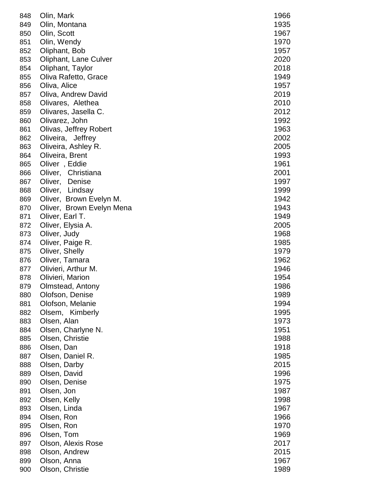| 848 | Olin, Mark                    | 1966 |
|-----|-------------------------------|------|
| 849 | Olin, Montana                 | 1935 |
| 850 | Olin, Scott                   | 1967 |
| 851 | Olin, Wendy                   | 1970 |
| 852 | Oliphant, Bob                 | 1957 |
| 853 | Oliphant, Lane Culver         | 2020 |
| 854 | Oliphant, Taylor              | 2018 |
| 855 | Oliva Rafetto, Grace          | 1949 |
| 856 | Oliva, Alice                  | 1957 |
| 857 | Oliva, Andrew David           | 2019 |
| 858 | Olivares, Alethea             | 2010 |
| 859 | Olivares, Jasella C.          | 2012 |
| 860 | Olivarez, John                | 1992 |
| 861 | <b>Olivas, Jeffrey Robert</b> | 1963 |
| 862 | Oliveira, Jeffrey             | 2002 |
| 863 | Oliveira, Ashley R.           | 2005 |
| 864 | Oliveira, Brent               | 1993 |
| 865 | Oliver, Eddie                 | 1961 |
| 866 | Oliver, Christiana            | 2001 |
| 867 | Oliver,<br>Denise             | 1997 |
| 868 | Oliver,<br>Lindsay            | 1999 |
| 869 | Oliver, Brown Evelyn M.       | 1942 |
| 870 | Oliver, Brown Evelyn Mena     | 1943 |
| 871 | Oliver, Earl T.               | 1949 |
| 872 | Oliver, Elysia A.             | 2005 |
| 873 | Oliver, Judy                  | 1968 |
| 874 | Oliver, Paige R.              | 1985 |
| 875 | Oliver, Shelly                | 1979 |
| 876 | Oliver, Tamara                | 1962 |
| 877 | Olivieri, Arthur M.           | 1946 |
| 878 | Olivieri, Marion              | 1954 |
| 879 | Olmstead, Antony              | 1986 |
| 880 | Olofson, Denise               | 1989 |
| 881 | Olofson, Melanie              | 1994 |
| 882 | Olsem, Kimberly               | 1995 |
| 883 | Olsen, Alan                   | 1973 |
| 884 | Olsen, Charlyne N.            | 1951 |
| 885 | Olsen, Christie               | 1988 |
| 886 | Olsen, Dan                    | 1918 |
| 887 | Olsen, Daniel R.              | 1985 |
| 888 | Olsen, Darby                  | 2015 |
| 889 | Olsen, David                  | 1996 |
| 890 | Olsen, Denise                 | 1975 |
| 891 | Olsen, Jon                    | 1987 |
| 892 | Olsen, Kelly                  | 1998 |
| 893 | Olsen, Linda                  | 1967 |
| 894 | Olsen, Ron                    | 1966 |
| 895 | Olsen, Ron                    | 1970 |
| 896 | Olsen, Tom                    | 1969 |
| 897 | Olson, Alexis Rose            | 2017 |
| 898 | Olson, Andrew                 | 2015 |
| 899 | Olson, Anna                   | 1967 |
| 900 | Olson, Christie               | 1989 |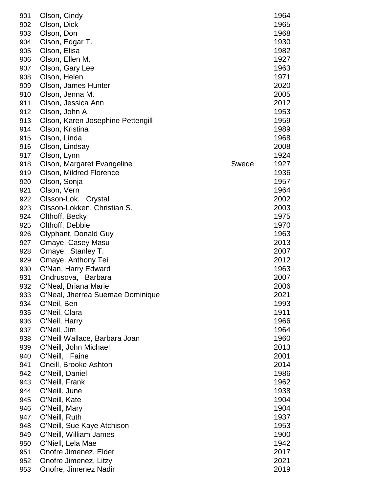| 901        | Olson, Cindy                                         |       | 1964 |
|------------|------------------------------------------------------|-------|------|
| 902        | Olson, Dick                                          |       | 1965 |
| 903        | Olson, Don                                           |       | 1968 |
| 904        | Olson, Edgar T.                                      |       | 1930 |
| 905        | Olson, Elisa                                         |       | 1982 |
| 906        | Olson, Ellen M.                                      |       | 1927 |
| 907        | Olson, Gary Lee                                      |       | 1963 |
| 908        | Olson, Helen                                         |       | 1971 |
| 909        | Olson, James Hunter                                  |       | 2020 |
| 910        | Olson, Jenna M.                                      |       | 2005 |
| 911        | Olson, Jessica Ann                                   |       | 2012 |
| 912        | Olson, John A.                                       |       | 1953 |
| 913        | Olson, Karen Josephine Pettengill                    |       | 1959 |
| 914        | Olson, Kristina                                      |       | 1989 |
| 915        | Olson, Linda                                         |       | 1968 |
| 916        | Olson, Lindsay                                       |       | 2008 |
| 917        | Olson, Lynn                                          |       | 1924 |
| 918        | Olson, Margaret Evangeline                           | Swede | 1927 |
| 919        | Olson, Mildred Florence                              |       | 1936 |
| 920        | Olson, Sonja                                         |       | 1957 |
| 921        | Olson, Vern                                          |       | 1964 |
| 922        | Olsson-Lok, Crystal                                  |       | 2002 |
| 923        | Olsson-Lokken, Christian S.                          |       | 2003 |
| 924        | Olthoff, Becky                                       |       | 1975 |
| 925        | Olthoff, Debbie                                      |       | 1970 |
| 926        | Olyphant, Donald Guy                                 |       | 1963 |
| 927        | Omaye, Casey Masu                                    |       | 2013 |
| 928        | Omaye, Stanley T.                                    |       | 2007 |
| 929        | Omaye, Anthony Tei                                   |       | 2012 |
| 930        | O'Nan, Harry Edward                                  |       | 1963 |
| 931        | Ondrusova, Barbara                                   |       | 2007 |
| 932        | O'Neal, Briana Marie                                 |       | 2006 |
| 933        | O'Neal, Jherrea Suemae Dominique                     |       | 2021 |
| 934        | O'Neil, Ben                                          |       | 1993 |
| 935        | O'Neil, Clara                                        |       | 1911 |
| 936        | O'Neil, Harry                                        |       | 1966 |
| 937        | O'Neil, Jim                                          |       | 1964 |
| 938        | O'Neill Wallace, Barbara Joan                        |       | 1960 |
| 939        | O'Neill, John Michael                                |       | 2013 |
| 940        | O'Neill, Faine                                       |       | 2001 |
| 941        | Oneill, Brooke Ashton                                |       | 2014 |
| 942        | O'Neill, Daniel                                      |       | 1986 |
| 943        | O'Neill, Frank                                       |       | 1962 |
| 944        | O'Neill, June                                        |       | 1938 |
| 945        | O'Neill, Kate                                        |       | 1904 |
| 946        | O'Neill, Mary                                        |       | 1904 |
| 947        |                                                      |       | 1937 |
|            | O'Neill, Ruth                                        |       | 1953 |
| 948<br>949 | O'Neill, Sue Kaye Atchison<br>O'Neill, William James |       | 1900 |
|            | O'Niell, Lela Mae                                    |       | 1942 |
| 950<br>951 | Onofre Jimenez, Elder                                |       | 2017 |
| 952        | Onofre Jimenez, Litzy                                |       | 2021 |
| 953        | Onofre, Jimenez Nadir                                |       | 2019 |
|            |                                                      |       |      |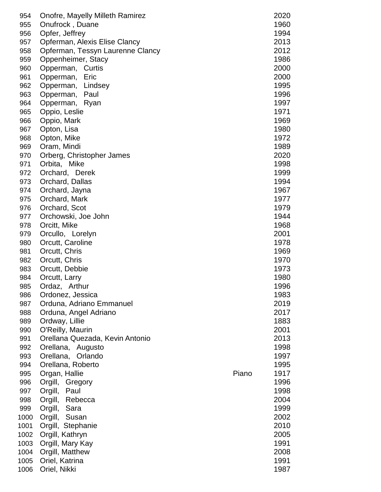| 954  | Onofre, Mayelly Milleth Ramirez  |       | 2020 |
|------|----------------------------------|-------|------|
| 955  | Onufrock, Duane                  |       | 1960 |
| 956  | Opfer, Jeffrey                   |       | 1994 |
| 957  | Opferman, Alexis Elise Clancy    |       | 2013 |
| 958  | Opferman, Tessyn Laurenne Clancy |       | 2012 |
| 959  | Oppenheimer, Stacy               |       | 1986 |
| 960  | Opperman, Curtis                 |       | 2000 |
|      |                                  |       |      |
| 961  | Eric<br>Opperman,                |       | 2000 |
| 962  | Opperman, Lindsey                |       | 1995 |
| 963  | Opperman, Paul                   |       | 1996 |
| 964  | Opperman, Ryan                   |       | 1997 |
| 965  | Oppio, Leslie                    |       | 1971 |
| 966  | Oppio, Mark                      |       | 1969 |
| 967  | Opton, Lisa                      |       | 1980 |
| 968  | Opton, Mike                      |       | 1972 |
| 969  | Oram, Mindi                      |       | 1989 |
| 970  | Orberg, Christopher James        |       | 2020 |
|      |                                  |       |      |
| 971  | Orbita, Mike                     |       | 1998 |
| 972  | Orchard, Derek                   |       | 1999 |
| 973  | Orchard, Dallas                  |       | 1994 |
| 974  | Orchard, Jayna                   |       | 1967 |
| 975  | Orchard, Mark                    |       | 1977 |
| 976  | Orchard, Scot                    |       | 1979 |
| 977  | Orchowski, Joe John              |       | 1944 |
| 978  | Orcitt, Mike                     |       | 1968 |
| 979  | Orcullo, Lorelyn                 |       | 2001 |
|      |                                  |       | 1978 |
| 980  | Orcutt, Caroline                 |       |      |
| 981  | Orcutt, Chris                    |       | 1969 |
| 982  | Orcutt, Chris                    |       | 1970 |
| 983  | Orcutt, Debbie                   |       | 1973 |
| 984  | Orcutt, Larry                    |       | 1980 |
| 985  | Ordaz, Arthur                    |       | 1996 |
| 986  | Ordonez, Jessica                 |       | 1983 |
| 987  | Orduna, Adriano Emmanuel         |       | 2019 |
| 988  | Orduna, Angel Adriano            |       | 2017 |
| 989  | Ordway, Lillie                   |       | 1883 |
|      | O'Reilly, Maurin                 |       | 2001 |
| 990  |                                  |       | 2013 |
| 991  | Orellana Quezada, Kevin Antonio  |       |      |
| 992  | Orellana, Augusto                |       | 1998 |
| 993  | Orellana, Orlando                |       | 1997 |
| 994  | Orellana, Roberto                |       | 1995 |
| 995  | Organ, Hallie                    | Piano | 1917 |
| 996  | Orgill, Gregory                  |       | 1996 |
| 997  | Orgill, Paul                     |       | 1998 |
| 998  | Orgill, Rebecca                  |       | 2004 |
| 999  | Orgill, Sara                     |       | 1999 |
| 1000 | Orgill, Susan                    |       | 2002 |
|      |                                  |       |      |
| 1001 | Orgill, Stephanie                |       | 2010 |
| 1002 | Orgill, Kathryn                  |       | 2005 |
| 1003 | Orgill, Mary Kay                 |       | 1991 |
| 1004 | Orgill, Matthew                  |       | 2008 |
| 1005 | Oriel, Katrina                   |       | 1991 |
| 1006 | Oriel, Nikki                     |       | 1987 |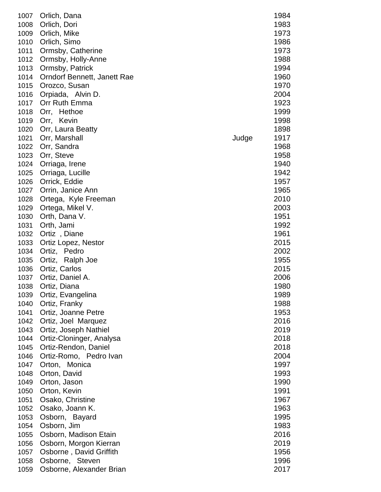| 1007 | Orlich, Dana                |       | 1984 |
|------|-----------------------------|-------|------|
| 1008 | Orlich, Dori                |       | 1983 |
| 1009 | Orlich, Mike                |       | 1973 |
| 1010 | Orlich, Simo                |       | 1986 |
| 1011 | Ormsby, Catherine           |       | 1973 |
| 1012 | Ormsby, Holly-Anne          |       | 1988 |
| 1013 | Ormsby, Patrick             |       | 1994 |
| 1014 | Orndorf Bennett, Janett Rae |       | 1960 |
| 1015 | Orozco, Susan               |       | 1970 |
| 1016 | Orpiada, Alvin D.           |       | 2004 |
| 1017 | Orr Ruth Emma               |       | 1923 |
| 1018 | Hethoe<br>Orr,              |       | 1999 |
| 1019 | Orr, Kevin                  |       | 1998 |
| 1020 | Orr, Laura Beatty           |       | 1898 |
| 1021 | Orr, Marshall               | Judge | 1917 |
| 1022 | Orr, Sandra                 |       | 1968 |
| 1023 | Orr, Steve                  |       | 1958 |
| 1024 | Orriaga, Irene              |       | 1940 |
| 1025 | Orriaga, Lucille            |       | 1942 |
| 1026 | Orrick, Eddie               |       | 1957 |
| 1027 | Orrin, Janice Ann           |       | 1965 |
| 1028 | Ortega, Kyle Freeman        |       | 2010 |
| 1029 | Ortega, Mikel V.            |       | 2003 |
| 1030 | Orth, Dana V.               |       | 1951 |
| 1031 | Orth, Jami                  |       | 1992 |
| 1032 | Ortiz, Diane                |       | 1961 |
| 1033 | Ortiz Lopez, Nestor         |       | 2015 |
| 1034 | Ortiz, Pedro                |       | 2002 |
| 1035 | Ortiz,<br>Ralph Joe         |       | 1955 |
| 1036 | Ortiz, Carlos               |       | 2015 |
| 1037 | Ortiz, Daniel A.            |       | 2006 |
| 1038 | Ortiz, Diana                |       | 1980 |
| 1039 | Ortiz, Evangelina           |       | 1989 |
| 1040 | Ortiz, Franky               |       | 1988 |
| 1041 | Ortiz, Joanne Petre         |       | 1953 |
| 1042 | Ortiz, Joel Marquez         |       | 2016 |
| 1043 | Ortiz, Joseph Nathiel       |       | 2019 |
| 1044 | Ortiz-Cloninger, Analysa    |       | 2018 |
| 1045 | Ortiz-Rendon, Daniel        |       | 2018 |
| 1046 | Ortiz-Romo, Pedro Ivan      |       | 2004 |
| 1047 | Orton, Monica               |       | 1997 |
| 1048 | Orton, David                |       | 1993 |
| 1049 | Orton, Jason                |       | 1990 |
| 1050 | Orton, Kevin                |       | 1991 |
| 1051 | Osako, Christine            |       | 1967 |
| 1052 | Osako, Joann K.             |       | 1963 |
| 1053 | Osborn, Bayard              |       | 1995 |
| 1054 | Osborn, Jim                 |       | 1983 |
| 1055 | Osborn, Madison Etain       |       | 2016 |
| 1056 | Osborn, Morgon Kierran      |       | 2019 |
| 1057 | Osborne, David Griffith     |       | 1956 |
| 1058 | Osborne, Steven             |       | 1996 |
| 1059 | Osborne, Alexander Brian    |       | 2017 |
|      |                             |       |      |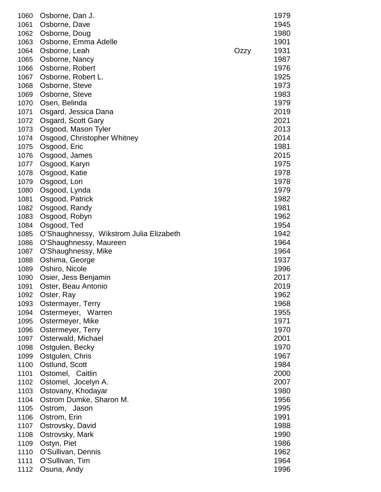| 1060 | Osborne, Dan J.                         |      | 1979 |
|------|-----------------------------------------|------|------|
| 1061 | Osborne, Dave                           |      | 1945 |
| 1062 | Osborne, Doug                           |      | 1980 |
| 1063 | Osborne, Emma Adelle                    |      | 1901 |
| 1064 | Osborne, Leah                           | Ozzy | 1931 |
| 1065 | Osborne, Nancy                          |      | 1987 |
| 1066 | Osborne, Robert                         |      | 1976 |
| 1067 | Osborne, Robert L.                      |      | 1925 |
| 1068 | Osborne, Steve                          |      | 1973 |
| 1069 | Osborne, Steve                          |      | 1983 |
| 1070 | Osen, Belinda                           |      | 1979 |
| 1071 | Osgard, Jessica Dana                    |      | 2019 |
| 1072 | Osgard, Scott Gary                      |      | 2021 |
| 1073 | Osgood, Mason Tyler                     |      | 2013 |
| 1074 | Osgood, Christopher Whitney             |      | 2014 |
| 1075 | Osgood, Eric                            |      | 1981 |
| 1076 | Osgood, James                           |      | 2015 |
| 1077 | Osgood, Karyn                           |      | 1975 |
| 1078 | Osgood, Katie                           |      | 1978 |
| 1079 | Osgood, Lori                            |      | 1978 |
| 1080 | Osgood, Lynda                           |      | 1979 |
| 1081 | Osgood, Patrick                         |      | 1982 |
| 1082 | Osgood, Randy                           |      | 1981 |
| 1083 | Osgood, Robyn                           |      | 1962 |
| 1084 | Osgood, Ted                             |      | 1954 |
| 1085 | O'Shaughnessy, Wikstrom Julia Elizabeth |      | 1942 |
| 1086 | O'Shaughnessy, Maureen                  |      | 1964 |
| 1087 | O'Shaughnessy, Mike                     |      | 1964 |
| 1088 | Oshima, George                          |      | 1937 |
| 1089 | Oshiro, Nicole                          |      | 1996 |
| 1090 | Osier, Jess Benjamin                    |      | 2017 |
| 1091 | Oster, Beau Antonio                     |      | 2019 |
| 1092 | Oster, Ray                              |      | 1962 |
| 1093 | Ostermayer, Terry                       |      | 1968 |
| 1094 | Ostermeyer, Warren                      |      | 1955 |
| 1095 | Ostermeyer, Mike                        |      | 1971 |
| 1096 | Ostermeyer, Terry                       |      | 1970 |
| 1097 | Osterwald, Michael                      |      | 2001 |
| 1098 | Ostgulen, Becky                         |      | 1970 |
| 1099 | Ostgulen, Chris                         |      | 1967 |
| 1100 | Ostlund, Scott                          |      | 1984 |
| 1101 | Ostomel, Caitlin                        |      | 2000 |
| 1102 | Ostomel, Jocelyn A.                     |      | 2007 |
| 1103 | Ostovany, Khodayar                      |      | 1980 |
| 1104 | Ostrom Dumke, Sharon M.                 |      | 1956 |
| 1105 | Ostrom, Jason                           |      | 1995 |
| 1106 | Ostrom, Erin                            |      | 1991 |
| 1107 | Ostrovsky, David                        |      | 1988 |
| 1108 | Ostrovsky, Mark                         |      | 1990 |
| 1109 | Ostyn, Piet                             |      | 1986 |
| 1110 | O'Sullivan, Dennis                      |      | 1962 |
| 1111 | O'Sullivan, Tim                         |      | 1964 |
| 1112 | Osuna, Andy                             |      | 1996 |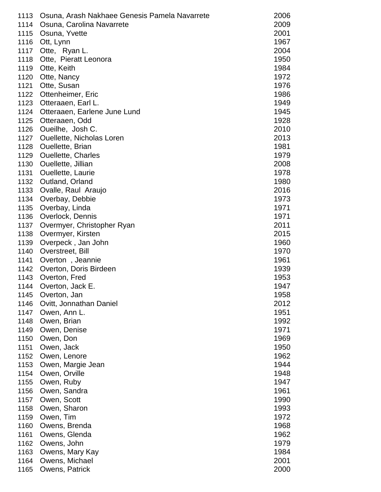| 1113 | Osuna, Arash Nakhaee Genesis Pamela Navarrete | 2006 |
|------|-----------------------------------------------|------|
| 1114 | Osuna, Carolina Navarrete                     | 2009 |
| 1115 | Osuna, Yvette                                 | 2001 |
| 1116 | Ott, Lynn                                     | 1967 |
| 1117 | Otte, Ryan L.                                 | 2004 |
| 1118 | Otte, Pieratt Leonora                         | 1950 |
| 1119 | Otte, Keith                                   | 1984 |
| 1120 | Otte, Nancy                                   | 1972 |
| 1121 | Otte, Susan                                   | 1976 |
| 1122 | Ottenheimer, Eric                             | 1986 |
| 1123 | Otteraaen, Earl L.                            | 1949 |
| 1124 | Otteraaen, Earlene June Lund                  | 1945 |
| 1125 | Otteraaen, Odd                                | 1928 |
| 1126 | Oueilhe, Josh C.                              | 2010 |
| 1127 | <b>Ouellette, Nicholas Loren</b>              | 2013 |
| 1128 | Ouellette, Brian                              | 1981 |
| 1129 | <b>Ouellette, Charles</b>                     | 1979 |
| 1130 | Ouellette, Jillian                            | 2008 |
| 1131 | <b>Ouellette, Laurie</b>                      | 1978 |
| 1132 | Outland, Orland                               | 1980 |
| 1133 | Ovalle, Raul Araujo                           | 2016 |
| 1134 | Overbay, Debbie                               | 1973 |
| 1135 | Overbay, Linda                                | 1971 |
| 1136 | Overlock, Dennis                              | 1971 |
| 1137 | Overmyer, Christopher Ryan                    | 2011 |
| 1138 | Overmyer, Kirsten                             | 2015 |
| 1139 | Overpeck, Jan John                            | 1960 |
| 1140 | Overstreet, Bill                              | 1970 |
| 1141 | Overton, Jeannie                              | 1961 |
| 1142 | Overton, Doris Birdeen                        | 1939 |
| 1143 | Overton, Fred                                 | 1953 |
| 1144 | Overton, Jack E                               | 1947 |
| 1145 | Overton, Jan                                  | 1958 |
| 1146 | Ovitt, Jonnathan Daniel                       | 2012 |
| 1147 | Owen, Ann L.                                  | 1951 |
| 1148 | Owen, Brian                                   | 1992 |
| 1149 | Owen, Denise                                  | 1971 |
| 1150 | Owen, Don                                     | 1969 |
| 1151 | Owen, Jack                                    | 1950 |
| 1152 | Owen, Lenore                                  | 1962 |
| 1153 | Owen, Margie Jean                             | 1944 |
| 1154 | Owen, Orville                                 | 1948 |
| 1155 | Owen, Ruby                                    | 1947 |
| 1156 | Owen, Sandra                                  | 1961 |
| 1157 | Owen, Scott                                   | 1990 |
| 1158 | Owen, Sharon                                  | 1993 |
| 1159 | Owen, Tim                                     | 1972 |
| 1160 | Owens, Brenda                                 | 1968 |
| 1161 | Owens, Glenda                                 | 1962 |
| 1162 | Owens, John                                   | 1979 |
| 1163 | Owens, Mary Kay                               | 1984 |
| 1164 | Owens, Michael                                | 2001 |
| 1165 | Owens, Patrick                                | 2000 |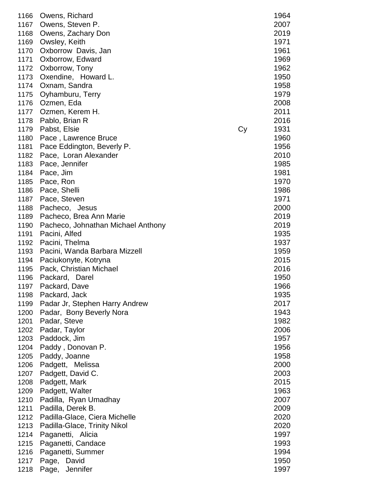| 1166 | Owens, Richard                     |    | 1964 |
|------|------------------------------------|----|------|
| 1167 | Owens, Steven P.                   |    | 2007 |
| 1168 | Owens, Zachary Don                 |    | 2019 |
| 1169 | Owsley, Keith                      |    | 1971 |
| 1170 | Oxborrow Davis, Jan                |    | 1961 |
| 1171 | Oxborrow, Edward                   |    | 1969 |
|      |                                    |    |      |
| 1172 | Oxborrow, Tony                     |    | 1962 |
| 1173 | Oxendine, Howard L.                |    | 1950 |
| 1174 | Oxnam, Sandra                      |    | 1958 |
| 1175 | Oyhamburu, Terry                   |    | 1979 |
| 1176 | Ozmen, Eda                         |    | 2008 |
| 1177 | Ozmen, Kerem H.                    |    | 2011 |
| 1178 | Pablo, Brian R                     |    | 2016 |
| 1179 | Pabst, Elsie                       | Cy | 1931 |
| 1180 | Pace, Lawrence Bruce               |    | 1960 |
| 1181 | Pace Eddington, Beverly P.         |    | 1956 |
| 1182 | Pace, Loran Alexander              |    | 2010 |
| 1183 | Pace, Jennifer                     |    | 1985 |
|      |                                    |    |      |
| 1184 | Pace, Jim                          |    | 1981 |
| 1185 | Pace, Ron                          |    | 1970 |
| 1186 | Pace, Shelli                       |    | 1986 |
| 1187 | Pace, Steven                       |    | 1971 |
| 1188 | Pacheco, Jesus                     |    | 2000 |
| 1189 | Pacheco, Brea Ann Marie            |    | 2019 |
| 1190 | Pacheco, Johnathan Michael Anthony |    | 2019 |
| 1191 | Pacini, Alfed                      |    | 1935 |
| 1192 | Pacini, Thelma                     |    | 1937 |
| 1193 | Pacini, Wanda Barbara Mizzell      |    | 1959 |
| 1194 | Paciukonyte, Kotryna               |    | 2015 |
| 1195 | Pack, Christian Michael            |    | 2016 |
| 1196 | Packard, Darel                     |    | 1950 |
| 1197 | Packard, Dave                      |    | 1966 |
| 1198 | Packard, Jack                      |    | 1935 |
| 1199 | Padar Jr, Stephen Harry Andrew     |    | 2017 |
|      |                                    |    |      |
| 1200 | Padar, Bony Beverly Nora           |    | 1943 |
| 1201 | Padar, Steve                       |    | 1982 |
| 1202 | Padar, Taylor                      |    | 2006 |
| 1203 | Paddock, Jim                       |    | 1957 |
| 1204 | Paddy, Donovan P.                  |    | 1956 |
| 1205 | Paddy, Joanne                      |    | 1958 |
| 1206 | Padgett, Melissa                   |    | 2000 |
| 1207 | Padgett, David C.                  |    | 2003 |
| 1208 | Padgett, Mark                      |    | 2015 |
| 1209 | Padgett, Walter                    |    | 1963 |
| 1210 | Padilla, Ryan Umadhay              |    | 2007 |
| 1211 | Padilla, Derek B.                  |    | 2009 |
| 1212 | Padilla-Glace, Ciera Michelle      |    | 2020 |
| 1213 | Padilla-Glace, Trinity Nikol       |    | 2020 |
| 1214 | Paganetti, Alicia                  |    | 1997 |
| 1215 | Paganetti, Candace                 |    | 1993 |
| 1216 | Paganetti, Summer                  |    | 1994 |
| 1217 | Page,<br>David                     |    | 1950 |
|      |                                    |    |      |
| 1218 | Page, Jennifer                     |    | 1997 |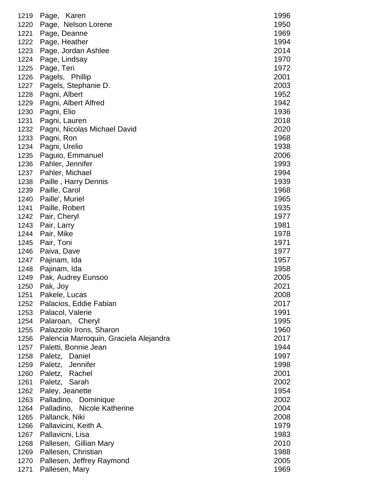| 1219         | Page, Karen                                   | 1996         |
|--------------|-----------------------------------------------|--------------|
| 1220         | Page, Nelson Lorene                           | 1950         |
| 1221         | Page, Deanne                                  | 1969         |
| 1222         | Page, Heather                                 | 1994         |
| 1223         | Page, Jordan Ashlee                           | 2014         |
| 1224         | Page, Lindsay                                 | 1970         |
| 1225         | Page, Teri                                    | 1972         |
| 1226         | Pagels, Phillip                               | 2001         |
| 1227         | Pagels, Stephanie D.                          | 2003         |
| 1228         | Pagni, Albert                                 | 1952         |
| 1229         | Pagni, Albert Alfred                          | 1942         |
| 1230         | Pagni, Elio                                   | 1936<br>2018 |
| 1231<br>1232 | Pagni, Lauren<br>Pagni, Nicolas Michael David | 2020         |
| 1233         | Pagni, Ron                                    | 1968         |
| 1234         | Pagni, Urelio                                 | 1938         |
| 1235         | Paguio, Emmanuel                              | 2006         |
| 1236         | Pahler, Jennifer                              | 1993         |
| 1237         | Pahler, Michael                               | 1994         |
| 1238         | Paille, Harry Dennis                          | 1939         |
| 1239         | Paille, Carol                                 | 1968         |
| 1240         | Paille', Muriel                               | 1965         |
| 1241         | Paille, Robert                                | 1935         |
| 1242         | Pair, Cheryl                                  | 1977         |
| 1243         | Pair, Larry                                   | 1981         |
| 1244         | Pair, Mike                                    | 1978         |
| 1245         | Pair, Toni                                    | 1971         |
| 1246         | Paiva, Dave                                   | 1977         |
| 1247         | Pajinam, Ida                                  | 1957         |
| 1248         | Pajinam, Ida                                  | 1958         |
| 1249         | Pak, Audrey Eunsoo                            | 2005         |
| 1250         | Pak, Joy                                      | 2021         |
|              | 1251 Pakele, Lucas                            | 2008         |
|              | 1252 Palacios, Eddie Fabian                   | 2017         |
| 1253         | Palacol, Valerie                              | 1991         |
| 1254         | Palaroan, Cheryl                              | 1995         |
| 1255         | Palazzolo Irons, Sharon                       | 1960         |
| 1256         | Palencia Marroquin, Graciela Alejandra        | 2017         |
| 1257         | Paletti, Bonnie Jean                          | 1944         |
| 1258         | Paletz, Daniel                                | 1997         |
| 1259         | Paletz, Jennifer                              | 1998         |
| 1260         | Paletz, Rachel                                | 2001         |
| 1261         | Paletz, Sarah                                 | 2002         |
| 1262         | Paley, Jeanette                               | 1954         |
| 1263         | Palladino, Dominique                          | 2002         |
| 1264         | Palladino, Nicole Katherine                   | 2004         |
| 1265         | Pallanck, Niki                                | 2008         |
| 1266         | Pallavicini, Keith A.                         | 1979         |
| 1267         | Pallavicni, Lisa                              | 1983         |
| 1268         | Pallesen, Gillian Mary                        | 2010         |
| 1269         | Pallesen, Christian                           | 1988         |
| 1270         | Pallesen, Jeffrey Raymond                     | 2005         |
| 1271         | Pallesen, Mary                                | 1969         |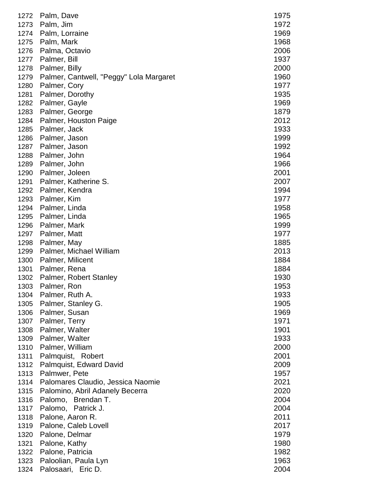| 1272 | Palm, Dave                              | 1975 |
|------|-----------------------------------------|------|
| 1273 | Palm, Jim                               | 1972 |
| 1274 | Palm, Lorraine                          | 1969 |
| 1275 | Palm, Mark                              | 1968 |
| 1276 | Palma, Octavio                          | 2006 |
| 1277 | Palmer, Bill                            | 1937 |
| 1278 | Palmer, Billy                           | 2000 |
| 1279 | Palmer, Cantwell, "Peggy" Lola Margaret | 1960 |
| 1280 | Palmer, Cory                            | 1977 |
| 1281 | Palmer, Dorothy                         | 1935 |
| 1282 | Palmer, Gayle                           | 1969 |
| 1283 | Palmer, George                          | 1879 |
| 1284 | Palmer, Houston Paige                   | 2012 |
| 1285 | Palmer, Jack                            | 1933 |
| 1286 | Palmer, Jason                           | 1999 |
| 1287 | Palmer, Jason                           | 1992 |
| 1288 | Palmer, John                            | 1964 |
| 1289 | Palmer, John                            | 1966 |
| 1290 | Palmer, Joleen                          | 2001 |
| 1291 | Palmer, Katherine S.                    | 2007 |
| 1292 | Palmer, Kendra                          | 1994 |
| 1293 | Palmer, Kim                             | 1977 |
| 1294 | Palmer, Linda                           | 1958 |
| 1295 | Palmer, Linda                           | 1965 |
| 1296 | Palmer, Mark                            | 1999 |
| 1297 | Palmer, Matt                            | 1977 |
| 1298 | Palmer, May                             | 1885 |
| 1299 | Palmer, Michael William                 | 2013 |
| 1300 | Palmer, Milicent                        | 1884 |
| 1301 | Palmer, Rena                            | 1884 |
| 1302 | Palmer, Robert Stanley                  | 1930 |
| 1303 | Palmer, Ron                             | 1953 |
| 1304 | Palmer, Ruth A.                         | 1933 |
| 1305 | Palmer, Stanley G.                      | 1905 |
| 1306 | Palmer, Susan                           | 1969 |
| 1307 | Palmer, Terry                           | 1971 |
| 1308 | Palmer, Walter                          | 1901 |
| 1309 | Palmer, Walter                          | 1933 |
| 1310 | Palmer, William                         | 2000 |
| 1311 | Palmquist, Robert                       | 2001 |
| 1312 | Palmquist, Edward David                 | 2009 |
| 1313 | Palmwer, Pete                           | 1957 |
| 1314 | Palomares Claudio, Jessica Naomie       | 2021 |
| 1315 | Palomino, Abril Adanely Becerra         | 2020 |
| 1316 | Palomo, Brendan T.                      | 2004 |
| 1317 | Palomo, Patrick J.                      | 2004 |
| 1318 | Palone, Aaron R.                        | 2011 |
| 1319 | Palone, Caleb Lovell                    | 2017 |
| 1320 | Palone, Delmar                          | 1979 |
| 1321 | Palone, Kathy                           | 1980 |
| 1322 | Palone, Patricia                        | 1982 |
| 1323 | Paloolian, Paula Lyn                    | 1963 |
| 1324 | Palosaari,<br>Eric D.                   | 2004 |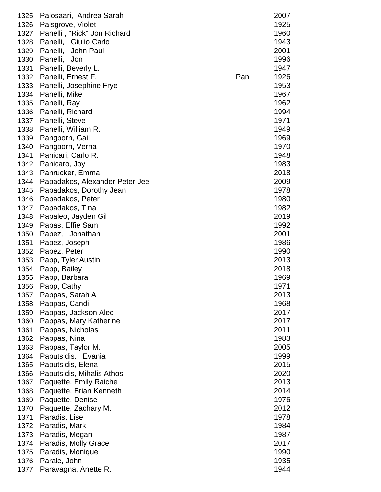| 1325 | Palosaari, Andrea Sarah        |     | 2007 |
|------|--------------------------------|-----|------|
| 1326 | Palsgrove, Violet              |     | 1925 |
| 1327 | Panelli, "Rick" Jon Richard    |     | 1960 |
| 1328 | Panelli, Giulio Carlo          |     | 1943 |
| 1329 | Panelli,<br>John Paul          |     | 2001 |
| 1330 | Panelli,<br>Jon                |     | 1996 |
| 1331 | Panelli, Beverly L.            |     | 1947 |
| 1332 | Panelli, Ernest F.             | Pan | 1926 |
| 1333 | Panelli, Josephine Frye        |     | 1953 |
| 1334 | Panelli, Mike                  |     | 1967 |
| 1335 | Panelli, Ray                   |     | 1962 |
| 1336 | Panelli, Richard               |     | 1994 |
| 1337 | Panelli, Steve                 |     | 1971 |
| 1338 | Panelli, William R.            |     | 1949 |
| 1339 | Pangborn, Gail                 |     | 1969 |
| 1340 | Pangborn, Verna                |     | 1970 |
| 1341 | Panicari, Carlo R.             |     | 1948 |
| 1342 | Panicaro, Joy                  |     | 1983 |
| 1343 | Panrucker, Emma                |     | 2018 |
| 1344 | Papadakos, Alexander Peter Jee |     | 2009 |
| 1345 | Papadakos, Dorothy Jean        |     | 1978 |
| 1346 | Papadakos, Peter               |     | 1980 |
| 1347 | Papadakos, Tina                |     | 1982 |
| 1348 | Papaleo, Jayden Gil            |     | 2019 |
| 1349 | Papas, Effie Sam               |     | 1992 |
| 1350 | Papez, Jonathan                |     | 2001 |
| 1351 | Papez, Joseph                  |     | 1986 |
| 1352 | Papez, Peter                   |     | 1990 |
| 1353 | Papp, Tyler Austin             |     | 2013 |
| 1354 | Papp, Bailey                   |     | 2018 |
| 1355 | Papp, Barbara                  |     | 1969 |
| 1356 | Papp, Cathy                    |     | 1971 |
| 1357 | Pappas, Sarah A                |     | 2013 |
| 1358 | Pappas, Candi                  |     | 1968 |
| 1359 | Pappas, Jackson Alec           |     | 2017 |
| 1360 | Pappas, Mary Katherine         |     | 2017 |
| 1361 | Pappas, Nicholas               |     | 2011 |
| 1362 | Pappas, Nina                   |     | 1983 |
| 1363 | Pappas, Taylor M.              |     | 2005 |
| 1364 | Paputsidis, Evania             |     | 1999 |
| 1365 | Paputsidis, Elena              |     | 2015 |
| 1366 | Paputsidis, Mihalis Athos      |     | 2020 |
| 1367 | Paquette, Emily Raiche         |     | 2013 |
| 1368 | Paquette, Brian Kenneth        |     | 2014 |
| 1369 | Paquette, Denise               |     | 1976 |
| 1370 | Paquette, Zachary M.           |     | 2012 |
| 1371 | Paradis, Lise                  |     | 1978 |
| 1372 | Paradis, Mark                  |     | 1984 |
| 1373 | Paradis, Megan                 |     | 1987 |
| 1374 | Paradis, Molly Grace           |     | 2017 |
| 1375 | Paradis, Monique               |     | 1990 |
| 1376 | Parale, John                   |     | 1935 |
| 1377 | Paravagna, Anette R.           |     | 1944 |
|      |                                |     |      |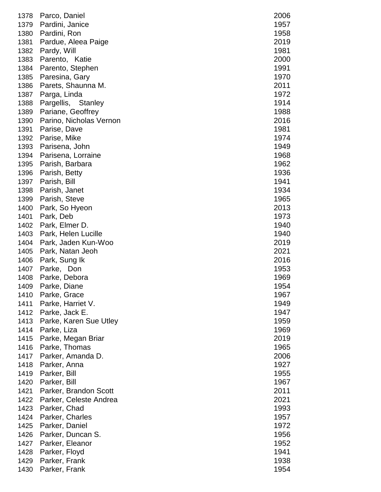| 1378 | Parco, Daniel           | 2006 |
|------|-------------------------|------|
| 1379 | Pardini, Janice         | 1957 |
| 1380 | Pardini, Ron            | 1958 |
| 1381 | Pardue, Aleea Paige     | 2019 |
| 1382 | Pardy, Will             | 1981 |
| 1383 | Parento, Katie          | 2000 |
| 1384 | Parento, Stephen        | 1991 |
| 1385 | Paresina, Gary          | 1970 |
| 1386 | Parets, Shaunna M.      | 2011 |
| 1387 | Parga, Linda            | 1972 |
| 1388 | Pargellis, Stanley      | 1914 |
| 1389 | Pariane, Geoffrey       | 1988 |
| 1390 | Parino, Nicholas Vernon | 2016 |
| 1391 | Parise, Dave            | 1981 |
| 1392 | Parise, Mike            | 1974 |
| 1393 | Parisena, John          | 1949 |
| 1394 | Parisena, Lorraine      | 1968 |
| 1395 | Parish, Barbara         | 1962 |
| 1396 | Parish, Betty           | 1936 |
| 1397 | Parish, Bill            | 1941 |
| 1398 | Parish, Janet           | 1934 |
| 1399 | Parish, Steve           | 1965 |
| 1400 | Park, So Hyeon          | 2013 |
| 1401 | Park, Deb               | 1973 |
| 1402 | Park, Elmer D.          | 1940 |
| 1403 | Park, Helen Lucille     | 1940 |
| 1404 | Park, Jaden Kun-Woo     | 2019 |
| 1405 | Park, Natan Jeoh        | 2021 |
| 1406 | Park, Sung Ik           | 2016 |
| 1407 | Parke, Don              | 1953 |
| 1408 | Parke, Debora           | 1969 |
| 1409 | Parke, Diane            | 1954 |
| 1410 | Parke, Grace            | 1967 |
| 1411 | Parke, Harriet V.       | 1949 |
| 1412 | Parke, Jack E.          | 1947 |
| 1413 | Parke, Karen Sue Utley  | 1959 |
| 1414 | Parke, Liza             | 1969 |
| 1415 | Parke, Megan Briar      | 2019 |
| 1416 | Parke, Thomas           | 1965 |
| 1417 | Parker, Amanda D.       | 2006 |
| 1418 | Parker, Anna            | 1927 |
| 1419 | Parker, Bill            | 1955 |
| 1420 | Parker, Bill            | 1967 |
| 1421 | Parker, Brandon Scott   | 2011 |
| 1422 | Parker, Celeste Andrea  | 2021 |
| 1423 | Parker, Chad            | 1993 |
| 1424 | Parker, Charles         | 1957 |
| 1425 | Parker, Daniel          | 1972 |
| 1426 | Parker, Duncan S.       | 1956 |
| 1427 | Parker, Eleanor         | 1952 |
| 1428 | Parker, Floyd           | 1941 |
| 1429 | Parker, Frank           | 1938 |
| 1430 | Parker, Frank           | 1954 |
|      |                         |      |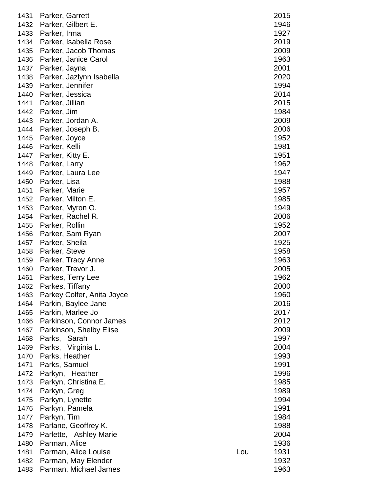| 1431 | Parker, Garrett            |     | 2015 |
|------|----------------------------|-----|------|
| 1432 | Parker, Gilbert E.         |     | 1946 |
| 1433 | Parker, Irma               |     | 1927 |
| 1434 | Parker, Isabella Rose      |     | 2019 |
| 1435 | Parker, Jacob Thomas       |     | 2009 |
| 1436 | Parker, Janice Carol       |     | 1963 |
| 1437 | Parker, Jayna              |     | 2001 |
|      |                            |     | 2020 |
| 1438 | Parker, Jazlynn Isabella   |     |      |
| 1439 | Parker, Jennifer           |     | 1994 |
| 1440 | Parker, Jessica            |     | 2014 |
| 1441 | Parker, Jillian            |     | 2015 |
| 1442 | Parker, Jim                |     | 1984 |
| 1443 | Parker, Jordan A.          |     | 2009 |
| 1444 | Parker, Joseph B.          |     | 2006 |
| 1445 | Parker, Joyce              |     | 1952 |
| 1446 | Parker, Kelli              |     | 1981 |
| 1447 | Parker, Kitty E.           |     | 1951 |
| 1448 | Parker, Larry              |     | 1962 |
| 1449 | Parker, Laura Lee          |     | 1947 |
| 1450 | Parker, Lisa               |     | 1988 |
| 1451 | Parker, Marie              |     | 1957 |
| 1452 | Parker, Milton E.          |     | 1985 |
| 1453 | Parker, Myron O.           |     | 1949 |
| 1454 | Parker, Rachel R.          |     | 2006 |
| 1455 | Parker, Rollin             |     | 1952 |
| 1456 | Parker, Sam Ryan           |     | 2007 |
| 1457 | Parker, Sheila             |     | 1925 |
| 1458 | Parker, Steve              |     | 1958 |
| 1459 | Parker, Tracy Anne         |     | 1963 |
| 1460 | Parker, Trevor J.          |     | 2005 |
| 1461 | Parkes, Terry Lee          |     | 1962 |
| 1462 | Parkes, Tiffany            |     | 2000 |
| 1463 | Parkey Colfer, Anita Joyce |     | 1960 |
| 1464 | Parkin, Baylee Jane        |     | 2016 |
| 1465 | Parkin, Marlee Jo          |     | 2017 |
| 1466 | Parkinson, Connor James    |     | 2012 |
| 1467 | Parkinson, Shelby Elise    |     | 2009 |
| 1468 | Sarah<br>Parks,            |     | 1997 |
| 1469 | Parks, Virginia L.         |     | 2004 |
| 1470 | Parks, Heather             |     | 1993 |
| 1471 | Parks, Samuel              |     | 1991 |
| 1472 | Parkyn, Heather            |     | 1996 |
| 1473 | Parkyn, Christina E.       |     | 1985 |
| 1474 | Parkyn, Greg               |     | 1989 |
| 1475 | Parkyn, Lynette            |     | 1994 |
| 1476 | Parkyn, Pamela             |     | 1991 |
| 1477 | Parkyn, Tim                |     | 1984 |
| 1478 | Parlane, Geoffrey K.       |     | 1988 |
| 1479 | Parlette, Ashley Marie     |     | 2004 |
| 1480 | Parman, Alice              |     | 1936 |
| 1481 | Parman, Alice Louise       | Lou | 1931 |
| 1482 | Parman, May Elender        |     | 1932 |
| 1483 | Parman, Michael James      |     | 1963 |
|      |                            |     |      |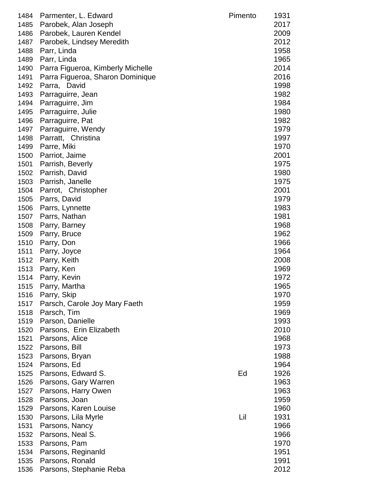| 1484<br>1485<br>1486<br>1487<br>1488<br>1489<br>1490 | Parmenter, L. Edward<br>Parobek, Alan Joseph<br>Parobek, Lauren Kendel<br>Parobek, Lindsey Meredith<br>Parr, Linda<br>Parr, Linda<br>Parra Figueroa, Kimberly Michelle | Pimento | 1931<br>2017<br>2009<br>2012<br>1958<br>1965<br>2014 |
|------------------------------------------------------|------------------------------------------------------------------------------------------------------------------------------------------------------------------------|---------|------------------------------------------------------|
| 1491                                                 | Parra Figueroa, Sharon Dominique                                                                                                                                       |         | 2016                                                 |
| 1492                                                 | Parra, David                                                                                                                                                           |         | 1998                                                 |
| 1493                                                 | Parraguirre, Jean                                                                                                                                                      |         | 1982                                                 |
| 1494                                                 | Parraguirre, Jim                                                                                                                                                       |         | 1984                                                 |
| 1495                                                 | Parraguirre, Julie                                                                                                                                                     |         | 1980                                                 |
| 1496                                                 | Parraguirre, Pat                                                                                                                                                       |         | 1982                                                 |
| 1497                                                 | Parraguirre, Wendy                                                                                                                                                     |         | 1979                                                 |
| 1498                                                 | Parratt, Christina                                                                                                                                                     |         | 1997                                                 |
| 1499                                                 | Parre, Miki                                                                                                                                                            |         | 1970                                                 |
| 1500                                                 | Parriot, Jaime                                                                                                                                                         |         | 2001                                                 |
| 1501                                                 | Parrish, Beverly                                                                                                                                                       |         | 1975                                                 |
| 1502                                                 | Parrish, David                                                                                                                                                         |         | 1980                                                 |
| 1503                                                 | Parrish, Janelle                                                                                                                                                       |         | 1975                                                 |
| 1504                                                 | Parrot, Christopher                                                                                                                                                    |         | 2001                                                 |
| 1505                                                 | Parrs, David                                                                                                                                                           |         | 1979                                                 |
| 1506                                                 | Parrs, Lynnette                                                                                                                                                        |         | 1983                                                 |
| 1507                                                 | Parrs, Nathan                                                                                                                                                          |         | 1981                                                 |
| 1508                                                 | Parry, Barney                                                                                                                                                          |         | 1968                                                 |
| 1509                                                 | Parry, Bruce                                                                                                                                                           |         | 1962                                                 |
| 1510                                                 | Parry, Don                                                                                                                                                             |         | 1966                                                 |
| 1511                                                 | Parry, Joyce                                                                                                                                                           |         | 1964<br>2008                                         |
| 1512<br>1513                                         | Parry, Keith<br>Parry, Ken                                                                                                                                             |         | 1969                                                 |
| 1514                                                 | Parry, Kevin                                                                                                                                                           |         | 1972                                                 |
| 1515                                                 | Parry, Martha                                                                                                                                                          |         | 1965                                                 |
| 1516                                                 | Parry, Skip                                                                                                                                                            |         | 1970                                                 |
| 1517                                                 | Parsch, Carole Joy Mary Faeth                                                                                                                                          |         | 1959                                                 |
| 1518                                                 | Parsch, Tim                                                                                                                                                            |         | 1969                                                 |
| 1519                                                 | Parson, Danielle                                                                                                                                                       |         | 1993                                                 |
| 1520                                                 | Parsons, Erin Elizabeth                                                                                                                                                |         | 2010                                                 |
| 1521                                                 | Parsons, Alice                                                                                                                                                         |         | 1968                                                 |
| 1522                                                 | Parsons, Bill                                                                                                                                                          |         | 1973                                                 |
| 1523                                                 | Parsons, Bryan                                                                                                                                                         |         | 1988                                                 |
| 1524                                                 | Parsons, Ed                                                                                                                                                            |         | 1964                                                 |
| 1525                                                 | Parsons, Edward S.                                                                                                                                                     | Ed      | 1926                                                 |
| 1526                                                 | Parsons, Gary Warren                                                                                                                                                   |         | 1963                                                 |
| 1527                                                 | Parsons, Harry Owen                                                                                                                                                    |         | 1963                                                 |
| 1528                                                 | Parsons, Joan                                                                                                                                                          |         | 1959                                                 |
| 1529                                                 | Parsons, Karen Louise                                                                                                                                                  |         | 1960                                                 |
| 1530                                                 | Parsons, Lila Myrle                                                                                                                                                    | Lil     | 1931                                                 |
| 1531                                                 | Parsons, Nancy                                                                                                                                                         |         | 1966                                                 |
| 1532                                                 | Parsons, Neal S.                                                                                                                                                       |         | 1966                                                 |
| 1533                                                 | Parsons, Pam                                                                                                                                                           |         | 1970                                                 |
| 1534                                                 | Parsons, Reginanid<br>Parsons, Ronald                                                                                                                                  |         | 1951<br>1991                                         |
| 1535<br>1536                                         | Parsons, Stephanie Reba                                                                                                                                                |         | 2012                                                 |
|                                                      |                                                                                                                                                                        |         |                                                      |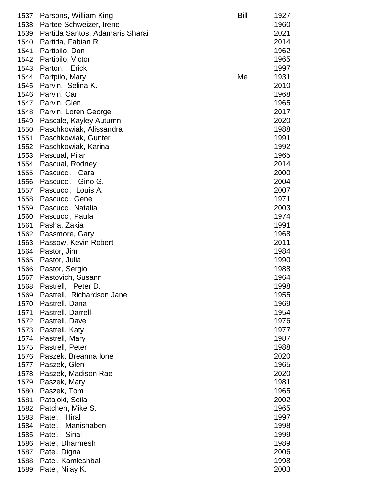| 1537<br>1538 | Parsons, William King<br>Partee Schweizer, Irene | Bill | 1927<br>1960 |
|--------------|--------------------------------------------------|------|--------------|
| 1539         | Partida Santos, Adamaris Sharai                  |      | 2021         |
| 1540         | Partida, Fabian R                                |      | 2014         |
| 1541         | Partipilo, Don                                   |      | 1962         |
| 1542         | Partipilo, Victor                                |      | 1965         |
| 1543         | Parton, Erick                                    |      | 1997         |
| 1544         | Partpilo, Mary                                   | Me   | 1931         |
| 1545         | Parvin, Selina K.                                |      | 2010         |
| 1546         | Parvin, Carl                                     |      | 1968         |
| 1547         | Parvin, Glen                                     |      | 1965         |
| 1548         | Parvin, Loren George                             |      | 2017         |
| 1549         | Pascale, Kayley Autumn                           |      | 2020         |
| 1550         | Paschkowiak, Alissandra                          |      | 1988         |
| 1551         | Paschkowiak, Gunter                              |      | 1991         |
| 1552         |                                                  |      | 1992         |
|              | Paschkowiak, Karina                              |      |              |
| 1553         | Pascual, Pilar                                   |      | 1965         |
| 1554         | Pascual, Rodney                                  |      | 2014         |
| 1555         | Pascucci, Cara                                   |      | 2000         |
| 1556         | Gino G.<br>Pascucci,                             |      | 2004         |
| 1557         | Pascucci, Louis A.                               |      | 2007         |
| 1558         | Pascucci, Gene                                   |      | 1971         |
| 1559         | Pascucci, Natalia                                |      | 2003         |
| 1560         | Pascucci, Paula                                  |      | 1974         |
| 1561         | Pasha, Zakia                                     |      | 1991         |
| 1562         | Passmore, Gary                                   |      | 1968         |
| 1563         | Passow, Kevin Robert                             |      | 2011         |
| 1564         | Pastor, Jim                                      |      | 1984         |
| 1565         | Pastor, Julia                                    |      | 1990         |
| 1566         | Pastor, Sergio                                   |      | 1988         |
| 1567         | Pastovich, Susann                                |      | 1964         |
| 1568         | Peter D.<br>Pastrell,                            |      | 1998         |
| 1569         | Pastrell, Richardson Jane                        |      | 1955         |
| 1570         | Pastrell, Dana                                   |      | 1969         |
| 1571         | Pastrell, Darrell                                |      | 1954         |
| 1572         | Pastrell, Dave                                   |      | 1976         |
| 1573         | Pastrell, Katy                                   |      | 1977         |
| 1574         | Pastrell, Mary                                   |      | 1987         |
| 1575         | Pastrell, Peter                                  |      | 1988         |
| 1576         | Paszek, Breanna Ione                             |      | 2020         |
| 1577         | Paszek, Glen                                     |      | 1965         |
| 1578         | Paszek, Madison Rae                              |      | 2020         |
| 1579         | Paszek, Mary                                     |      | 1981         |
| 1580         | Paszek, Tom                                      |      | 1965         |
| 1581         | Patajoki, Soila                                  |      | 2002         |
| 1582         | Patchen, Mike S.                                 |      | 1965         |
| 1583         | Patel, Hiral                                     |      | 1997         |
| 1584         | Patel, Manishaben                                |      | 1998         |
| 1585         | Patel, Sinal                                     |      | 1999         |
| 1586         | Patel, Dharmesh                                  |      | 1989         |
| 1587         | Patel, Digna                                     |      | 2006         |
| 1588         | Patel, Kamleshbal                                |      | 1998         |
| 1589         | Patel, Nilay K.                                  |      | 2003         |
|              |                                                  |      |              |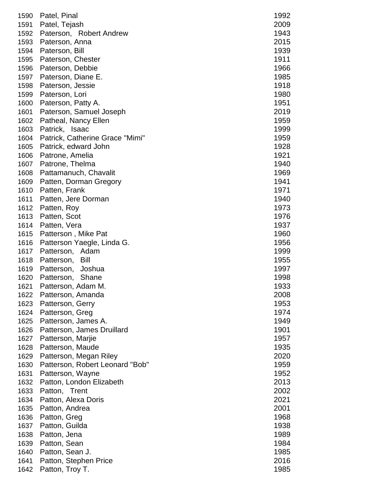|      | 1590 Patel, Pinal               | 1992 |
|------|---------------------------------|------|
| 1591 | Patel, Tejash                   | 2009 |
| 1592 | Paterson, Robert Andrew         | 1943 |
| 1593 | Paterson, Anna                  | 2015 |
| 1594 | Paterson, Bill                  | 1939 |
| 1595 | Paterson, Chester               | 1911 |
| 1596 | Paterson, Debbie                | 1966 |
| 1597 | Paterson, Diane E.              | 1985 |
| 1598 | Paterson, Jessie                | 1918 |
| 1599 | Paterson, Lori                  | 1980 |
| 1600 | Paterson, Patty A.              | 1951 |
| 1601 | Paterson, Samuel Joseph         | 2019 |
| 1602 | Patheal, Nancy Ellen            | 1959 |
| 1603 | Patrick, Isaac                  | 1999 |
| 1604 | Patrick, Catherine Grace "Mimi" | 1959 |
| 1605 | Patrick, edward John            | 1928 |
| 1606 | Patrone, Amelia                 | 1921 |
| 1607 | Patrone, Thelma                 | 1940 |
| 1608 | Pattamanuch, Chavalit           | 1969 |
| 1609 | Patten, Dorman Gregory          | 1941 |
| 1610 | Patten, Frank                   | 1971 |
| 1611 | Patten, Jere Dorman             | 1940 |
|      |                                 | 1973 |
| 1612 | Patten, Roy                     |      |
| 1613 | Patten, Scot                    | 1976 |
| 1614 | Patten, Vera                    | 1937 |
| 1615 | Patterson, Mike Pat             | 1960 |
| 1616 | Patterson Yaegle, Linda G.      | 1956 |
| 1617 | Patterson, Adam                 | 1999 |
| 1618 | Patterson, Bill                 | 1955 |
| 1619 | Patterson, Joshua               | 1997 |
| 1620 | Patterson, Shane                | 1998 |
| 1621 | Patterson, Adam M.              | 1933 |
| 1622 | Patterson, Amanda               | 2008 |
| 1623 | Patterson, Gerry                | 1953 |
| 1624 | Patterson, Greg                 | 1974 |
| 1625 | Patterson, James A.             | 1949 |
| 1626 | Patterson, James Druillard      | 1901 |
| 1627 | Patterson, Marjie               | 1957 |
| 1628 | Patterson, Maude                | 1935 |
| 1629 | Patterson, Megan Riley          | 2020 |
| 1630 | Patterson, Robert Leonard "Bob" | 1959 |
| 1631 | Patterson, Wayne                | 1952 |
| 1632 | Patton, London Elizabeth        | 2013 |
| 1633 | Patton, Trent                   | 2002 |
| 1634 | Patton, Alexa Doris             | 2021 |
| 1635 | Patton, Andrea                  | 2001 |
| 1636 | Patton, Greg                    | 1968 |
| 1637 | Patton, Guilda                  | 1938 |
| 1638 | Patton, Jena                    | 1989 |
| 1639 | Patton, Sean                    | 1984 |
| 1640 | Patton, Sean J.                 | 1985 |
| 1641 | Patton, Stephen Price           | 2016 |
| 1642 | Patton, Troy T.                 | 1985 |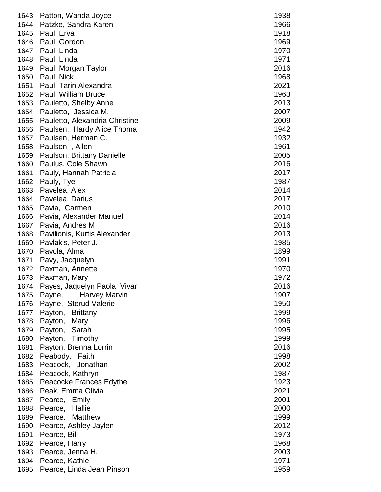| 1643 | Patton, Wanda Joyce            | 1938 |
|------|--------------------------------|------|
| 1644 | Patzke, Sandra Karen           | 1966 |
| 1645 | Paul, Erva                     | 1918 |
| 1646 | Paul, Gordon                   | 1969 |
| 1647 | Paul, Linda                    | 1970 |
| 1648 | Paul, Linda                    | 1971 |
| 1649 | Paul, Morgan Taylor            | 2016 |
| 1650 | Paul, Nick                     | 1968 |
| 1651 | Paul, Tarin Alexandra          | 2021 |
| 1652 | Paul, William Bruce            | 1963 |
| 1653 | Pauletto, Shelby Anne          | 2013 |
| 1654 | Pauletto, Jessica M.           | 2007 |
| 1655 |                                | 2009 |
|      | Pauletto, Alexandria Christine |      |
| 1656 | Paulsen, Hardy Alice Thoma     | 1942 |
| 1657 | Paulsen, Herman C.             | 1932 |
| 1658 | Paulson, Allen                 | 1961 |
| 1659 | Paulson, Brittany Danielle     | 2005 |
| 1660 | Paulus, Cole Shawn             | 2016 |
| 1661 | Pauly, Hannah Patricia         | 2017 |
| 1662 | Pauly, Tye                     | 1987 |
| 1663 | Pavelea, Alex                  | 2014 |
| 1664 | Pavelea, Darius                | 2017 |
| 1665 | Pavia, Carmen                  | 2010 |
| 1666 | Pavia, Alexander Manuel        | 2014 |
| 1667 | Pavia, Andres M                | 2016 |
| 1668 | Pavilionis, Kurtis Alexander   | 2013 |
| 1669 | Pavlakis, Peter J.             | 1985 |
| 1670 | Pavola, Alma                   | 1899 |
| 1671 | Pavy, Jacquelyn                | 1991 |
| 1672 | Paxman, Annette                | 1970 |
| 1673 | Paxman, Mary                   | 1972 |
| 1674 | Payes, Jaquelyn Paola Vivar    | 2016 |
| 1675 | Payne,<br><b>Harvey Marvin</b> | 1907 |
| 1676 | Payne, Sterud Valerie          | 1950 |
| 1677 | Payton, Brittany               | 1999 |
| 1678 | Payton, Mary                   | 1996 |
| 1679 | Payton, Sarah                  | 1995 |
| 1680 | Payton, Timothy                | 1999 |
| 1681 | Payton, Brenna Lorrin          | 2016 |
| 1682 | Peabody, Faith                 | 1998 |
| 1683 | Peacock, Jonathan              | 2002 |
| 1684 | Peacock, Kathryn               | 1987 |
| 1685 | Peacocke Frances Edythe        | 1923 |
| 1686 | Peak, Emma Olivia              | 2021 |
| 1687 | Pearce, Emily                  | 2001 |
| 1688 | Pearce, Hallie                 | 2000 |
| 1689 | Pearce, Matthew                | 1999 |
| 1690 | Pearce, Ashley Jaylen          | 2012 |
| 1691 | Pearce, Bill                   | 1973 |
| 1692 | Pearce, Harry                  | 1968 |
| 1693 | Pearce, Jenna H.               | 2003 |
| 1694 | Pearce, Kathie                 | 1971 |
| 1695 | Pearce, Linda Jean Pinson      | 1959 |
|      |                                |      |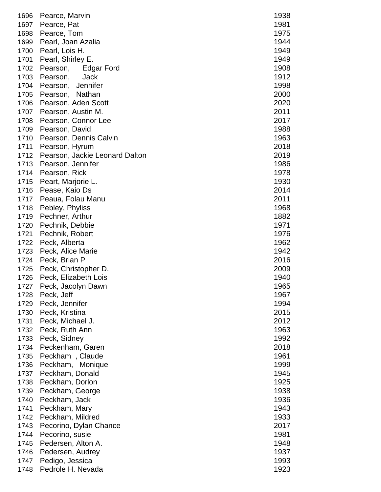| 1697<br>1981<br>Pearce, Pat<br>1698<br>Pearce, Tom<br>1975<br>1699<br>1944<br>Pearl, Joan Azalia<br>1700<br>Pearl, Lois H.<br>1949<br>1949<br>Pearl, Shirley E.<br>1908<br>Pearson,<br>Edgar Ford<br>1703<br>1912<br>Pearson,<br>Jack<br>Jennifer<br>1998<br>Pearson,<br>2000<br>Pearson, Nathan<br>1706<br>Pearson, Aden Scott<br>2020<br>2011<br>Pearson, Austin M.<br>Pearson, Connor Lee<br>2017<br>1988<br>Pearson, David<br>1963<br>Pearson, Dennis Calvin<br>2018<br>Pearson, Hyrum<br>2019<br>Pearson, Jackie Leonard Dalton<br>Pearson, Jennifer<br>1986<br>1978<br>Pearson, Rick<br>Peart, Marjorie L.<br>1930<br>2014<br>1716<br>Pease, Kaio Ds<br>2011<br>1717<br>Peaua, Folau Manu<br>Pebley, Phyliss<br>1718<br>1968<br>Pechner, Arthur<br>1719<br>Pechnik, Debbie<br>1971<br>1720<br>1721<br>Pechnik, Robert<br>1976<br>1722<br>1962<br>Peck, Alberta<br>1942<br>Peck, Alice Marie<br>2016<br>Peck, Brian P<br>Peck, Christopher D.<br>2009<br>1725<br>1940<br>1726 Peck, Elizabeth Lois<br>1965<br>1727<br>Peck, Jacolyn Dawn<br>1967<br>1728<br>Peck, Jeff<br>1729<br>Peck, Jennifer<br>1994<br>Peck, Kristina<br>1730<br>2015<br>2012<br>1731<br>Peck, Michael J.<br>1963<br>1732<br>Peck, Ruth Ann<br>1992<br>1733<br>Peck, Sidney<br>2018<br>1734<br>Peckenham, Garen<br>Peckham, Claude<br>1961<br>1735<br>1736<br>Peckham, Monique<br>1999<br>1945<br>1737<br>Peckham, Donald<br>Peckham, Dorlon<br>1925<br>1738<br>1938<br>1739<br>Peckham, George<br>Peckham, Jack<br>1936<br>1740<br>Peckham, Mary<br>1943<br>1741<br>Peckham, Mildred<br>1933<br>1742<br>2017<br>1743<br>Pecorino, Dylan Chance<br>Pecorino, susie<br>1981<br>1744<br>Pedersen, Alton A.<br>1948<br>1745<br>Pedersen, Audrey<br>1937<br>1746<br>Pedigo, Jessica<br>1993<br>1747<br>Pedrole H. Nevada<br>1923<br>1748 | 1696 | Pearce, Marvin | 1938 |
|----------------------------------------------------------------------------------------------------------------------------------------------------------------------------------------------------------------------------------------------------------------------------------------------------------------------------------------------------------------------------------------------------------------------------------------------------------------------------------------------------------------------------------------------------------------------------------------------------------------------------------------------------------------------------------------------------------------------------------------------------------------------------------------------------------------------------------------------------------------------------------------------------------------------------------------------------------------------------------------------------------------------------------------------------------------------------------------------------------------------------------------------------------------------------------------------------------------------------------------------------------------------------------------------------------------------------------------------------------------------------------------------------------------------------------------------------------------------------------------------------------------------------------------------------------------------------------------------------------------------------------------------------------------------------------------------------------------------------------------------------------------------------------------------------------------|------|----------------|------|
| 1882                                                                                                                                                                                                                                                                                                                                                                                                                                                                                                                                                                                                                                                                                                                                                                                                                                                                                                                                                                                                                                                                                                                                                                                                                                                                                                                                                                                                                                                                                                                                                                                                                                                                                                                                                                                                           |      |                |      |
|                                                                                                                                                                                                                                                                                                                                                                                                                                                                                                                                                                                                                                                                                                                                                                                                                                                                                                                                                                                                                                                                                                                                                                                                                                                                                                                                                                                                                                                                                                                                                                                                                                                                                                                                                                                                                |      |                |      |
|                                                                                                                                                                                                                                                                                                                                                                                                                                                                                                                                                                                                                                                                                                                                                                                                                                                                                                                                                                                                                                                                                                                                                                                                                                                                                                                                                                                                                                                                                                                                                                                                                                                                                                                                                                                                                |      |                |      |
|                                                                                                                                                                                                                                                                                                                                                                                                                                                                                                                                                                                                                                                                                                                                                                                                                                                                                                                                                                                                                                                                                                                                                                                                                                                                                                                                                                                                                                                                                                                                                                                                                                                                                                                                                                                                                |      |                |      |
|                                                                                                                                                                                                                                                                                                                                                                                                                                                                                                                                                                                                                                                                                                                                                                                                                                                                                                                                                                                                                                                                                                                                                                                                                                                                                                                                                                                                                                                                                                                                                                                                                                                                                                                                                                                                                | 1701 |                |      |
|                                                                                                                                                                                                                                                                                                                                                                                                                                                                                                                                                                                                                                                                                                                                                                                                                                                                                                                                                                                                                                                                                                                                                                                                                                                                                                                                                                                                                                                                                                                                                                                                                                                                                                                                                                                                                | 1702 |                |      |
|                                                                                                                                                                                                                                                                                                                                                                                                                                                                                                                                                                                                                                                                                                                                                                                                                                                                                                                                                                                                                                                                                                                                                                                                                                                                                                                                                                                                                                                                                                                                                                                                                                                                                                                                                                                                                |      |                |      |
|                                                                                                                                                                                                                                                                                                                                                                                                                                                                                                                                                                                                                                                                                                                                                                                                                                                                                                                                                                                                                                                                                                                                                                                                                                                                                                                                                                                                                                                                                                                                                                                                                                                                                                                                                                                                                | 1704 |                |      |
|                                                                                                                                                                                                                                                                                                                                                                                                                                                                                                                                                                                                                                                                                                                                                                                                                                                                                                                                                                                                                                                                                                                                                                                                                                                                                                                                                                                                                                                                                                                                                                                                                                                                                                                                                                                                                | 1705 |                |      |
|                                                                                                                                                                                                                                                                                                                                                                                                                                                                                                                                                                                                                                                                                                                                                                                                                                                                                                                                                                                                                                                                                                                                                                                                                                                                                                                                                                                                                                                                                                                                                                                                                                                                                                                                                                                                                |      |                |      |
|                                                                                                                                                                                                                                                                                                                                                                                                                                                                                                                                                                                                                                                                                                                                                                                                                                                                                                                                                                                                                                                                                                                                                                                                                                                                                                                                                                                                                                                                                                                                                                                                                                                                                                                                                                                                                | 1707 |                |      |
|                                                                                                                                                                                                                                                                                                                                                                                                                                                                                                                                                                                                                                                                                                                                                                                                                                                                                                                                                                                                                                                                                                                                                                                                                                                                                                                                                                                                                                                                                                                                                                                                                                                                                                                                                                                                                | 1708 |                |      |
|                                                                                                                                                                                                                                                                                                                                                                                                                                                                                                                                                                                                                                                                                                                                                                                                                                                                                                                                                                                                                                                                                                                                                                                                                                                                                                                                                                                                                                                                                                                                                                                                                                                                                                                                                                                                                | 1709 |                |      |
|                                                                                                                                                                                                                                                                                                                                                                                                                                                                                                                                                                                                                                                                                                                                                                                                                                                                                                                                                                                                                                                                                                                                                                                                                                                                                                                                                                                                                                                                                                                                                                                                                                                                                                                                                                                                                | 1710 |                |      |
|                                                                                                                                                                                                                                                                                                                                                                                                                                                                                                                                                                                                                                                                                                                                                                                                                                                                                                                                                                                                                                                                                                                                                                                                                                                                                                                                                                                                                                                                                                                                                                                                                                                                                                                                                                                                                | 1711 |                |      |
|                                                                                                                                                                                                                                                                                                                                                                                                                                                                                                                                                                                                                                                                                                                                                                                                                                                                                                                                                                                                                                                                                                                                                                                                                                                                                                                                                                                                                                                                                                                                                                                                                                                                                                                                                                                                                | 1712 |                |      |
|                                                                                                                                                                                                                                                                                                                                                                                                                                                                                                                                                                                                                                                                                                                                                                                                                                                                                                                                                                                                                                                                                                                                                                                                                                                                                                                                                                                                                                                                                                                                                                                                                                                                                                                                                                                                                | 1713 |                |      |
|                                                                                                                                                                                                                                                                                                                                                                                                                                                                                                                                                                                                                                                                                                                                                                                                                                                                                                                                                                                                                                                                                                                                                                                                                                                                                                                                                                                                                                                                                                                                                                                                                                                                                                                                                                                                                | 1714 |                |      |
|                                                                                                                                                                                                                                                                                                                                                                                                                                                                                                                                                                                                                                                                                                                                                                                                                                                                                                                                                                                                                                                                                                                                                                                                                                                                                                                                                                                                                                                                                                                                                                                                                                                                                                                                                                                                                | 1715 |                |      |
|                                                                                                                                                                                                                                                                                                                                                                                                                                                                                                                                                                                                                                                                                                                                                                                                                                                                                                                                                                                                                                                                                                                                                                                                                                                                                                                                                                                                                                                                                                                                                                                                                                                                                                                                                                                                                |      |                |      |
|                                                                                                                                                                                                                                                                                                                                                                                                                                                                                                                                                                                                                                                                                                                                                                                                                                                                                                                                                                                                                                                                                                                                                                                                                                                                                                                                                                                                                                                                                                                                                                                                                                                                                                                                                                                                                |      |                |      |
|                                                                                                                                                                                                                                                                                                                                                                                                                                                                                                                                                                                                                                                                                                                                                                                                                                                                                                                                                                                                                                                                                                                                                                                                                                                                                                                                                                                                                                                                                                                                                                                                                                                                                                                                                                                                                |      |                |      |
|                                                                                                                                                                                                                                                                                                                                                                                                                                                                                                                                                                                                                                                                                                                                                                                                                                                                                                                                                                                                                                                                                                                                                                                                                                                                                                                                                                                                                                                                                                                                                                                                                                                                                                                                                                                                                |      |                |      |
|                                                                                                                                                                                                                                                                                                                                                                                                                                                                                                                                                                                                                                                                                                                                                                                                                                                                                                                                                                                                                                                                                                                                                                                                                                                                                                                                                                                                                                                                                                                                                                                                                                                                                                                                                                                                                |      |                |      |
|                                                                                                                                                                                                                                                                                                                                                                                                                                                                                                                                                                                                                                                                                                                                                                                                                                                                                                                                                                                                                                                                                                                                                                                                                                                                                                                                                                                                                                                                                                                                                                                                                                                                                                                                                                                                                |      |                |      |
|                                                                                                                                                                                                                                                                                                                                                                                                                                                                                                                                                                                                                                                                                                                                                                                                                                                                                                                                                                                                                                                                                                                                                                                                                                                                                                                                                                                                                                                                                                                                                                                                                                                                                                                                                                                                                |      |                |      |
|                                                                                                                                                                                                                                                                                                                                                                                                                                                                                                                                                                                                                                                                                                                                                                                                                                                                                                                                                                                                                                                                                                                                                                                                                                                                                                                                                                                                                                                                                                                                                                                                                                                                                                                                                                                                                | 1723 |                |      |
|                                                                                                                                                                                                                                                                                                                                                                                                                                                                                                                                                                                                                                                                                                                                                                                                                                                                                                                                                                                                                                                                                                                                                                                                                                                                                                                                                                                                                                                                                                                                                                                                                                                                                                                                                                                                                | 1724 |                |      |
|                                                                                                                                                                                                                                                                                                                                                                                                                                                                                                                                                                                                                                                                                                                                                                                                                                                                                                                                                                                                                                                                                                                                                                                                                                                                                                                                                                                                                                                                                                                                                                                                                                                                                                                                                                                                                |      |                |      |
|                                                                                                                                                                                                                                                                                                                                                                                                                                                                                                                                                                                                                                                                                                                                                                                                                                                                                                                                                                                                                                                                                                                                                                                                                                                                                                                                                                                                                                                                                                                                                                                                                                                                                                                                                                                                                |      |                |      |
|                                                                                                                                                                                                                                                                                                                                                                                                                                                                                                                                                                                                                                                                                                                                                                                                                                                                                                                                                                                                                                                                                                                                                                                                                                                                                                                                                                                                                                                                                                                                                                                                                                                                                                                                                                                                                |      |                |      |
|                                                                                                                                                                                                                                                                                                                                                                                                                                                                                                                                                                                                                                                                                                                                                                                                                                                                                                                                                                                                                                                                                                                                                                                                                                                                                                                                                                                                                                                                                                                                                                                                                                                                                                                                                                                                                |      |                |      |
|                                                                                                                                                                                                                                                                                                                                                                                                                                                                                                                                                                                                                                                                                                                                                                                                                                                                                                                                                                                                                                                                                                                                                                                                                                                                                                                                                                                                                                                                                                                                                                                                                                                                                                                                                                                                                |      |                |      |
|                                                                                                                                                                                                                                                                                                                                                                                                                                                                                                                                                                                                                                                                                                                                                                                                                                                                                                                                                                                                                                                                                                                                                                                                                                                                                                                                                                                                                                                                                                                                                                                                                                                                                                                                                                                                                |      |                |      |
|                                                                                                                                                                                                                                                                                                                                                                                                                                                                                                                                                                                                                                                                                                                                                                                                                                                                                                                                                                                                                                                                                                                                                                                                                                                                                                                                                                                                                                                                                                                                                                                                                                                                                                                                                                                                                |      |                |      |
|                                                                                                                                                                                                                                                                                                                                                                                                                                                                                                                                                                                                                                                                                                                                                                                                                                                                                                                                                                                                                                                                                                                                                                                                                                                                                                                                                                                                                                                                                                                                                                                                                                                                                                                                                                                                                |      |                |      |
|                                                                                                                                                                                                                                                                                                                                                                                                                                                                                                                                                                                                                                                                                                                                                                                                                                                                                                                                                                                                                                                                                                                                                                                                                                                                                                                                                                                                                                                                                                                                                                                                                                                                                                                                                                                                                |      |                |      |
|                                                                                                                                                                                                                                                                                                                                                                                                                                                                                                                                                                                                                                                                                                                                                                                                                                                                                                                                                                                                                                                                                                                                                                                                                                                                                                                                                                                                                                                                                                                                                                                                                                                                                                                                                                                                                |      |                |      |
|                                                                                                                                                                                                                                                                                                                                                                                                                                                                                                                                                                                                                                                                                                                                                                                                                                                                                                                                                                                                                                                                                                                                                                                                                                                                                                                                                                                                                                                                                                                                                                                                                                                                                                                                                                                                                |      |                |      |
|                                                                                                                                                                                                                                                                                                                                                                                                                                                                                                                                                                                                                                                                                                                                                                                                                                                                                                                                                                                                                                                                                                                                                                                                                                                                                                                                                                                                                                                                                                                                                                                                                                                                                                                                                                                                                |      |                |      |
|                                                                                                                                                                                                                                                                                                                                                                                                                                                                                                                                                                                                                                                                                                                                                                                                                                                                                                                                                                                                                                                                                                                                                                                                                                                                                                                                                                                                                                                                                                                                                                                                                                                                                                                                                                                                                |      |                |      |
|                                                                                                                                                                                                                                                                                                                                                                                                                                                                                                                                                                                                                                                                                                                                                                                                                                                                                                                                                                                                                                                                                                                                                                                                                                                                                                                                                                                                                                                                                                                                                                                                                                                                                                                                                                                                                |      |                |      |
|                                                                                                                                                                                                                                                                                                                                                                                                                                                                                                                                                                                                                                                                                                                                                                                                                                                                                                                                                                                                                                                                                                                                                                                                                                                                                                                                                                                                                                                                                                                                                                                                                                                                                                                                                                                                                |      |                |      |
|                                                                                                                                                                                                                                                                                                                                                                                                                                                                                                                                                                                                                                                                                                                                                                                                                                                                                                                                                                                                                                                                                                                                                                                                                                                                                                                                                                                                                                                                                                                                                                                                                                                                                                                                                                                                                |      |                |      |
|                                                                                                                                                                                                                                                                                                                                                                                                                                                                                                                                                                                                                                                                                                                                                                                                                                                                                                                                                                                                                                                                                                                                                                                                                                                                                                                                                                                                                                                                                                                                                                                                                                                                                                                                                                                                                |      |                |      |
|                                                                                                                                                                                                                                                                                                                                                                                                                                                                                                                                                                                                                                                                                                                                                                                                                                                                                                                                                                                                                                                                                                                                                                                                                                                                                                                                                                                                                                                                                                                                                                                                                                                                                                                                                                                                                |      |                |      |
|                                                                                                                                                                                                                                                                                                                                                                                                                                                                                                                                                                                                                                                                                                                                                                                                                                                                                                                                                                                                                                                                                                                                                                                                                                                                                                                                                                                                                                                                                                                                                                                                                                                                                                                                                                                                                |      |                |      |
|                                                                                                                                                                                                                                                                                                                                                                                                                                                                                                                                                                                                                                                                                                                                                                                                                                                                                                                                                                                                                                                                                                                                                                                                                                                                                                                                                                                                                                                                                                                                                                                                                                                                                                                                                                                                                |      |                |      |
|                                                                                                                                                                                                                                                                                                                                                                                                                                                                                                                                                                                                                                                                                                                                                                                                                                                                                                                                                                                                                                                                                                                                                                                                                                                                                                                                                                                                                                                                                                                                                                                                                                                                                                                                                                                                                |      |                |      |
|                                                                                                                                                                                                                                                                                                                                                                                                                                                                                                                                                                                                                                                                                                                                                                                                                                                                                                                                                                                                                                                                                                                                                                                                                                                                                                                                                                                                                                                                                                                                                                                                                                                                                                                                                                                                                |      |                |      |
|                                                                                                                                                                                                                                                                                                                                                                                                                                                                                                                                                                                                                                                                                                                                                                                                                                                                                                                                                                                                                                                                                                                                                                                                                                                                                                                                                                                                                                                                                                                                                                                                                                                                                                                                                                                                                |      |                |      |
|                                                                                                                                                                                                                                                                                                                                                                                                                                                                                                                                                                                                                                                                                                                                                                                                                                                                                                                                                                                                                                                                                                                                                                                                                                                                                                                                                                                                                                                                                                                                                                                                                                                                                                                                                                                                                |      |                |      |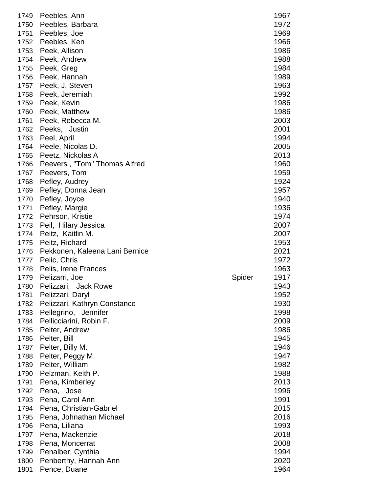| 1749 | Peebles, Ann                   |        | 1967 |
|------|--------------------------------|--------|------|
| 1750 | Peebles, Barbara               |        | 1972 |
| 1751 | Peebles, Joe                   |        | 1969 |
| 1752 | Peebles, Ken                   |        | 1966 |
| 1753 | Peek, Allison                  |        | 1986 |
| 1754 | Peek, Andrew                   |        | 1988 |
| 1755 | Peek, Greg                     |        | 1984 |
|      |                                |        |      |
| 1756 | Peek, Hannah                   |        | 1989 |
| 1757 | Peek, J. Steven                |        | 1963 |
| 1758 | Peek, Jeremiah                 |        | 1992 |
| 1759 | Peek, Kevin                    |        | 1986 |
| 1760 | Peek, Matthew                  |        | 1986 |
| 1761 | Peek, Rebecca M.               |        | 2003 |
|      | 1762 Peeks, Justin             |        | 2001 |
| 1763 | Peel, April                    |        | 1994 |
| 1764 | Peele, Nicolas D.              |        | 2005 |
| 1765 | Peetz, Nickolas A              |        | 2013 |
| 1766 | Peevers, "Tom" Thomas Alfred   |        | 1960 |
| 1767 | Peevers, Tom                   |        | 1959 |
| 1768 | Pefley, Audrey                 |        | 1924 |
| 1769 | Pefley, Donna Jean             |        | 1957 |
| 1770 | Pefley, Joyce                  |        | 1940 |
| 1771 | Pefley, Margie                 |        | 1936 |
| 1772 | Pehrson, Kristie               |        | 1974 |
| 1773 | Peil, Hilary Jessica           |        | 2007 |
| 1774 | Peitz, Kaitlin M.              |        | 2007 |
| 1775 | Peitz, Richard                 |        | 1953 |
| 1776 | Pekkonen, Kaleena Lani Bernice |        | 2021 |
| 1777 | Pelic, Chris                   |        | 1972 |
| 1778 | Pelis, Irene Frances           |        | 1963 |
| 1779 | Pelizarri, Joe                 | Spider | 1917 |
| 1780 | Pelizzari, Jack Rowe           |        | 1943 |
| 1781 | Pelizzari, Daryl               |        | 1952 |
| 1782 | Pelizzari, Kathryn Constance   |        | 1930 |
| 1783 | Pellegrino, Jennifer           |        | 1998 |
| 1784 | Pellicciarini, Robin F.        |        | 2009 |
| 1785 | Pelter, Andrew                 |        | 1986 |
| 1786 | Pelter, Bill                   |        | 1945 |
| 1787 | Pelter, Billy M.               |        | 1946 |
| 1788 | Pelter, Peggy M.               |        | 1947 |
| 1789 | Pelter, William                |        | 1982 |
|      |                                |        |      |
| 1790 | Pelzman, Keith P.              |        | 1988 |
| 1791 | Pena, Kimberley                |        | 2013 |
| 1792 | Pena, Jose                     |        | 1996 |
| 1793 | Pena, Carol Ann                |        | 1991 |
| 1794 | Pena, Christian-Gabriel        |        | 2015 |
| 1795 | Pena, Johnathan Michael        |        | 2016 |
| 1796 | Pena, Liliana                  |        | 1993 |
| 1797 | Pena, Mackenzie                |        | 2018 |
| 1798 | Pena, Moncerrat                |        | 2008 |
| 1799 | Penalber, Cynthia              |        | 1994 |
| 1800 | Penberthy, Hannah Ann          |        | 2020 |
| 1801 | Pence, Duane                   |        | 1964 |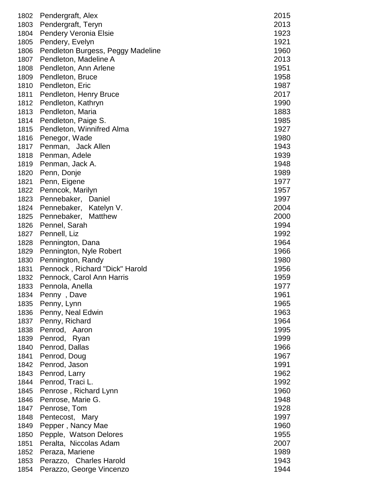| 1803<br>Pendergraft, Teryn<br>2013<br><b>Pendery Veronia Elsie</b><br>1923<br>1804<br>1921<br>1805<br>Pendery, Evelyn<br>1806<br>Pendleton Burgess, Peggy Madeline<br>1960<br>Pendleton, Madeline A<br>2013<br>1807<br>1951<br>1808<br>Pendleton, Ann Arlene<br>1809<br>Pendleton, Bruce<br>1958<br>1987<br>1810<br>Pendleton, Eric<br>1811<br>Pendleton, Henry Bruce<br>Pendleton, Kathryn<br>1812<br>Pendleton, Maria<br>1813<br>Pendleton, Paige S.<br>1814<br>1815<br>Pendleton, Winnifred Alma<br>1816<br>Penegor, Wade<br>1817<br>Penman, Jack Allen<br>Penman, Adele<br>1818<br>Penman, Jack A.<br>1819<br>Penn, Donje<br>1820<br>1821<br>Penn, Eigene<br>1822<br>Penncok, Marilyn<br>1823<br>Pennebaker, Daniel<br>1824<br>Pennebaker, Katelyn V.<br>1825<br>Pennebaker, Matthew<br>1994<br>1826<br>Pennel, Sarah<br>1992<br>1827<br>Pennell, Liz<br>1964<br>1828<br>Pennington, Dana<br>Pennington, Nyle Robert<br>1966<br>1829<br>Pennington, Randy<br>1980<br>1830<br>1831<br>Pennock, Richard "Dick" Harold<br>1956<br>Pennock, Carol Ann Harris<br>1832<br>1959<br>1977<br>1833<br>Pennola, Anella<br>1961<br>1834<br>Penny, Dave<br>1835<br>Penny, Lynn<br>1965<br>Penny, Neal Edwin<br>1963<br>1836<br>1964<br>1837<br>Penny, Richard<br>1995<br>1838<br>Penrod, Aaron<br>1999<br>1839<br>Penrod, Ryan<br>1966<br>1840<br>Penrod, Dallas<br>1841<br>Penrod, Doug<br>1842<br>Penrod, Jason<br>1843<br>Penrod, Larry<br>Penrod, Traci L.<br>1844<br>Penrose, Richard Lynn<br>1845<br>1846<br>Penrose, Marie G.<br>1847<br>Penrose, Tom<br>1848<br>Pentecost, Mary<br>1849<br>Pepper, Nancy Mae<br>1850<br>Pepple, Watson Delores | 1802 | Pendergraft, Alex      | 2015 |
|-----------------------------------------------------------------------------------------------------------------------------------------------------------------------------------------------------------------------------------------------------------------------------------------------------------------------------------------------------------------------------------------------------------------------------------------------------------------------------------------------------------------------------------------------------------------------------------------------------------------------------------------------------------------------------------------------------------------------------------------------------------------------------------------------------------------------------------------------------------------------------------------------------------------------------------------------------------------------------------------------------------------------------------------------------------------------------------------------------------------------------------------------------------------------------------------------------------------------------------------------------------------------------------------------------------------------------------------------------------------------------------------------------------------------------------------------------------------------------------------------------------------------------------------------------------------------------------------------------------------------------------------------|------|------------------------|------|
|                                                                                                                                                                                                                                                                                                                                                                                                                                                                                                                                                                                                                                                                                                                                                                                                                                                                                                                                                                                                                                                                                                                                                                                                                                                                                                                                                                                                                                                                                                                                                                                                                                               |      |                        |      |
|                                                                                                                                                                                                                                                                                                                                                                                                                                                                                                                                                                                                                                                                                                                                                                                                                                                                                                                                                                                                                                                                                                                                                                                                                                                                                                                                                                                                                                                                                                                                                                                                                                               |      |                        |      |
|                                                                                                                                                                                                                                                                                                                                                                                                                                                                                                                                                                                                                                                                                                                                                                                                                                                                                                                                                                                                                                                                                                                                                                                                                                                                                                                                                                                                                                                                                                                                                                                                                                               |      |                        |      |
|                                                                                                                                                                                                                                                                                                                                                                                                                                                                                                                                                                                                                                                                                                                                                                                                                                                                                                                                                                                                                                                                                                                                                                                                                                                                                                                                                                                                                                                                                                                                                                                                                                               |      |                        |      |
|                                                                                                                                                                                                                                                                                                                                                                                                                                                                                                                                                                                                                                                                                                                                                                                                                                                                                                                                                                                                                                                                                                                                                                                                                                                                                                                                                                                                                                                                                                                                                                                                                                               |      |                        |      |
|                                                                                                                                                                                                                                                                                                                                                                                                                                                                                                                                                                                                                                                                                                                                                                                                                                                                                                                                                                                                                                                                                                                                                                                                                                                                                                                                                                                                                                                                                                                                                                                                                                               |      |                        |      |
|                                                                                                                                                                                                                                                                                                                                                                                                                                                                                                                                                                                                                                                                                                                                                                                                                                                                                                                                                                                                                                                                                                                                                                                                                                                                                                                                                                                                                                                                                                                                                                                                                                               |      |                        |      |
|                                                                                                                                                                                                                                                                                                                                                                                                                                                                                                                                                                                                                                                                                                                                                                                                                                                                                                                                                                                                                                                                                                                                                                                                                                                                                                                                                                                                                                                                                                                                                                                                                                               |      |                        |      |
|                                                                                                                                                                                                                                                                                                                                                                                                                                                                                                                                                                                                                                                                                                                                                                                                                                                                                                                                                                                                                                                                                                                                                                                                                                                                                                                                                                                                                                                                                                                                                                                                                                               |      |                        |      |
|                                                                                                                                                                                                                                                                                                                                                                                                                                                                                                                                                                                                                                                                                                                                                                                                                                                                                                                                                                                                                                                                                                                                                                                                                                                                                                                                                                                                                                                                                                                                                                                                                                               |      |                        | 2017 |
|                                                                                                                                                                                                                                                                                                                                                                                                                                                                                                                                                                                                                                                                                                                                                                                                                                                                                                                                                                                                                                                                                                                                                                                                                                                                                                                                                                                                                                                                                                                                                                                                                                               |      |                        | 1990 |
|                                                                                                                                                                                                                                                                                                                                                                                                                                                                                                                                                                                                                                                                                                                                                                                                                                                                                                                                                                                                                                                                                                                                                                                                                                                                                                                                                                                                                                                                                                                                                                                                                                               |      |                        | 1883 |
|                                                                                                                                                                                                                                                                                                                                                                                                                                                                                                                                                                                                                                                                                                                                                                                                                                                                                                                                                                                                                                                                                                                                                                                                                                                                                                                                                                                                                                                                                                                                                                                                                                               |      |                        | 1985 |
|                                                                                                                                                                                                                                                                                                                                                                                                                                                                                                                                                                                                                                                                                                                                                                                                                                                                                                                                                                                                                                                                                                                                                                                                                                                                                                                                                                                                                                                                                                                                                                                                                                               |      |                        | 1927 |
|                                                                                                                                                                                                                                                                                                                                                                                                                                                                                                                                                                                                                                                                                                                                                                                                                                                                                                                                                                                                                                                                                                                                                                                                                                                                                                                                                                                                                                                                                                                                                                                                                                               |      |                        | 1980 |
|                                                                                                                                                                                                                                                                                                                                                                                                                                                                                                                                                                                                                                                                                                                                                                                                                                                                                                                                                                                                                                                                                                                                                                                                                                                                                                                                                                                                                                                                                                                                                                                                                                               |      |                        | 1943 |
|                                                                                                                                                                                                                                                                                                                                                                                                                                                                                                                                                                                                                                                                                                                                                                                                                                                                                                                                                                                                                                                                                                                                                                                                                                                                                                                                                                                                                                                                                                                                                                                                                                               |      |                        | 1939 |
|                                                                                                                                                                                                                                                                                                                                                                                                                                                                                                                                                                                                                                                                                                                                                                                                                                                                                                                                                                                                                                                                                                                                                                                                                                                                                                                                                                                                                                                                                                                                                                                                                                               |      |                        | 1948 |
|                                                                                                                                                                                                                                                                                                                                                                                                                                                                                                                                                                                                                                                                                                                                                                                                                                                                                                                                                                                                                                                                                                                                                                                                                                                                                                                                                                                                                                                                                                                                                                                                                                               |      |                        | 1989 |
|                                                                                                                                                                                                                                                                                                                                                                                                                                                                                                                                                                                                                                                                                                                                                                                                                                                                                                                                                                                                                                                                                                                                                                                                                                                                                                                                                                                                                                                                                                                                                                                                                                               |      |                        | 1977 |
|                                                                                                                                                                                                                                                                                                                                                                                                                                                                                                                                                                                                                                                                                                                                                                                                                                                                                                                                                                                                                                                                                                                                                                                                                                                                                                                                                                                                                                                                                                                                                                                                                                               |      |                        | 1957 |
|                                                                                                                                                                                                                                                                                                                                                                                                                                                                                                                                                                                                                                                                                                                                                                                                                                                                                                                                                                                                                                                                                                                                                                                                                                                                                                                                                                                                                                                                                                                                                                                                                                               |      |                        | 1997 |
|                                                                                                                                                                                                                                                                                                                                                                                                                                                                                                                                                                                                                                                                                                                                                                                                                                                                                                                                                                                                                                                                                                                                                                                                                                                                                                                                                                                                                                                                                                                                                                                                                                               |      |                        | 2004 |
|                                                                                                                                                                                                                                                                                                                                                                                                                                                                                                                                                                                                                                                                                                                                                                                                                                                                                                                                                                                                                                                                                                                                                                                                                                                                                                                                                                                                                                                                                                                                                                                                                                               |      |                        | 2000 |
|                                                                                                                                                                                                                                                                                                                                                                                                                                                                                                                                                                                                                                                                                                                                                                                                                                                                                                                                                                                                                                                                                                                                                                                                                                                                                                                                                                                                                                                                                                                                                                                                                                               |      |                        |      |
|                                                                                                                                                                                                                                                                                                                                                                                                                                                                                                                                                                                                                                                                                                                                                                                                                                                                                                                                                                                                                                                                                                                                                                                                                                                                                                                                                                                                                                                                                                                                                                                                                                               |      |                        |      |
|                                                                                                                                                                                                                                                                                                                                                                                                                                                                                                                                                                                                                                                                                                                                                                                                                                                                                                                                                                                                                                                                                                                                                                                                                                                                                                                                                                                                                                                                                                                                                                                                                                               |      |                        |      |
|                                                                                                                                                                                                                                                                                                                                                                                                                                                                                                                                                                                                                                                                                                                                                                                                                                                                                                                                                                                                                                                                                                                                                                                                                                                                                                                                                                                                                                                                                                                                                                                                                                               |      |                        |      |
|                                                                                                                                                                                                                                                                                                                                                                                                                                                                                                                                                                                                                                                                                                                                                                                                                                                                                                                                                                                                                                                                                                                                                                                                                                                                                                                                                                                                                                                                                                                                                                                                                                               |      |                        |      |
|                                                                                                                                                                                                                                                                                                                                                                                                                                                                                                                                                                                                                                                                                                                                                                                                                                                                                                                                                                                                                                                                                                                                                                                                                                                                                                                                                                                                                                                                                                                                                                                                                                               |      |                        |      |
|                                                                                                                                                                                                                                                                                                                                                                                                                                                                                                                                                                                                                                                                                                                                                                                                                                                                                                                                                                                                                                                                                                                                                                                                                                                                                                                                                                                                                                                                                                                                                                                                                                               |      |                        |      |
|                                                                                                                                                                                                                                                                                                                                                                                                                                                                                                                                                                                                                                                                                                                                                                                                                                                                                                                                                                                                                                                                                                                                                                                                                                                                                                                                                                                                                                                                                                                                                                                                                                               |      |                        |      |
|                                                                                                                                                                                                                                                                                                                                                                                                                                                                                                                                                                                                                                                                                                                                                                                                                                                                                                                                                                                                                                                                                                                                                                                                                                                                                                                                                                                                                                                                                                                                                                                                                                               |      |                        |      |
|                                                                                                                                                                                                                                                                                                                                                                                                                                                                                                                                                                                                                                                                                                                                                                                                                                                                                                                                                                                                                                                                                                                                                                                                                                                                                                                                                                                                                                                                                                                                                                                                                                               |      |                        |      |
|                                                                                                                                                                                                                                                                                                                                                                                                                                                                                                                                                                                                                                                                                                                                                                                                                                                                                                                                                                                                                                                                                                                                                                                                                                                                                                                                                                                                                                                                                                                                                                                                                                               |      |                        |      |
|                                                                                                                                                                                                                                                                                                                                                                                                                                                                                                                                                                                                                                                                                                                                                                                                                                                                                                                                                                                                                                                                                                                                                                                                                                                                                                                                                                                                                                                                                                                                                                                                                                               |      |                        |      |
|                                                                                                                                                                                                                                                                                                                                                                                                                                                                                                                                                                                                                                                                                                                                                                                                                                                                                                                                                                                                                                                                                                                                                                                                                                                                                                                                                                                                                                                                                                                                                                                                                                               |      |                        |      |
|                                                                                                                                                                                                                                                                                                                                                                                                                                                                                                                                                                                                                                                                                                                                                                                                                                                                                                                                                                                                                                                                                                                                                                                                                                                                                                                                                                                                                                                                                                                                                                                                                                               |      |                        |      |
|                                                                                                                                                                                                                                                                                                                                                                                                                                                                                                                                                                                                                                                                                                                                                                                                                                                                                                                                                                                                                                                                                                                                                                                                                                                                                                                                                                                                                                                                                                                                                                                                                                               |      |                        |      |
|                                                                                                                                                                                                                                                                                                                                                                                                                                                                                                                                                                                                                                                                                                                                                                                                                                                                                                                                                                                                                                                                                                                                                                                                                                                                                                                                                                                                                                                                                                                                                                                                                                               |      |                        |      |
|                                                                                                                                                                                                                                                                                                                                                                                                                                                                                                                                                                                                                                                                                                                                                                                                                                                                                                                                                                                                                                                                                                                                                                                                                                                                                                                                                                                                                                                                                                                                                                                                                                               |      |                        | 1967 |
|                                                                                                                                                                                                                                                                                                                                                                                                                                                                                                                                                                                                                                                                                                                                                                                                                                                                                                                                                                                                                                                                                                                                                                                                                                                                                                                                                                                                                                                                                                                                                                                                                                               |      |                        | 1991 |
|                                                                                                                                                                                                                                                                                                                                                                                                                                                                                                                                                                                                                                                                                                                                                                                                                                                                                                                                                                                                                                                                                                                                                                                                                                                                                                                                                                                                                                                                                                                                                                                                                                               |      |                        | 1962 |
|                                                                                                                                                                                                                                                                                                                                                                                                                                                                                                                                                                                                                                                                                                                                                                                                                                                                                                                                                                                                                                                                                                                                                                                                                                                                                                                                                                                                                                                                                                                                                                                                                                               |      |                        | 1992 |
|                                                                                                                                                                                                                                                                                                                                                                                                                                                                                                                                                                                                                                                                                                                                                                                                                                                                                                                                                                                                                                                                                                                                                                                                                                                                                                                                                                                                                                                                                                                                                                                                                                               |      |                        | 1960 |
|                                                                                                                                                                                                                                                                                                                                                                                                                                                                                                                                                                                                                                                                                                                                                                                                                                                                                                                                                                                                                                                                                                                                                                                                                                                                                                                                                                                                                                                                                                                                                                                                                                               |      |                        | 1948 |
|                                                                                                                                                                                                                                                                                                                                                                                                                                                                                                                                                                                                                                                                                                                                                                                                                                                                                                                                                                                                                                                                                                                                                                                                                                                                                                                                                                                                                                                                                                                                                                                                                                               |      |                        | 1928 |
|                                                                                                                                                                                                                                                                                                                                                                                                                                                                                                                                                                                                                                                                                                                                                                                                                                                                                                                                                                                                                                                                                                                                                                                                                                                                                                                                                                                                                                                                                                                                                                                                                                               |      |                        | 1997 |
|                                                                                                                                                                                                                                                                                                                                                                                                                                                                                                                                                                                                                                                                                                                                                                                                                                                                                                                                                                                                                                                                                                                                                                                                                                                                                                                                                                                                                                                                                                                                                                                                                                               |      |                        | 1960 |
|                                                                                                                                                                                                                                                                                                                                                                                                                                                                                                                                                                                                                                                                                                                                                                                                                                                                                                                                                                                                                                                                                                                                                                                                                                                                                                                                                                                                                                                                                                                                                                                                                                               |      |                        | 1955 |
|                                                                                                                                                                                                                                                                                                                                                                                                                                                                                                                                                                                                                                                                                                                                                                                                                                                                                                                                                                                                                                                                                                                                                                                                                                                                                                                                                                                                                                                                                                                                                                                                                                               | 1851 | Peralta, Niccolas Adam | 2007 |
| 1852<br>Peraza, Mariene                                                                                                                                                                                                                                                                                                                                                                                                                                                                                                                                                                                                                                                                                                                                                                                                                                                                                                                                                                                                                                                                                                                                                                                                                                                                                                                                                                                                                                                                                                                                                                                                                       |      |                        | 1989 |
| 1853<br>Perazzo, Charles Harold                                                                                                                                                                                                                                                                                                                                                                                                                                                                                                                                                                                                                                                                                                                                                                                                                                                                                                                                                                                                                                                                                                                                                                                                                                                                                                                                                                                                                                                                                                                                                                                                               |      |                        | 1943 |
| 1854<br>Perazzo, George Vincenzo                                                                                                                                                                                                                                                                                                                                                                                                                                                                                                                                                                                                                                                                                                                                                                                                                                                                                                                                                                                                                                                                                                                                                                                                                                                                                                                                                                                                                                                                                                                                                                                                              |      |                        | 1944 |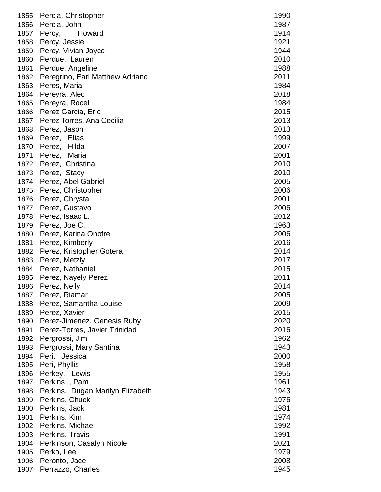| 1855         | Percia, Christopher                      | 1990         |
|--------------|------------------------------------------|--------------|
| 1856         | Percia, John                             | 1987         |
| 1857         | Howard<br>Percy,                         | 1914         |
| 1858         | Percy, Jessie                            | 1921         |
| 1859         | Percy, Vivian Joyce                      | 1944         |
| 1860         | Perdue, Lauren                           | 2010         |
| 1861         | Perdue, Angeline                         | 1988         |
| 1862         | Peregrino, Earl Matthew Adriano          | 2011         |
| 1863         | Peres, Maria                             | 1984         |
| 1864         | Pereyra, Alec                            | 2018         |
| 1865         | Pereyra, Rocel                           | 1984         |
| 1866         | Perez Garcia, Eric                       | 2015         |
| 1867         | Perez Torres, Ana Cecilia                | 2013         |
| 1868         | Perez, Jason                             | 2013         |
| 1869         | Perez, Elias                             | 1999         |
| 1870         | Perez, Hilda                             | 2007         |
| 1871         | Perez, Maria                             | 2001         |
| 1872         | Perez, Christina                         | 2010         |
| 1873         |                                          | 2010         |
| 1874         | Perez, Stacy<br>Perez, Abel Gabriel      | 2005         |
| 1875         | Perez, Christopher                       | 2006         |
| 1876         | Perez, Chrystal                          | 2001         |
| 1877         | Perez, Gustavo                           | 2006         |
| 1878         | Perez, Isaac L.                          | 2012         |
| 1879         | Perez, Joe C.                            | 1963         |
| 1880         | Perez, Karina Onofre                     | 2006         |
| 1881         | Perez, Kimberly                          | 2016         |
| 1882         | Perez, Kristopher Gotera                 | 2014         |
| 1883         | Perez, Metzly                            | 2017         |
| 1884         | Perez, Nathaniel                         | 2015         |
| 1885         | Perez, Nayely Perez                      | 2011         |
| 1886         | Perez, Nelly                             | 2014         |
| 1887         | Perez, Riamar                            | 2005         |
| 1888         | Perez, Samantha Louise                   | 2009         |
| 1889         | Perez, Xavier                            | 2015         |
| 1890         | Perez-Jimenez, Genesis Ruby              | 2020         |
| 1891         | Perez-Torres, Javier Trinidad            | 2016         |
| 1892         | Pergrossi, Jim                           | 1962         |
| 1893         |                                          | 1943         |
| 1894         | Pergrossi, Mary Santina<br>Peri, Jessica | 2000         |
| 1895         | Peri, Phyllis                            | 1958         |
| 1896         | Perkey, Lewis                            | 1955         |
| 1897         | Perkins, Pam                             | 1961         |
| 1898         | Perkins, Dugan Marilyn Elizabeth         | 1943         |
| 1899         | Perkins, Chuck                           | 1976         |
|              |                                          |              |
| 1900         | Perkins, Jack                            | 1981<br>1974 |
| 1901         | Perkins, Kim                             |              |
| 1902         | Perkins, Michael                         | 1992         |
| 1903         | Perkins, Travis                          | 1991<br>2021 |
| 1904<br>1905 | Perkinson, Casalyn Nicole<br>Perko, Lee  | 1979         |
| 1906         | Peronto, Jace                            | 2008         |
| 1907         | Perrazzo, Charles                        | 1945         |
|              |                                          |              |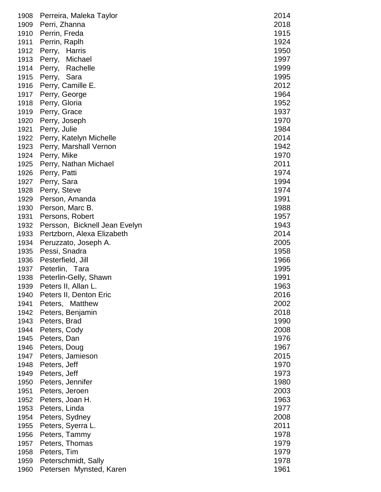| 1908 | Perreira, Maleka Taylor       | 2014 |
|------|-------------------------------|------|
| 1909 | Perri, Zhanna                 | 2018 |
| 1910 | Perrin, Freda                 | 1915 |
| 1911 | Perrin, Raplh                 | 1924 |
| 1912 | Perry, Harris                 | 1950 |
| 1913 | Perry, Michael                | 1997 |
| 1914 | Perry, Rachelle               | 1999 |
| 1915 | Perry, Sara                   | 1995 |
| 1916 | Perry, Camille E.             | 2012 |
| 1917 | Perry, George                 | 1964 |
| 1918 | Perry, Gloria                 | 1952 |
| 1919 | Perry, Grace                  | 1937 |
| 1920 | Perry, Joseph                 | 1970 |
| 1921 | Perry, Julie                  | 1984 |
| 1922 | Perry, Katelyn Michelle       | 2014 |
| 1923 | Perry, Marshall Vernon        | 1942 |
| 1924 | Perry, Mike                   | 1970 |
| 1925 | Perry, Nathan Michael         | 2011 |
| 1926 | Perry, Patti                  | 1974 |
| 1927 | Perry, Sara                   | 1994 |
| 1928 | Perry, Steve                  | 1974 |
| 1929 | Person, Amanda                | 1991 |
| 1930 | Person, Marc B.               | 1988 |
| 1931 | Persons, Robert               | 1957 |
| 1932 | Persson, Bicknell Jean Evelyn | 1943 |
| 1933 | Pertzborn, Alexa Elizabeth    | 2014 |
| 1934 | Peruzzato, Joseph A.          | 2005 |
| 1935 | Pessi, Snadra                 | 1958 |
| 1936 | Pesterfield, Jill             | 1966 |
| 1937 | Peterlin, Tara                | 1995 |
| 1938 | Peterlin-Gelly, Shawn         | 1991 |
| 1939 | Peters II, Allan L.           | 1963 |
| 1940 | Peters II, Denton Eric        | 2016 |
| 1941 | Peters, Matthew               | 2002 |
| 1942 | Peters, Benjamin              | 2018 |
| 1943 | Peters, Brad                  | 1990 |
| 1944 | Peters, Cody                  | 2008 |
| 1945 | Peters, Dan                   | 1976 |
| 1946 | Peters, Doug                  | 1967 |
| 1947 | Peters, Jamieson              | 2015 |
| 1948 | Peters, Jeff                  | 1970 |
| 1949 | Peters, Jeff                  | 1973 |
| 1950 | Peters, Jennifer              | 1980 |
| 1951 | Peters, Jeroen                | 2003 |
| 1952 | Peters, Joan H.               | 1963 |
| 1953 |                               | 1977 |
| 1954 | Peters, Linda                 | 2008 |
|      | Peters, Sydney                |      |
| 1955 | Peters, Syerra L.             | 2011 |
| 1956 | Peters, Tammy                 | 1978 |
| 1957 | Peters, Thomas                | 1979 |
| 1958 | Peters, Tim                   | 1979 |
| 1959 | Peterschmidt, Sally           | 1978 |
| 1960 | Petersen Mynsted, Karen       | 1961 |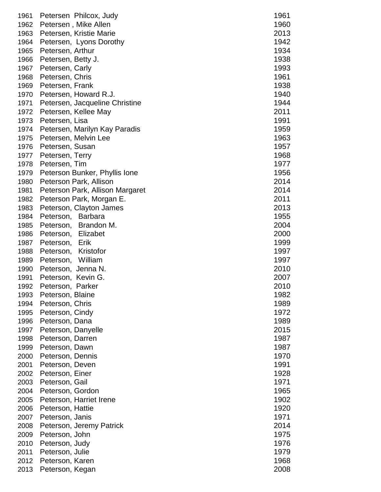| 1961 | Petersen Philcox, Judy          | 1961 |
|------|---------------------------------|------|
| 1962 | Petersen, Mike Allen            | 1960 |
| 1963 | Petersen, Kristie Marie         | 2013 |
| 1964 | Petersen, Lyons Dorothy         | 1942 |
| 1965 | Petersen, Arthur                | 1934 |
| 1966 | Petersen, Betty J.              | 1938 |
| 1967 | Petersen, Carly                 | 1993 |
| 1968 | Petersen, Chris                 | 1961 |
| 1969 | Petersen, Frank                 | 1938 |
| 1970 | Petersen, Howard R.J.           | 1940 |
| 1971 | Petersen, Jacqueline Christine  | 1944 |
| 1972 | Petersen, Kellee May            | 2011 |
| 1973 | Petersen, Lisa                  | 1991 |
| 1974 | Petersen, Marilyn Kay Paradis   | 1959 |
| 1975 | Petersen, Melvin Lee            | 1963 |
| 1976 | Petersen, Susan                 | 1957 |
| 1977 | Petersen, Terry                 | 1968 |
| 1978 | Petersen, Tim                   | 1977 |
| 1979 | Peterson Bunker, Phyllis Ione   | 1956 |
| 1980 | Peterson Park, Allison          | 2014 |
| 1981 | Peterson Park, Allison Margaret | 2014 |
| 1982 | Peterson Park, Morgan E.        | 2011 |
| 1983 | Peterson, Clayton James         | 2013 |
| 1984 | Peterson, Barbara               | 1955 |
| 1985 | Peterson, Brandon M.            | 2004 |
| 1986 | Peterson, Elizabet              | 2000 |
| 1987 | Peterson,<br>Erik               | 1999 |
| 1988 | Peterson, Kristofor             | 1997 |
| 1989 | Peterson, William               | 1997 |
| 1990 | Peterson, Jenna N.              | 2010 |
| 1991 | Peterson, Kevin G.              | 2007 |
| 1992 | Peterson, Parker                | 2010 |
| 1993 | Peterson, Blaine                | 1982 |
| 1994 | Peterson, Chris                 | 1989 |
| 1995 | Peterson, Cindy                 | 1972 |
| 1996 | Peterson, Dana                  | 1989 |
| 1997 | Peterson, Danyelle              | 2015 |
| 1998 | Peterson, Darren                | 1987 |
| 1999 | Peterson, Dawn                  | 1987 |
| 2000 | Peterson, Dennis                | 1970 |
| 2001 | Peterson, Deven                 | 1991 |
| 2002 | Peterson, Einer                 | 1928 |
| 2003 | Peterson, Gail                  | 1971 |
| 2004 | Peterson, Gordon                | 1965 |
| 2005 | Peterson, Harriet Irene         | 1902 |
| 2006 | Peterson, Hattie                | 1920 |
| 2007 | Peterson, Janis                 | 1971 |
| 2008 | Peterson, Jeremy Patrick        | 2014 |
| 2009 | Peterson, John                  | 1975 |
| 2010 | Peterson, Judy                  | 1976 |
| 2011 | Peterson, Julie                 | 1979 |
| 2012 | Peterson, Karen                 | 1968 |
| 2013 | Peterson, Kegan                 | 2008 |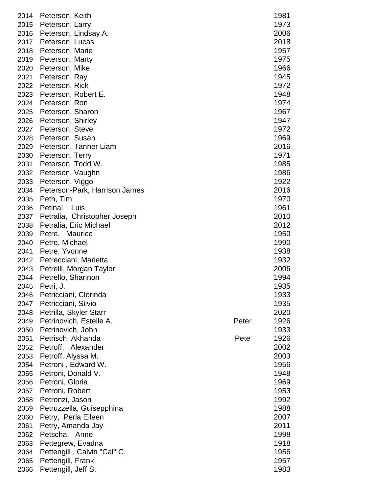| 2014 | Peterson, Keith               |       | 1981 |
|------|-------------------------------|-------|------|
| 2015 | Peterson, Larry               |       | 1973 |
|      |                               |       |      |
| 2016 | Peterson, Lindsay A.          |       | 2006 |
| 2017 | Peterson, Lucas               |       | 2018 |
| 2018 | Peterson, Marie               |       | 1957 |
| 2019 | Peterson, Marty               |       | 1975 |
| 2020 | Peterson, Mike                |       | 1966 |
| 2021 | Peterson, Ray                 |       | 1945 |
| 2022 | Peterson, Rick                |       | 1972 |
| 2023 | Peterson, Robert E.           |       | 1948 |
| 2024 | Peterson, Ron                 |       | 1974 |
| 2025 | Peterson, Sharon              |       | 1967 |
| 2026 | Peterson, Shirley             |       | 1947 |
| 2027 | Peterson, Steve               |       | 1972 |
| 2028 | Peterson, Susan               |       | 1969 |
| 2029 | Peterson, Tanner Liam         |       | 2016 |
| 2030 | Peterson, Terry               |       | 1971 |
| 2031 | Peterson, Todd W.             |       | 1985 |
| 2032 | Peterson, Vaughn              |       | 1986 |
| 2033 | Peterson, Viggo               |       | 1922 |
| 2034 | Peterson-Park, Harrison James |       | 2016 |
| 2035 | Peth, Tim                     |       | 1970 |
|      | Petinal, Luis                 |       | 1961 |
| 2036 |                               |       |      |
| 2037 | Petralia, Christopher Joseph  |       | 2010 |
| 2038 | Petralia, Eric Michael        |       | 2012 |
| 2039 | Petre, Maurice                |       | 1950 |
| 2040 | Petre, Michael                |       | 1990 |
| 2041 | Petre, Yvonne                 |       | 1938 |
| 2042 | Petrecciani, Marietta         |       | 1932 |
| 2043 | Petrelli, Morgan Taylor       |       | 2006 |
| 2044 | Petrello, Shannon             |       | 1994 |
| 2045 | Petri, J.                     |       | 1935 |
| 2046 | Petricciani, Clorinda         |       | 1933 |
| 2047 | Petricciani, Silvio           |       | 1935 |
| 2048 | Petrilla, Skyler Starr        |       | 2020 |
| 2049 | Petrinovich, Estelle A.       | Peter | 1926 |
| 2050 | Petrinovich, John             |       | 1933 |
| 2051 | Petrisch, Akhanda             | Pete  | 1926 |
| 2052 | Petroff, Alexander            |       | 2002 |
| 2053 | Petroff, Alyssa M.            |       | 2003 |
| 2054 | Petroni, Edward W.            |       | 1956 |
| 2055 | Petroni, Donald V.            |       | 1948 |
| 2056 | Petroni, Gloria               |       | 1969 |
| 2057 | Petroni, Robert               |       | 1953 |
| 2058 | Petronzi, Jason               |       | 1992 |
| 2059 | Petruzzella, Guisepphina      |       | 1988 |
| 2060 | Petry, Perla Eileen           |       | 2007 |
|      |                               |       |      |
| 2061 | Petry, Amanda Jay             |       | 2011 |
| 2062 | Petscha, Anne                 |       | 1998 |
| 2063 | Pettegrew, Evadna             |       | 1918 |
| 2064 | Pettengill, Calvin "Cal" C.   |       | 1956 |
| 2065 | Pettengill, Frank             |       | 1957 |
| 2066 | Pettengill, Jeff S.           |       | 1983 |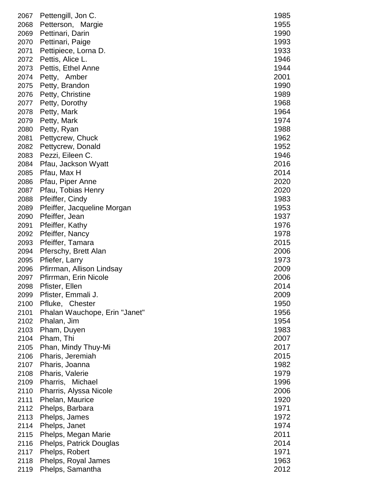| 2067 | Pettengill, Jon C.            | 1985 |
|------|-------------------------------|------|
| 2068 | Petterson, Margie             | 1955 |
| 2069 | Pettinari, Darin              | 1990 |
| 2070 | Pettinari, Paige              | 1993 |
| 2071 | Pettipiece, Lorna D.          | 1933 |
| 2072 | Pettis, Alice L.              | 1946 |
| 2073 | Pettis, Ethel Anne            | 1944 |
| 2074 | Petty, Amber                  | 2001 |
| 2075 | Petty, Brandon                | 1990 |
| 2076 | Petty, Christine              | 1989 |
| 2077 | Petty, Dorothy                | 1968 |
| 2078 | Petty, Mark                   | 1964 |
| 2079 | Petty, Mark                   | 1974 |
| 2080 | Petty, Ryan                   | 1988 |
| 2081 | Pettycrew, Chuck              | 1962 |
| 2082 | Pettycrew, Donald             | 1952 |
| 2083 | Pezzi, Eileen C.              | 1946 |
| 2084 |                               | 2016 |
|      | Pfau, Jackson Wyatt           |      |
| 2085 | Pfau, Max H                   | 2014 |
| 2086 | Pfau, Piper Anne              | 2020 |
| 2087 | Pfau, Tobias Henry            | 2020 |
| 2088 | Pfeiffer, Cindy               | 1983 |
| 2089 | Pfeiffer, Jacqueline Morgan   | 1953 |
| 2090 | Pfeiffer, Jean                | 1937 |
| 2091 | Pfeiffer, Kathy               | 1976 |
| 2092 | Pfeiffer, Nancy               | 1978 |
| 2093 | Pfeiffer, Tamara              | 2015 |
| 2094 | Pferschy, Brett Alan          | 2006 |
| 2095 | Pfiefer, Larry                | 1973 |
| 2096 | Pfirrman, Allison Lindsay     | 2009 |
| 2097 | Pfirrman, Erin Nicole         | 2006 |
| 2098 | Pfister, Ellen                | 2014 |
| 2099 | Pfister, Emmali J.            | 2009 |
| 2100 | Pfluke, Chester               | 1950 |
| 2101 | Phalan Wauchope, Erin "Janet" | 1956 |
| 2102 | Phalan, Jim                   | 1954 |
| 2103 | Pham, Duyen                   | 1983 |
| 2104 | Pham, Thi                     | 2007 |
| 2105 | Phan, Mindy Thuy-Mi           | 2017 |
| 2106 | Pharis, Jeremiah              | 2015 |
| 2107 | Pharis, Joanna                | 1982 |
| 2108 | Pharis, Valerie               | 1979 |
| 2109 | Pharris, Michael              | 1996 |
| 2110 | Pharris, Alyssa Nicole        | 2006 |
| 2111 | Phelan, Maurice               | 1920 |
| 2112 | Phelps, Barbara               | 1971 |
| 2113 | Phelps, James                 | 1972 |
| 2114 | Phelps, Janet                 | 1974 |
| 2115 | Phelps, Megan Marie           | 2011 |
| 2116 | Phelps, Patrick Douglas       | 2014 |
| 2117 | Phelps, Robert                | 1971 |
| 2118 | Phelps, Royal James           | 1963 |
| 2119 | Phelps, Samantha              | 2012 |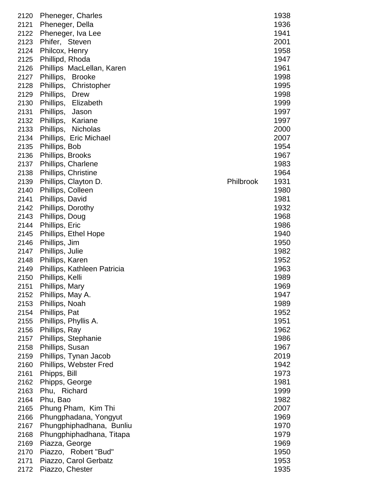| 2120         | Pheneger, Charles           |           | 1938 |
|--------------|-----------------------------|-----------|------|
| 2121         | Pheneger, Della             |           | 1936 |
| 2122         | Pheneger, Iva Lee           |           | 1941 |
| 2123         | Phifer, Steven              |           | 2001 |
| 2124         | Philcox, Henry              |           | 1958 |
| 2125         | Phillipd, Rhoda             |           | 1947 |
| 2126         | Phillips MacLellan, Karen   |           | 1961 |
| 2127         | Phillips, Brooke            |           | 1998 |
| 2128         | Phillips, Christopher       |           | 1995 |
| 2129         | Phillips, Drew              |           | 1998 |
| 2130         | Phillips, Elizabeth         |           | 1999 |
| 2131         | Phillips, Jason             |           | 1997 |
| 2132         | Phillips, Kariane           |           | 1997 |
| 2133         | Phillips, Nicholas          |           | 2000 |
|              |                             |           |      |
| 2134         | Phillips, Eric Michael      |           | 2007 |
| 2135         | Phillips, Bob               |           | 1954 |
| 2136         | Phillips, Brooks            |           | 1967 |
| 2137         | Phillips, Charlene          |           | 1983 |
| 2138         | Phillips, Christine         |           | 1964 |
| 2139         | Phillips, Clayton D.        | Philbrook | 1931 |
| 2140         | Phillips, Colleen           |           | 1980 |
| 2141         | Phillips, David             |           | 1981 |
| 2142         | Phillips, Dorothy           |           | 1932 |
| 2143         | Phillips, Doug              |           | 1968 |
| 2144         | Phillips, Eric              |           | 1986 |
| 2145         | Phillips, Ethel Hope        |           | 1940 |
| 2146         | Phillips, Jim               |           | 1950 |
| 2147         | Phillips, Julie             |           | 1982 |
| 2148         | Phillips, Karen             |           | 1952 |
| 2149         | Phillips, Kathleen Patricia |           | 1963 |
| 2150         | Phillips, Kelli             |           | 1989 |
| 2151         | Phillips, Mary              |           | 1969 |
| 2152         | Phillips, May A.            |           | 1947 |
| 2153         | Phillips, Noah              |           | 1989 |
| 2154         | Phillips, Pat               |           | 1952 |
| 2155         | Phillips, Phyllis A.        |           | 1951 |
| 2156         | Phillips, Ray               |           | 1962 |
| 2157         | Phillips, Stephanie         |           | 1986 |
| 2158         | Phillips, Susan             |           | 1967 |
| 2159         | Phillips, Tynan Jacob       |           | 2019 |
| 2160         | Phillips, Webster Fred      |           | 1942 |
| 2161         | Phipps, Bill                |           | 1973 |
| 2162         | Phipps, George              |           | 1981 |
| 2163         | Phu, Richard                |           | 1999 |
| 2164         | Phu, Bao                    |           | 1982 |
| 2165         | Phung Pham, Kim Thi         |           | 2007 |
| 2166         | Phungphadana, Yongyut       |           | 1969 |
| 2167         | Phungphiphadhana, Bunliu    |           | 1970 |
| 2168         | Phungphiphadhana, Titapa    |           | 1979 |
|              |                             |           |      |
| 2169<br>2170 | Piazza, George              |           | 1969 |
|              | Piazzo, Robert "Bud"        |           | 1950 |
| 2171         | Piazzo, Carol Gerbatz       |           | 1953 |
| 2172         | Piazzo, Chester             |           | 1935 |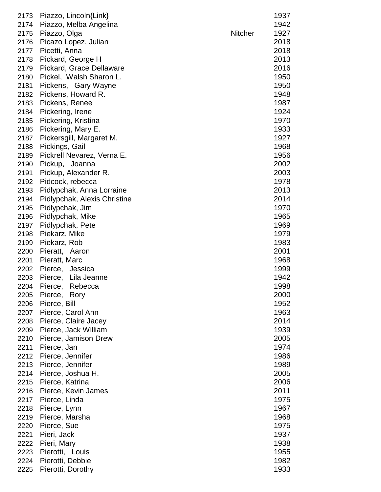| 2173 | Piazzo, Lincoln{Link}        |                | 1937 |
|------|------------------------------|----------------|------|
| 2174 | Piazzo, Melba Angelina       |                | 1942 |
| 2175 | Piazzo, Olga                 | <b>Nitcher</b> | 1927 |
| 2176 | Picazo Lopez, Julian         |                | 2018 |
| 2177 | Picetti, Anna                |                | 2018 |
| 2178 | Pickard, George H            |                | 2013 |
| 2179 | Pickard, Grace Dellaware     |                | 2016 |
|      |                              |                |      |
| 2180 | Pickel, Walsh Sharon L.      |                | 1950 |
| 2181 | Pickens, Gary Wayne          |                | 1950 |
| 2182 | Pickens, Howard R.           |                | 1948 |
| 2183 | Pickens, Renee               |                | 1987 |
| 2184 | Pickering, Irene             |                | 1924 |
| 2185 | Pickering, Kristina          |                | 1970 |
| 2186 | Pickering, Mary E.           |                | 1933 |
| 2187 | Pickersgill, Margaret M.     |                | 1927 |
| 2188 | Pickings, Gail               |                | 1968 |
| 2189 | Pickrell Nevarez, Verna E.   |                | 1956 |
| 2190 | Pickup, Joanna               |                | 2002 |
|      |                              |                |      |
| 2191 | Pickup, Alexander R.         |                | 2003 |
| 2192 | Pidcock, rebecca             |                | 1978 |
| 2193 | Pidlypchak, Anna Lorraine    |                | 2013 |
| 2194 | Pidlypchak, Alexis Christine |                | 2014 |
| 2195 | Pidlypchak, Jim              |                | 1970 |
| 2196 | Pidlypchak, Mike             |                | 1965 |
| 2197 | Pidlypchak, Pete             |                | 1969 |
| 2198 | Piekarz, Mike                |                | 1979 |
| 2199 | Piekarz, Rob                 |                | 1983 |
| 2200 | Pieratt, Aaron               |                | 2001 |
|      |                              |                |      |
| 2201 | Pieratt, Marc                |                | 1968 |
| 2202 | Pierce, Jessica              |                | 1999 |
| 2203 | Pierce, Lila Jeanne          |                | 1942 |
| 2204 | Pierce,<br>Rebecca           |                | 1998 |
| 2205 | Pierce, Rory                 |                | 2000 |
| 2206 | Pierce, Bill                 |                | 1952 |
| 2207 | Pierce, Carol Ann            |                | 1963 |
| 2208 | Pierce, Claire Jacey         |                | 2014 |
| 2209 | Pierce, Jack William         |                | 1939 |
| 2210 | Pierce, Jamison Drew         |                | 2005 |
| 2211 | Pierce, Jan                  |                | 1974 |
|      |                              |                |      |
| 2212 | Pierce, Jennifer             |                | 1986 |
| 2213 | Pierce, Jennifer             |                | 1989 |
| 2214 | Pierce, Joshua H.            |                | 2005 |
| 2215 | Pierce, Katrina              |                | 2006 |
| 2216 | Pierce, Kevin James          |                | 2011 |
| 2217 | Pierce, Linda                |                | 1975 |
| 2218 | Pierce, Lynn                 |                | 1967 |
| 2219 | Pierce, Marsha               |                | 1968 |
| 2220 | Pierce, Sue                  |                | 1975 |
| 2221 | Pieri, Jack                  |                | 1937 |
| 2222 |                              |                | 1938 |
|      | Pieri, Mary                  |                |      |
| 2223 | Pierotti, Louis              |                | 1955 |
| 2224 | Pierotti, Debbie             |                | 1982 |
| 2225 | Pierotti, Dorothy            |                | 1933 |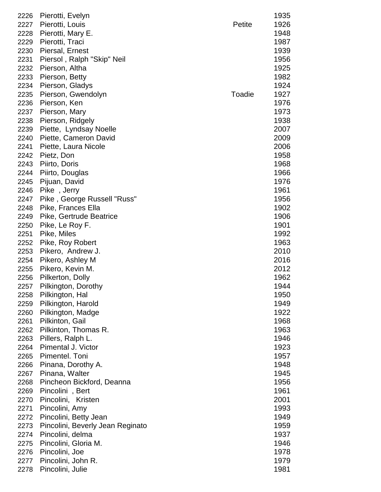| 2226 | Pierotti, Evelyn                 |        | 1935 |
|------|----------------------------------|--------|------|
| 2227 | Pierotti, Louis                  | Petite | 1926 |
| 2228 | Pierotti, Mary E.                |        | 1948 |
| 2229 | Pierotti, Traci                  |        | 1987 |
| 2230 | Piersal, Ernest                  |        | 1939 |
| 2231 | Piersol, Ralph "Skip" Neil       |        | 1956 |
| 2232 | Pierson, Altha                   |        | 1925 |
| 2233 | Pierson, Betty                   |        | 1982 |
| 2234 | Pierson, Gladys                  |        | 1924 |
| 2235 | Pierson, Gwendolyn               | Toadie | 1927 |
| 2236 | Pierson, Ken                     |        | 1976 |
| 2237 | Pierson, Mary                    |        | 1973 |
| 2238 | Pierson, Ridgely                 |        | 1938 |
| 2239 | Piette, Lyndsay Noelle           |        | 2007 |
| 2240 | Piette, Cameron David            |        | 2009 |
| 2241 | Piette, Laura Nicole             |        | 2006 |
| 2242 | Pietz, Don                       |        | 1958 |
| 2243 | Piirto, Doris                    |        | 1968 |
| 2244 | Piirto, Douglas                  |        | 1966 |
| 2245 | Pijuan, David                    |        | 1976 |
| 2246 | Pike, Jerry                      |        | 1961 |
| 2247 | Pike, George Russell "Russ"      |        | 1956 |
| 2248 | Pike, Frances Ella               |        | 1902 |
| 2249 | Pike, Gertrude Beatrice          |        | 1906 |
| 2250 | Pike, Le Roy F.                  |        | 1901 |
| 2251 | Pike, Miles                      |        | 1992 |
| 2252 | Pike, Roy Robert                 |        | 1963 |
| 2253 | Pikero, Andrew J.                |        | 2010 |
| 2254 | Pikero, Ashley M                 |        | 2016 |
| 2255 | Pikero, Kevin M.                 |        | 2012 |
| 2256 | Pilkerton, Dolly                 |        | 1962 |
| 2257 | Pilkington, Dorothy              |        | 1944 |
| 2258 | Pilkington, Hal                  |        | 1950 |
| 2259 | Pilkington, Harold               |        | 1949 |
| 2260 | Pilkington, Madge                |        | 1922 |
| 2261 | Pilkinton, Gail                  |        | 1968 |
| 2262 | Pilkinton, Thomas R.             |        | 1963 |
| 2263 | Pillers, Ralph L.                |        | 1946 |
| 2264 | Pimental J. Victor               |        | 1923 |
| 2265 | Pimentel. Toni                   |        | 1957 |
| 2266 | Pinana, Dorothy A.               |        | 1948 |
| 2267 | Pinana, Walter                   |        | 1945 |
| 2268 | Pincheon Bickford, Deanna        |        | 1956 |
| 2269 | Pincolini, Bert                  |        | 1961 |
| 2270 | Pincolini, Kristen               |        | 2001 |
| 2271 | Pincolini, Amy                   |        | 1993 |
| 2272 | Pincolini, Betty Jean            |        | 1949 |
| 2273 | Pincolini, Beverly Jean Reginato |        | 1959 |
| 2274 | Pincolini, delma                 |        | 1937 |
| 2275 | Pincolini, Gloria M.             |        | 1946 |
| 2276 | Pincolini, Joe                   |        | 1978 |
| 2277 | Pincolini, John R.               |        | 1979 |
| 2278 | Pincolini, Julie                 |        | 1981 |
|      |                                  |        |      |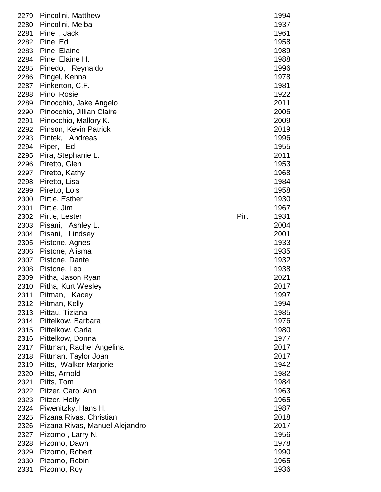| 2279 | Pincolini, Matthew             |      | 1994 |
|------|--------------------------------|------|------|
| 2280 | Pincolini, Melba               |      | 1937 |
| 2281 | Pine, Jack                     |      | 1961 |
| 2282 | Pine, Ed                       |      | 1958 |
| 2283 | Pine, Elaine                   |      | 1989 |
| 2284 | Pine, Elaine H.                |      | 1988 |
| 2285 | Pinedo, Reynaldo               |      | 1996 |
| 2286 | Pingel, Kenna                  |      | 1978 |
| 2287 | Pinkerton, C.F.                |      | 1981 |
| 2288 | Pino, Rosie                    |      | 1922 |
| 2289 | Pinocchio, Jake Angelo         |      | 2011 |
| 2290 | Pinocchio, Jillian Claire      |      | 2006 |
| 2291 | Pinocchio, Mallory K.          |      | 2009 |
| 2292 | Pinson, Kevin Patrick          |      | 2019 |
| 2293 | Pintek, Andreas                |      | 1996 |
| 2294 | Piper, Ed                      |      | 1955 |
| 2295 | Pira, Stephanie L.             |      | 2011 |
| 2296 | Piretto, Glen                  |      | 1953 |
| 2297 | Piretto, Kathy                 |      | 1968 |
| 2298 | Piretto, Lisa                  |      | 1984 |
| 2299 | Piretto, Lois                  |      | 1958 |
| 2300 | Pirtle, Esther                 |      | 1930 |
| 2301 | Pirtle, Jim                    |      | 1967 |
| 2302 | Pirtle, Lester                 | Pirt | 1931 |
| 2303 | Pisani, Ashley L.              |      | 2004 |
| 2304 | Pisani,<br>Lindsey             |      | 2001 |
| 2305 | Pistone, Agnes                 |      | 1933 |
| 2306 | Pistone, Alisma                |      | 1935 |
| 2307 | Pistone, Dante                 |      | 1932 |
| 2308 | Pistone, Leo                   |      | 1938 |
| 2309 | Pitha, Jason Ryan              |      | 2021 |
| 2310 | Pitha, Kurt Wesley             |      | 2017 |
| 2311 | Pitman, Kacey                  |      | 1997 |
| 2312 | Pitman, Kelly                  |      | 1994 |
| 2313 | Pittau, Tiziana                |      | 1985 |
| 2314 | Pittelkow, Barbara             |      | 1976 |
| 2315 | Pittelkow, Carla               |      | 1980 |
| 2316 | Pittelkow, Donna               |      | 1977 |
| 2317 | Pittman, Rachel Angelina       |      | 2017 |
| 2318 | Pittman, Taylor Joan           |      | 2017 |
| 2319 | Pitts, Walker Marjorie         |      | 1942 |
| 2320 | Pitts, Arnold                  |      | 1982 |
| 2321 | Pitts, Tom                     |      | 1984 |
| 2322 | Pitzer, Carol Ann              |      | 1963 |
| 2323 | Pitzer, Holly                  |      | 1965 |
| 2324 | Piwenitzky, Hans H.            |      | 1987 |
| 2325 | Pizana Rivas, Christian        |      | 2018 |
| 2326 | Pizana Rivas, Manuel Alejandro |      | 2017 |
| 2327 | Pizorno, Larry N.              |      | 1956 |
| 2328 | Pizorno, Dawn                  |      | 1978 |
| 2329 | Pizorno, Robert                |      | 1990 |
| 2330 | Pizorno, Robin                 |      | 1965 |
| 2331 | Pizorno, Roy                   |      | 1936 |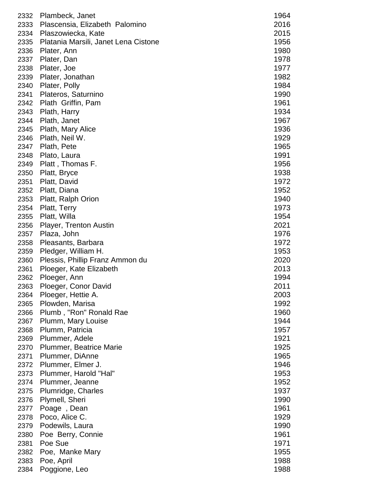| 2332 | Plambeck, Janet                      | 1964 |
|------|--------------------------------------|------|
| 2333 | Plascensia, Elizabeth Palomino       | 2016 |
| 2334 | Plaszowiecka, Kate                   | 2015 |
| 2335 | Platania Marsili, Janet Lena Cistone | 1956 |
| 2336 | Plater, Ann                          | 1980 |
| 2337 | Plater, Dan                          | 1978 |
| 2338 | Plater, Joe                          | 1977 |
| 2339 | Plater, Jonathan                     | 1982 |
| 2340 | Plater, Polly                        | 1984 |
| 2341 | Plateros, Saturnino                  | 1990 |
| 2342 | Plath Griffin, Pam                   | 1961 |
| 2343 | Plath, Harry                         | 1934 |
| 2344 | Plath, Janet                         | 1967 |
| 2345 | Plath, Mary Alice                    | 1936 |
| 2346 | Plath, Neil W.                       | 1929 |
| 2347 | Plath, Pete                          | 1965 |
| 2348 | Plato, Laura                         | 1991 |
| 2349 | Platt, Thomas F.                     | 1956 |
| 2350 | Platt, Bryce                         | 1938 |
| 2351 | Platt, David                         | 1972 |
| 2352 | Platt, Diana                         | 1952 |
| 2353 | Platt, Ralph Orion                   | 1940 |
| 2354 | Platt, Terry                         | 1973 |
| 2355 | Platt, Willa                         | 1954 |
| 2356 | Player, Trenton Austin               | 2021 |
| 2357 | Plaza, John                          | 1976 |
| 2358 | Pleasants, Barbara                   | 1972 |
| 2359 | Pledger, William H.                  | 1953 |
| 2360 | Plessis, Phillip Franz Ammon du      | 2020 |
| 2361 | Ploeger, Kate Elizabeth              | 2013 |
| 2362 | Ploeger, Ann                         | 1994 |
| 2363 | Ploeger, Conor David                 | 2011 |
| 2364 | Ploeger, Hettie A.                   | 2003 |
| 2365 | Plowden, Marisa                      | 1992 |
| 2366 | Plumb, "Ron" Ronald Rae              | 1960 |
| 2367 | Plumm, Mary Louise                   | 1944 |
| 2368 | Plumm, Patricia                      | 1957 |
| 2369 | Plummer, Adele                       | 1921 |
| 2370 | <b>Plummer, Beatrice Marie</b>       | 1925 |
| 2371 | Plummer, DiAnne                      | 1965 |
| 2372 | Plummer, Elmer J.                    | 1946 |
| 2373 | Plummer, Harold "Hal"                | 1953 |
| 2374 | Plummer, Jeanne                      | 1952 |
| 2375 | Plumridge, Charles                   | 1937 |
| 2376 | Plymell, Sheri                       | 1990 |
| 2377 | Poage, Dean                          | 1961 |
| 2378 | Poco, Alice C.                       | 1929 |
| 2379 | Podewils, Laura                      | 1990 |
| 2380 | Poe Berry, Connie                    | 1961 |
| 2381 | Poe Sue                              | 1971 |
| 2382 | Poe, Manke Mary                      | 1955 |
| 2383 | Poe, April                           | 1988 |
| 2384 | Poggione, Leo                        | 1988 |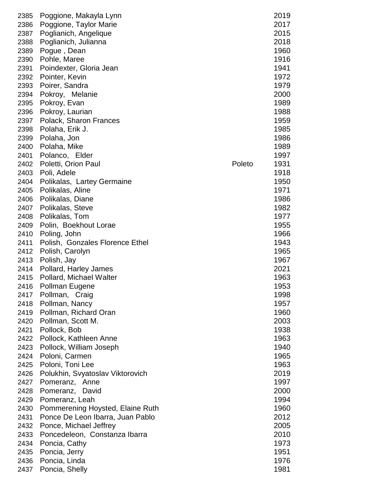| 2385 | Poggione, Makayla Lynn           | 2019           |
|------|----------------------------------|----------------|
| 2386 | Poggione, Taylor Marie           | 2017           |
| 2387 | Poglianich, Angelique            | 2015           |
| 2388 | Poglianich, Julianna             | 2018           |
| 2389 | Pogue, Dean                      | 1960           |
| 2390 | Pohle, Maree                     | 1916           |
| 2391 | Poindexter, Gloria Jean          | 1941           |
|      |                                  |                |
| 2392 | Pointer, Kevin                   | 1972           |
| 2393 | Poirer, Sandra                   | 1979           |
| 2394 | Pokroy, Melanie                  | 2000           |
| 2395 | Pokroy, Evan                     | 1989           |
| 2396 | Pokroy, Laurian                  | 1988           |
| 2397 | Polack, Sharon Frances           | 1959           |
| 2398 | Polaha, Erik J.                  | 1985           |
| 2399 | Polaha, Jon                      | 1986           |
| 2400 | Polaha, Mike                     | 1989           |
| 2401 | Polanco, Elder                   | 1997           |
| 2402 | Poletti, Orion Paul              | Poleto<br>1931 |
| 2403 | Poli, Adele                      | 1918           |
| 2404 | Polikalas, Lartey Germaine       | 1950           |
| 2405 | Polikalas, Aline                 | 1971           |
| 2406 | Polikalas, Diane                 | 1986           |
| 2407 | Polikalas, Steve                 | 1982           |
| 2408 | Polikalas, Tom                   | 1977           |
| 2409 | Polin, Boekhout Lorae            | 1955           |
| 2410 | Poling, John                     | 1966           |
| 2411 | Polish, Gonzales Florence Ethel  | 1943           |
| 2412 | Polish, Carolyn                  | 1965           |
| 2413 | Polish, Jay                      | 1967           |
| 2414 |                                  | 2021           |
|      | Pollard, Harley James            |                |
| 2415 | Pollard, Michael Walter          | 1963           |
| 2416 | Pollman Eugene                   | 1953           |
| 2417 | Pollman, Craig                   | 1998           |
| 2418 | Pollman, Nancy                   | 1957           |
| 2419 | Pollman, Richard Oran            | 1960           |
| 2420 | Pollman, Scott M.                | 2003           |
| 2421 | Pollock, Bob                     | 1938           |
| 2422 | Pollock, Kathleen Anne           | 1963           |
| 2423 | Pollock, William Joseph          | 1940           |
| 2424 | Poloni, Carmen                   | 1965           |
| 2425 | Poloni, Toni Lee                 | 1963           |
| 2426 | Polukhin, Svyatoslav Viktorovich | 2019           |
| 2427 | Pomeranz, Anne                   | 1997           |
| 2428 | Pomeranz,<br>David               | 2000           |
| 2429 | Pomeranz, Leah                   | 1994           |
| 2430 | Pommerening Hoysted, Elaine Ruth | 1960           |
| 2431 | Ponce De Leon Ibarra, Juan Pablo | 2012           |
| 2432 | Ponce, Michael Jeffrey           | 2005           |
| 2433 | Poncedeleon, Constanza Ibarra    | 2010           |
| 2434 | Poncia, Cathy                    | 1973           |
| 2435 | Poncia, Jerry                    | 1951           |
| 2436 | Poncia, Linda                    | 1976           |
| 2437 | Poncia, Shelly                   | 1981           |
|      |                                  |                |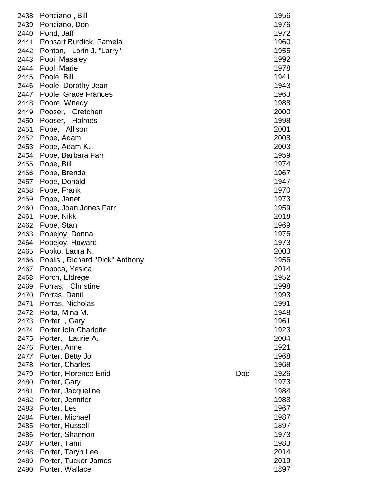| 2438 | Ponciano, Bill                 |     | 1956 |
|------|--------------------------------|-----|------|
| 2439 | Ponciano, Don                  |     | 1976 |
| 2440 | Pond, Jaff                     |     | 1972 |
| 2441 | Ponsart Burdick, Pamela        |     | 1960 |
| 2442 | Ponton, Lorin J. "Larry"       |     | 1955 |
| 2443 | Pooi, Masaley                  |     | 1992 |
| 2444 | Pool, Marie                    |     | 1978 |
| 2445 | Poole, Bill                    |     | 1941 |
| 2446 | Poole, Dorothy Jean            |     | 1943 |
| 2447 | Poole, Grace Frances           |     | 1963 |
| 2448 | Poore, Wnedy                   |     | 1988 |
| 2449 | Pooser, Gretchen               |     | 2000 |
| 2450 | Pooser, Holmes                 |     | 1998 |
| 2451 | Pope, Allison                  |     | 2001 |
| 2452 | Pope, Adam                     |     | 2008 |
| 2453 | Pope, Adam K.                  |     | 2003 |
| 2454 | Pope, Barbara Farr             |     | 1959 |
| 2455 | Pope, Bill                     |     | 1974 |
| 2456 | Pope, Brenda                   |     | 1967 |
| 2457 | Pope, Donald                   |     | 1947 |
| 2458 |                                |     | 1970 |
|      | Pope, Frank                    |     |      |
| 2459 | Pope, Janet                    |     | 1973 |
| 2460 | Pope, Joan Jones Farr          |     | 1959 |
| 2461 | Pope, Nikki                    |     | 2018 |
| 2462 | Pope, Stan                     |     | 1969 |
| 2463 | Popejoy, Donna                 |     | 1976 |
| 2464 | Popejoy, Howard                |     | 1973 |
| 2465 | Popko, Laura N.                |     | 2003 |
| 2466 | Poplis, Richard "Dick" Anthony |     | 1956 |
| 2467 | Popoca, Yesica                 |     | 2014 |
| 2468 | Porch, Eldrege                 |     | 1952 |
| 2469 | Christine<br>Porras,           |     | 1998 |
| 2470 | Porras, Danil                  |     | 1993 |
| 2471 | Porras, Nicholas               |     | 1991 |
| 2472 | Porta, Mina M.                 |     | 1948 |
| 2473 | Porter, Gary                   |     | 1961 |
| 2474 | Porter Iola Charlotte          |     | 1923 |
| 2475 | Porter, Laurie A.              |     | 2004 |
| 2476 | Porter, Anne                   |     | 1921 |
| 2477 | Porter, Betty Jo               |     | 1968 |
| 2478 | Porter, Charles                |     | 1968 |
| 2479 | Porter, Florence Enid          | Doc | 1926 |
| 2480 | Porter, Gary                   |     | 1973 |
| 2481 | Porter, Jacqueline             |     | 1984 |
| 2482 | Porter, Jennifer               |     | 1988 |
| 2483 | Porter, Les                    |     | 1967 |
| 2484 | Porter, Michael                |     | 1987 |
| 2485 | Porter, Russell                |     | 1897 |
| 2486 | Porter, Shannon                |     | 1973 |
| 2487 | Porter, Tami                   |     | 1983 |
| 2488 | Porter, Taryn Lee              |     | 2014 |
| 2489 | Porter, Tucker James           |     | 2019 |
| 2490 | Porter, Wallace                |     | 1897 |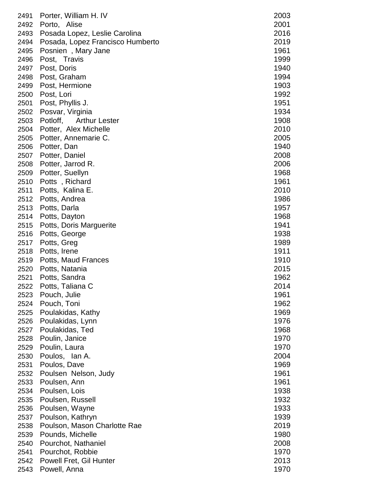| 2491 | Porter, William H. IV            | 2003 |
|------|----------------------------------|------|
| 2492 | Porto, Alise                     | 2001 |
| 2493 | Posada Lopez, Leslie Carolina    | 2016 |
| 2494 | Posada, Lopez Francisco Humberto | 2019 |
| 2495 | Posnien, Mary Jane               | 1961 |
| 2496 | Post, Travis                     | 1999 |
| 2497 | Post, Doris                      | 1940 |
| 2498 | Post, Graham                     | 1994 |
| 2499 | Post, Hermione                   | 1903 |
| 2500 | Post, Lori                       | 1992 |
| 2501 | Post, Phyllis J.                 | 1951 |
| 2502 |                                  | 1934 |
|      | Posvar, Virginia                 | 1908 |
| 2503 | Potloff, Arthur Lester           |      |
| 2504 | Potter, Alex Michelle            | 2010 |
| 2505 | Potter, Annemarie C.             | 2005 |
| 2506 | Potter, Dan                      | 1940 |
| 2507 | Potter, Daniel                   | 2008 |
| 2508 | Potter, Jarrod R.                | 2006 |
| 2509 | Potter, Suellyn                  | 1968 |
| 2510 | Potts, Richard                   | 1961 |
| 2511 | Potts, Kalina E.                 | 2010 |
| 2512 | Potts, Andrea                    | 1986 |
| 2513 | Potts, Darla                     | 1957 |
| 2514 | Potts, Dayton                    | 1968 |
| 2515 | Potts, Doris Marguerite          | 1941 |
| 2516 | Potts, George                    | 1938 |
| 2517 | Potts, Greg                      | 1989 |
| 2518 | Potts, Irene                     | 1911 |
| 2519 | Potts, Maud Frances              | 1910 |
| 2520 | Potts, Natania                   | 2015 |
| 2521 | Potts, Sandra                    | 1962 |
| 2522 | Potts, Taliana C                 | 2014 |
| 2523 | Pouch, Julie                     | 1961 |
| 2524 | Pouch, Toni                      | 1962 |
| 2525 | Poulakidas, Kathy                | 1969 |
| 2526 | Poulakidas, Lynn                 | 1976 |
| 2527 | Poulakidas, Ted                  | 1968 |
| 2528 | Poulin, Janice                   | 1970 |
| 2529 | Poulin, Laura                    | 1970 |
| 2530 | Poulos, Ian A.                   | 2004 |
| 2531 | Poulos, Dave                     | 1969 |
| 2532 | Poulsen Nelson, Judy             | 1961 |
| 2533 | Poulsen, Ann                     | 1961 |
| 2534 | Poulsen, Lois                    | 1938 |
| 2535 | Poulsen, Russell                 | 1932 |
| 2536 | Poulsen, Wayne                   | 1933 |
| 2537 | Poulson, Kathryn                 | 1939 |
| 2538 | Poulson, Mason Charlotte Rae     | 2019 |
| 2539 | Pounds, Michelle                 | 1980 |
| 2540 | Pourchot, Nathaniel              | 2008 |
| 2541 | Pourchot, Robbie                 | 1970 |
| 2542 | Powell Fret, Gil Hunter          | 2013 |
|      |                                  |      |
| 2543 | Powell, Anna                     | 1970 |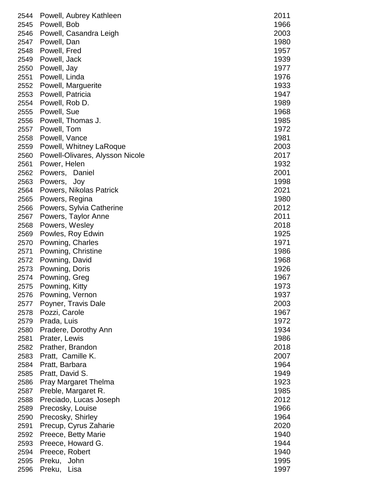| 2545<br>Powell, Bob<br>2003<br>2546<br>Powell, Casandra Leigh<br>1980<br>2547<br>Powell, Dan<br>Powell, Fred<br>1957<br>2548<br>1939<br>Powell, Jack<br>2549<br>2550<br>Powell, Jay<br>1977<br>Powell, Linda<br>2551<br>1976<br>1933<br>2552<br>Powell, Marguerite<br>Powell, Patricia<br>1947<br>2553<br>Powell, Rob D.<br>1989<br>2554<br>Powell, Sue<br>2555<br>2556<br>Powell, Thomas J.<br>2557<br>Powell, Tom<br>1981<br>2558<br>Powell, Vance<br>2559<br>Powell, Whitney LaRoque<br>Powell-Olivares, Alysson Nicole<br>2560<br>2561<br>Power, Helen<br>2001<br>2562<br>Powers, Daniel<br>2563<br>Powers,<br>Joy<br>2021<br>2564<br>Powers, Nikolas Patrick<br>2565<br>Powers, Regina<br>Powers, Sylvia Catherine<br>2566<br>2567<br>Powers, Taylor Anne<br>2568<br>Powers, Wesley<br>Powles, Roy Edwin<br>2569<br>Powning, Charles<br>1971<br>2570<br>Powning, Christine<br>2571<br>Powning, David<br>2572<br>Powning, Doris<br>2573<br>Powning, Greg<br>2574<br>2575<br>Powning, Kitty<br>Powning, Vernon<br>2576<br>Poyner, Travis Dale<br>2577<br>2578<br>Pozzi, Carole<br>2579<br>Prada, Luis<br>Pradere, Dorothy Ann<br>2580<br>2581<br>Prater, Lewis<br>2582<br>Prather, Brandon<br>2583<br>Pratt, Camille K.<br>1964<br>2584<br>Pratt, Barbara<br>1949<br>2585<br>Pratt, David S.<br><b>Pray Margaret Thelma</b><br>1923<br>2586<br>Preble, Margaret R.<br>1985<br>2587<br>2012<br>Preciado, Lucas Joseph<br>2588<br>Precosky, Louise<br>2589<br>1966<br>Precosky, Shirley<br>1964<br>2590<br>2020<br>Precup, Cyrus Zaharie<br>2591<br>Preece, Betty Marie<br>1940<br>2592<br>Preece, Howard G.<br>1944<br>2593<br>1940<br>2594<br>Preece, Robert<br>1995<br>2595<br>Preku, John |      | 2544 Powell, Aubrey Kathleen | 2011 |
|------------------------------------------------------------------------------------------------------------------------------------------------------------------------------------------------------------------------------------------------------------------------------------------------------------------------------------------------------------------------------------------------------------------------------------------------------------------------------------------------------------------------------------------------------------------------------------------------------------------------------------------------------------------------------------------------------------------------------------------------------------------------------------------------------------------------------------------------------------------------------------------------------------------------------------------------------------------------------------------------------------------------------------------------------------------------------------------------------------------------------------------------------------------------------------------------------------------------------------------------------------------------------------------------------------------------------------------------------------------------------------------------------------------------------------------------------------------------------------------------------------------------------------------------------------------------------------------------------------------------------------------------------------------------------------------------|------|------------------------------|------|
|                                                                                                                                                                                                                                                                                                                                                                                                                                                                                                                                                                                                                                                                                                                                                                                                                                                                                                                                                                                                                                                                                                                                                                                                                                                                                                                                                                                                                                                                                                                                                                                                                                                                                                |      |                              | 1966 |
|                                                                                                                                                                                                                                                                                                                                                                                                                                                                                                                                                                                                                                                                                                                                                                                                                                                                                                                                                                                                                                                                                                                                                                                                                                                                                                                                                                                                                                                                                                                                                                                                                                                                                                |      |                              |      |
|                                                                                                                                                                                                                                                                                                                                                                                                                                                                                                                                                                                                                                                                                                                                                                                                                                                                                                                                                                                                                                                                                                                                                                                                                                                                                                                                                                                                                                                                                                                                                                                                                                                                                                |      |                              |      |
|                                                                                                                                                                                                                                                                                                                                                                                                                                                                                                                                                                                                                                                                                                                                                                                                                                                                                                                                                                                                                                                                                                                                                                                                                                                                                                                                                                                                                                                                                                                                                                                                                                                                                                |      |                              |      |
|                                                                                                                                                                                                                                                                                                                                                                                                                                                                                                                                                                                                                                                                                                                                                                                                                                                                                                                                                                                                                                                                                                                                                                                                                                                                                                                                                                                                                                                                                                                                                                                                                                                                                                |      |                              |      |
|                                                                                                                                                                                                                                                                                                                                                                                                                                                                                                                                                                                                                                                                                                                                                                                                                                                                                                                                                                                                                                                                                                                                                                                                                                                                                                                                                                                                                                                                                                                                                                                                                                                                                                |      |                              |      |
|                                                                                                                                                                                                                                                                                                                                                                                                                                                                                                                                                                                                                                                                                                                                                                                                                                                                                                                                                                                                                                                                                                                                                                                                                                                                                                                                                                                                                                                                                                                                                                                                                                                                                                |      |                              |      |
|                                                                                                                                                                                                                                                                                                                                                                                                                                                                                                                                                                                                                                                                                                                                                                                                                                                                                                                                                                                                                                                                                                                                                                                                                                                                                                                                                                                                                                                                                                                                                                                                                                                                                                |      |                              |      |
|                                                                                                                                                                                                                                                                                                                                                                                                                                                                                                                                                                                                                                                                                                                                                                                                                                                                                                                                                                                                                                                                                                                                                                                                                                                                                                                                                                                                                                                                                                                                                                                                                                                                                                |      |                              |      |
|                                                                                                                                                                                                                                                                                                                                                                                                                                                                                                                                                                                                                                                                                                                                                                                                                                                                                                                                                                                                                                                                                                                                                                                                                                                                                                                                                                                                                                                                                                                                                                                                                                                                                                |      |                              |      |
|                                                                                                                                                                                                                                                                                                                                                                                                                                                                                                                                                                                                                                                                                                                                                                                                                                                                                                                                                                                                                                                                                                                                                                                                                                                                                                                                                                                                                                                                                                                                                                                                                                                                                                |      |                              | 1968 |
|                                                                                                                                                                                                                                                                                                                                                                                                                                                                                                                                                                                                                                                                                                                                                                                                                                                                                                                                                                                                                                                                                                                                                                                                                                                                                                                                                                                                                                                                                                                                                                                                                                                                                                |      |                              | 1985 |
|                                                                                                                                                                                                                                                                                                                                                                                                                                                                                                                                                                                                                                                                                                                                                                                                                                                                                                                                                                                                                                                                                                                                                                                                                                                                                                                                                                                                                                                                                                                                                                                                                                                                                                |      |                              | 1972 |
|                                                                                                                                                                                                                                                                                                                                                                                                                                                                                                                                                                                                                                                                                                                                                                                                                                                                                                                                                                                                                                                                                                                                                                                                                                                                                                                                                                                                                                                                                                                                                                                                                                                                                                |      |                              |      |
|                                                                                                                                                                                                                                                                                                                                                                                                                                                                                                                                                                                                                                                                                                                                                                                                                                                                                                                                                                                                                                                                                                                                                                                                                                                                                                                                                                                                                                                                                                                                                                                                                                                                                                |      |                              | 2003 |
|                                                                                                                                                                                                                                                                                                                                                                                                                                                                                                                                                                                                                                                                                                                                                                                                                                                                                                                                                                                                                                                                                                                                                                                                                                                                                                                                                                                                                                                                                                                                                                                                                                                                                                |      |                              | 2017 |
|                                                                                                                                                                                                                                                                                                                                                                                                                                                                                                                                                                                                                                                                                                                                                                                                                                                                                                                                                                                                                                                                                                                                                                                                                                                                                                                                                                                                                                                                                                                                                                                                                                                                                                |      |                              | 1932 |
|                                                                                                                                                                                                                                                                                                                                                                                                                                                                                                                                                                                                                                                                                                                                                                                                                                                                                                                                                                                                                                                                                                                                                                                                                                                                                                                                                                                                                                                                                                                                                                                                                                                                                                |      |                              |      |
|                                                                                                                                                                                                                                                                                                                                                                                                                                                                                                                                                                                                                                                                                                                                                                                                                                                                                                                                                                                                                                                                                                                                                                                                                                                                                                                                                                                                                                                                                                                                                                                                                                                                                                |      |                              | 1998 |
|                                                                                                                                                                                                                                                                                                                                                                                                                                                                                                                                                                                                                                                                                                                                                                                                                                                                                                                                                                                                                                                                                                                                                                                                                                                                                                                                                                                                                                                                                                                                                                                                                                                                                                |      |                              |      |
|                                                                                                                                                                                                                                                                                                                                                                                                                                                                                                                                                                                                                                                                                                                                                                                                                                                                                                                                                                                                                                                                                                                                                                                                                                                                                                                                                                                                                                                                                                                                                                                                                                                                                                |      |                              | 1980 |
|                                                                                                                                                                                                                                                                                                                                                                                                                                                                                                                                                                                                                                                                                                                                                                                                                                                                                                                                                                                                                                                                                                                                                                                                                                                                                                                                                                                                                                                                                                                                                                                                                                                                                                |      |                              | 2012 |
|                                                                                                                                                                                                                                                                                                                                                                                                                                                                                                                                                                                                                                                                                                                                                                                                                                                                                                                                                                                                                                                                                                                                                                                                                                                                                                                                                                                                                                                                                                                                                                                                                                                                                                |      |                              | 2011 |
|                                                                                                                                                                                                                                                                                                                                                                                                                                                                                                                                                                                                                                                                                                                                                                                                                                                                                                                                                                                                                                                                                                                                                                                                                                                                                                                                                                                                                                                                                                                                                                                                                                                                                                |      |                              | 2018 |
|                                                                                                                                                                                                                                                                                                                                                                                                                                                                                                                                                                                                                                                                                                                                                                                                                                                                                                                                                                                                                                                                                                                                                                                                                                                                                                                                                                                                                                                                                                                                                                                                                                                                                                |      |                              | 1925 |
|                                                                                                                                                                                                                                                                                                                                                                                                                                                                                                                                                                                                                                                                                                                                                                                                                                                                                                                                                                                                                                                                                                                                                                                                                                                                                                                                                                                                                                                                                                                                                                                                                                                                                                |      |                              |      |
|                                                                                                                                                                                                                                                                                                                                                                                                                                                                                                                                                                                                                                                                                                                                                                                                                                                                                                                                                                                                                                                                                                                                                                                                                                                                                                                                                                                                                                                                                                                                                                                                                                                                                                |      |                              | 1986 |
|                                                                                                                                                                                                                                                                                                                                                                                                                                                                                                                                                                                                                                                                                                                                                                                                                                                                                                                                                                                                                                                                                                                                                                                                                                                                                                                                                                                                                                                                                                                                                                                                                                                                                                |      |                              | 1968 |
|                                                                                                                                                                                                                                                                                                                                                                                                                                                                                                                                                                                                                                                                                                                                                                                                                                                                                                                                                                                                                                                                                                                                                                                                                                                                                                                                                                                                                                                                                                                                                                                                                                                                                                |      |                              | 1926 |
|                                                                                                                                                                                                                                                                                                                                                                                                                                                                                                                                                                                                                                                                                                                                                                                                                                                                                                                                                                                                                                                                                                                                                                                                                                                                                                                                                                                                                                                                                                                                                                                                                                                                                                |      |                              | 1967 |
|                                                                                                                                                                                                                                                                                                                                                                                                                                                                                                                                                                                                                                                                                                                                                                                                                                                                                                                                                                                                                                                                                                                                                                                                                                                                                                                                                                                                                                                                                                                                                                                                                                                                                                |      |                              | 1973 |
|                                                                                                                                                                                                                                                                                                                                                                                                                                                                                                                                                                                                                                                                                                                                                                                                                                                                                                                                                                                                                                                                                                                                                                                                                                                                                                                                                                                                                                                                                                                                                                                                                                                                                                |      |                              | 1937 |
|                                                                                                                                                                                                                                                                                                                                                                                                                                                                                                                                                                                                                                                                                                                                                                                                                                                                                                                                                                                                                                                                                                                                                                                                                                                                                                                                                                                                                                                                                                                                                                                                                                                                                                |      |                              | 2003 |
|                                                                                                                                                                                                                                                                                                                                                                                                                                                                                                                                                                                                                                                                                                                                                                                                                                                                                                                                                                                                                                                                                                                                                                                                                                                                                                                                                                                                                                                                                                                                                                                                                                                                                                |      |                              | 1967 |
|                                                                                                                                                                                                                                                                                                                                                                                                                                                                                                                                                                                                                                                                                                                                                                                                                                                                                                                                                                                                                                                                                                                                                                                                                                                                                                                                                                                                                                                                                                                                                                                                                                                                                                |      |                              | 1972 |
|                                                                                                                                                                                                                                                                                                                                                                                                                                                                                                                                                                                                                                                                                                                                                                                                                                                                                                                                                                                                                                                                                                                                                                                                                                                                                                                                                                                                                                                                                                                                                                                                                                                                                                |      |                              | 1934 |
|                                                                                                                                                                                                                                                                                                                                                                                                                                                                                                                                                                                                                                                                                                                                                                                                                                                                                                                                                                                                                                                                                                                                                                                                                                                                                                                                                                                                                                                                                                                                                                                                                                                                                                |      |                              | 1986 |
|                                                                                                                                                                                                                                                                                                                                                                                                                                                                                                                                                                                                                                                                                                                                                                                                                                                                                                                                                                                                                                                                                                                                                                                                                                                                                                                                                                                                                                                                                                                                                                                                                                                                                                |      |                              | 2018 |
|                                                                                                                                                                                                                                                                                                                                                                                                                                                                                                                                                                                                                                                                                                                                                                                                                                                                                                                                                                                                                                                                                                                                                                                                                                                                                                                                                                                                                                                                                                                                                                                                                                                                                                |      |                              | 2007 |
|                                                                                                                                                                                                                                                                                                                                                                                                                                                                                                                                                                                                                                                                                                                                                                                                                                                                                                                                                                                                                                                                                                                                                                                                                                                                                                                                                                                                                                                                                                                                                                                                                                                                                                |      |                              |      |
|                                                                                                                                                                                                                                                                                                                                                                                                                                                                                                                                                                                                                                                                                                                                                                                                                                                                                                                                                                                                                                                                                                                                                                                                                                                                                                                                                                                                                                                                                                                                                                                                                                                                                                |      |                              |      |
|                                                                                                                                                                                                                                                                                                                                                                                                                                                                                                                                                                                                                                                                                                                                                                                                                                                                                                                                                                                                                                                                                                                                                                                                                                                                                                                                                                                                                                                                                                                                                                                                                                                                                                |      |                              |      |
|                                                                                                                                                                                                                                                                                                                                                                                                                                                                                                                                                                                                                                                                                                                                                                                                                                                                                                                                                                                                                                                                                                                                                                                                                                                                                                                                                                                                                                                                                                                                                                                                                                                                                                |      |                              |      |
|                                                                                                                                                                                                                                                                                                                                                                                                                                                                                                                                                                                                                                                                                                                                                                                                                                                                                                                                                                                                                                                                                                                                                                                                                                                                                                                                                                                                                                                                                                                                                                                                                                                                                                |      |                              |      |
|                                                                                                                                                                                                                                                                                                                                                                                                                                                                                                                                                                                                                                                                                                                                                                                                                                                                                                                                                                                                                                                                                                                                                                                                                                                                                                                                                                                                                                                                                                                                                                                                                                                                                                |      |                              |      |
|                                                                                                                                                                                                                                                                                                                                                                                                                                                                                                                                                                                                                                                                                                                                                                                                                                                                                                                                                                                                                                                                                                                                                                                                                                                                                                                                                                                                                                                                                                                                                                                                                                                                                                |      |                              |      |
|                                                                                                                                                                                                                                                                                                                                                                                                                                                                                                                                                                                                                                                                                                                                                                                                                                                                                                                                                                                                                                                                                                                                                                                                                                                                                                                                                                                                                                                                                                                                                                                                                                                                                                |      |                              |      |
|                                                                                                                                                                                                                                                                                                                                                                                                                                                                                                                                                                                                                                                                                                                                                                                                                                                                                                                                                                                                                                                                                                                                                                                                                                                                                                                                                                                                                                                                                                                                                                                                                                                                                                |      |                              |      |
|                                                                                                                                                                                                                                                                                                                                                                                                                                                                                                                                                                                                                                                                                                                                                                                                                                                                                                                                                                                                                                                                                                                                                                                                                                                                                                                                                                                                                                                                                                                                                                                                                                                                                                |      |                              |      |
|                                                                                                                                                                                                                                                                                                                                                                                                                                                                                                                                                                                                                                                                                                                                                                                                                                                                                                                                                                                                                                                                                                                                                                                                                                                                                                                                                                                                                                                                                                                                                                                                                                                                                                |      |                              |      |
|                                                                                                                                                                                                                                                                                                                                                                                                                                                                                                                                                                                                                                                                                                                                                                                                                                                                                                                                                                                                                                                                                                                                                                                                                                                                                                                                                                                                                                                                                                                                                                                                                                                                                                |      |                              |      |
|                                                                                                                                                                                                                                                                                                                                                                                                                                                                                                                                                                                                                                                                                                                                                                                                                                                                                                                                                                                                                                                                                                                                                                                                                                                                                                                                                                                                                                                                                                                                                                                                                                                                                                | 2596 | Preku,<br>Lisa               | 1997 |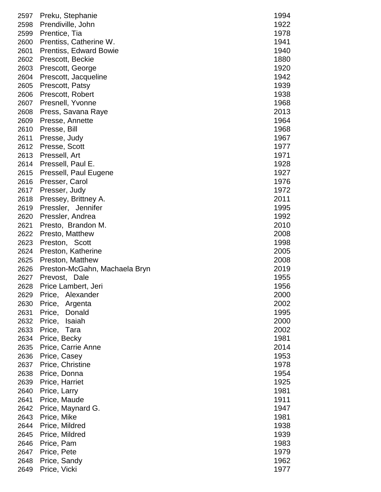| 2597 | Preku, Stephanie               | 1994 |
|------|--------------------------------|------|
| 2598 | Prendiville, John              | 1922 |
| 2599 | Prentice, Tia                  | 1978 |
| 2600 | Prentiss, Catherine W.         | 1941 |
| 2601 | Prentiss, Edward Bowie         | 1940 |
| 2602 | Prescott, Beckie               | 1880 |
| 2603 | Prescott, George               | 1920 |
| 2604 | Prescott, Jacqueline           | 1942 |
| 2605 | Prescott, Patsy                | 1939 |
| 2606 | Prescott, Robert               | 1938 |
| 2607 | Presnell, Yvonne               | 1968 |
| 2608 | Press, Savana Raye             | 2013 |
| 2609 | Presse, Annette                | 1964 |
| 2610 | Presse, Bill                   | 1968 |
| 2611 | Presse, Judy                   | 1967 |
| 2612 | Presse, Scott                  | 1977 |
| 2613 | Pressell, Art                  | 1971 |
| 2614 | Pressell, Paul E.              | 1928 |
| 2615 | Pressell, Paul Eugene          | 1927 |
| 2616 | Presser, Carol                 | 1976 |
| 2617 | Presser, Judy                  | 1972 |
| 2618 | Pressey, Brittney A.           | 2011 |
| 2619 | Pressler, Jennifer             | 1995 |
| 2620 | Pressler, Andrea               | 1992 |
| 2621 | Presto, Brandon M.             | 2010 |
| 2622 | Presto, Matthew                | 2008 |
| 2623 | Preston, Scott                 | 1998 |
| 2624 | Preston, Katherine             | 2005 |
| 2625 | Preston, Matthew               | 2008 |
| 2626 | Preston-McGahn, Machaela Bryn  | 2019 |
| 2627 | Prevost, Dale                  | 1955 |
| 2628 | Price Lambert, Jeri            | 1956 |
| 2629 | Alexander<br>Price,            | 2000 |
| 2630 | Price,<br>Argenta              | 2002 |
| 2631 | Donald<br>Price,               | 1995 |
| 2632 | Isaiah<br>Price,               | 2000 |
| 2633 | Price, Tara                    | 2002 |
| 2634 | Price, Becky                   | 1981 |
| 2635 | Price, Carrie Anne             | 2014 |
| 2636 | Price, Casey                   | 1953 |
| 2637 | Price, Christine               | 1978 |
| 2638 |                                | 1954 |
| 2639 | Price, Donna<br>Price, Harriet | 1925 |
| 2640 | Price, Larry                   | 1981 |
| 2641 | Price, Maude                   | 1911 |
| 2642 |                                | 1947 |
| 2643 | Price, Maynard G.              | 1981 |
|      | Price, Mike                    |      |
| 2644 | Price, Mildred                 | 1938 |
| 2645 | Price, Mildred                 | 1939 |
| 2646 | Price, Pam                     | 1983 |
| 2647 | Price, Pete                    | 1979 |
| 2648 | Price, Sandy                   | 1962 |
| 2649 | Price, Vicki                   | 1977 |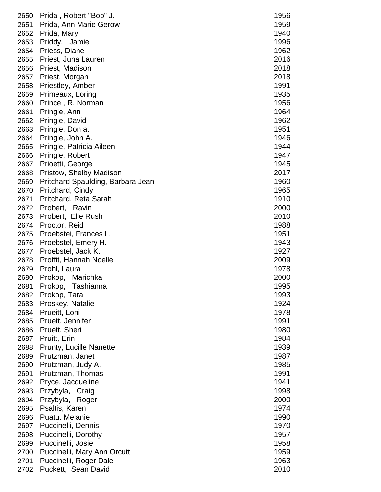| 2650 | Prida, Robert "Bob" J.            | 1956 |
|------|-----------------------------------|------|
| 2651 | Prida, Ann Marie Gerow            | 1959 |
| 2652 | Prida, Mary                       | 1940 |
| 2653 | Priddy, Jamie                     | 1996 |
| 2654 | Priess, Diane                     | 1962 |
| 2655 | Priest, Juna Lauren               | 2016 |
| 2656 | Priest, Madison                   | 2018 |
| 2657 | Priest, Morgan                    | 2018 |
| 2658 | Priestley, Amber                  | 1991 |
| 2659 | Primeaux, Loring                  | 1935 |
| 2660 | Prince, R. Norman                 | 1956 |
| 2661 | Pringle, Ann                      | 1964 |
| 2662 | Pringle, David                    | 1962 |
| 2663 | Pringle, Don a.                   | 1951 |
| 2664 | Pringle, John A.                  | 1946 |
| 2665 | Pringle, Patricia Aileen          | 1944 |
| 2666 | Pringle, Robert                   | 1947 |
| 2667 | Prioetti, George                  | 1945 |
| 2668 | Pristow, Shelby Madison           | 2017 |
| 2669 | Pritchard Spaulding, Barbara Jean | 1960 |
| 2670 | Pritchard, Cindy                  | 1965 |
| 2671 | Pritchard, Reta Sarah             | 1910 |
| 2672 | Probert, Ravin                    | 2000 |
| 2673 | Probert, Elle Rush                | 2010 |
| 2674 | Proctor, Reid                     | 1988 |
| 2675 | Proebstei, Frances L.             | 1951 |
| 2676 | Proebstel, Emery H.               | 1943 |
| 2677 | Proebstel, Jack K.                | 1927 |
| 2678 | Proffit, Hannah Noelle            | 2009 |
| 2679 | Prohl, Laura                      | 1978 |
| 2680 | Prokop, Marichka                  | 2000 |
| 2681 | Tashianna<br>Prokop,              | 1995 |
| 2682 | Prokop, Tara                      | 1993 |
| 2683 | Proskey, Natalie                  | 1924 |
| 2684 | Prueitt, Loni                     | 1978 |
| 2685 | Pruett, Jennifer                  | 1991 |
| 2686 | Pruett, Sheri                     | 1980 |
| 2687 | Pruitt, Erin                      | 1984 |
| 2688 | <b>Prunty, Lucille Nanette</b>    | 1939 |
| 2689 | Prutzman, Janet                   | 1987 |
| 2690 | Prutzman, Judy A.                 | 1985 |
| 2691 | Prutzman, Thomas                  | 1991 |
| 2692 | Pryce, Jacqueline                 | 1941 |
| 2693 | Przybyla, Craig                   | 1998 |
| 2694 | Przybyla, Roger                   | 2000 |
| 2695 | Psaltis, Karen                    | 1974 |
| 2696 | Puatu, Melanie                    | 1990 |
| 2697 | Puccinelli, Dennis                | 1970 |
| 2698 | Puccinelli, Dorothy               | 1957 |
| 2699 | Puccinelli, Josie                 | 1958 |
| 2700 | Puccinelli, Mary Ann Orcutt       | 1959 |
| 2701 | Puccinelli, Roger Dale            | 1963 |
| 2702 | Puckett, Sean David               | 2010 |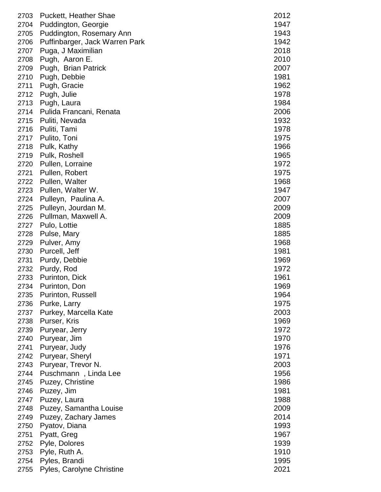| 2703 | Puckett, Heather Shae          | 2012 |
|------|--------------------------------|------|
| 2704 | Puddington, Georgie            | 1947 |
| 2705 | Puddington, Rosemary Ann       | 1943 |
| 2706 | Puffinbarger, Jack Warren Park | 1942 |
| 2707 | Puga, J Maximilian             | 2018 |
| 2708 | Pugh, Aaron E.                 | 2010 |
| 2709 | Pugh, Brian Patrick            | 2007 |
| 2710 | Pugh, Debbie                   | 1981 |
| 2711 | Pugh, Gracie                   | 1962 |
| 2712 | Pugh, Julie                    | 1978 |
| 2713 | Pugh, Laura                    | 1984 |
| 2714 | Pulida Francani, Renata        | 2006 |
| 2715 | Puliti, Nevada                 | 1932 |
| 2716 | Puliti, Tami                   | 1978 |
| 2717 | Pulito, Toni                   | 1975 |
| 2718 | Pulk, Kathy                    | 1966 |
| 2719 | Pulk, Roshell                  | 1965 |
| 2720 | Pullen, Lorraine               | 1972 |
| 2721 | Pullen, Robert                 | 1975 |
| 2722 | Pullen, Walter                 | 1968 |
| 2723 | Pullen, Walter W.              | 1947 |
| 2724 |                                | 2007 |
|      | Pulleyn, Paulina A.            |      |
| 2725 | Pulleyn, Jourdan M.            | 2009 |
| 2726 | Pullman, Maxwell A.            | 2009 |
| 2727 | Pulo, Lottie                   | 1885 |
| 2728 | Pulse, Mary                    | 1885 |
| 2729 | Pulver, Amy                    | 1968 |
| 2730 | Purcell, Jeff                  | 1981 |
| 2731 | Purdy, Debbie                  | 1969 |
| 2732 | Purdy, Rod                     | 1972 |
| 2733 | Purinton, Dick                 | 1961 |
| 2734 | Purinton, Don                  | 1969 |
| 2735 | <b>Purinton, Russell</b>       | 1964 |
| 2736 | Purke, Larry                   | 1975 |
| 2737 | Purkey, Marcella Kate          | 2003 |
| 2738 | Purser, Kris                   | 1969 |
| 2739 | Puryear, Jerry                 | 1972 |
| 2740 | Puryear, Jim                   | 1970 |
| 2741 | Puryear, Judy                  | 1976 |
| 2742 | Puryear, Sheryl                | 1971 |
| 2743 | Puryear, Trevor N.             | 2003 |
| 2744 | Puschmann, Linda Lee           | 1956 |
| 2745 | Puzey, Christine               | 1986 |
| 2746 | Puzey, Jim                     | 1981 |
| 2747 | Puzey, Laura                   | 1988 |
| 2748 | Puzey, Samantha Louise         | 2009 |
| 2749 | Puzey, Zachary James           | 2014 |
| 2750 | Pyatov, Diana                  | 1993 |
| 2751 | Pyatt, Greg                    | 1967 |
| 2752 | Pyle, Dolores                  | 1939 |
| 2753 | Pyle, Ruth A.                  | 1910 |
| 2754 | Pyles, Brandi                  | 1995 |
| 2755 | Pyles, Carolyne Christine      | 2021 |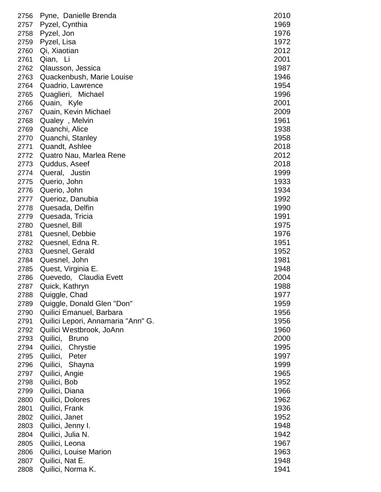| 2756 | Pyne, Danielle Brenda              | 2010 |
|------|------------------------------------|------|
| 2757 | Pyzel, Cynthia                     | 1969 |
| 2758 | Pyzel, Jon                         | 1976 |
| 2759 | Pyzel, Lisa                        | 1972 |
| 2760 | Qi, Xiaotian                       | 2012 |
| 2761 | Qian, Li                           | 2001 |
| 2762 | Qlausson, Jessica                  | 1987 |
| 2763 | Quackenbush, Marie Louise          | 1946 |
| 2764 | Quadrio, Lawrence                  | 1954 |
| 2765 | Quaglieri, Michael                 | 1996 |
| 2766 | Quain, Kyle                        | 2001 |
| 2767 | Quain, Kevin Michael               | 2009 |
| 2768 | Qualey, Melvin                     | 1961 |
| 2769 | Quanchi, Alice                     | 1938 |
| 2770 | Quanchi, Stanley                   | 1958 |
| 2771 | Quandt, Ashlee                     | 2018 |
| 2772 | Quatro Nau, Marlea Rene            | 2012 |
| 2773 | Quddus, Aseef                      | 2018 |
| 2774 | Queral, Justin                     | 1999 |
| 2775 | Querio, John                       | 1933 |
| 2776 | Querio, John                       | 1934 |
| 2777 | Querioz, Danubia                   | 1992 |
| 2778 | Quesada, Delfin                    | 1990 |
| 2779 | Quesada, Tricia                    | 1991 |
| 2780 | Quesnel, Bill                      | 1975 |
| 2781 | Quesnel, Debbie                    | 1976 |
| 2782 | Quesnel, Edna R.                   | 1951 |
| 2783 | Quesnel, Gerald                    | 1952 |
| 2784 | Quesnel, John                      | 1981 |
| 2785 | Quest, Virginia E.                 | 1948 |
| 2786 | Quevedo, Claudia Evett             | 2004 |
| 2787 | Quick, Kathryn                     | 1988 |
| 2788 | Quiggle, Chad                      | 1977 |
| 2789 | Quiggle, Donald Glen "Don"         | 1959 |
| 2790 | Quilici Emanuel, Barbara           | 1956 |
| 2791 | Quilici Lepori, Annamaria "Ann" G. | 1956 |
| 2792 | Quilici Westbrook, JoAnn           | 1960 |
| 2793 | Quilici,<br><b>Bruno</b>           | 2000 |
| 2794 | Quilici,<br>Chrystie               | 1995 |
| 2795 | Quilici,<br>Peter                  | 1997 |
| 2796 | Quilici,<br>Shayna                 | 1999 |
| 2797 | Quilici, Angie                     | 1965 |
| 2798 | Quilici, Bob                       | 1952 |
| 2799 | Quilici, Diana                     | 1966 |
| 2800 | Quilici, Dolores                   | 1962 |
| 2801 | Quilici, Frank                     | 1936 |
| 2802 | Quilici, Janet                     | 1952 |
| 2803 | Quilici, Jenny I.                  | 1948 |
| 2804 | Quilici, Julia N.                  | 1942 |
| 2805 | Quilici, Leona                     | 1967 |
| 2806 | Quilici, Louise Marion             | 1963 |
| 2807 | Quilici, Nat E.                    | 1948 |
| 2808 | Quilici, Norma K.                  | 1941 |
|      |                                    |      |